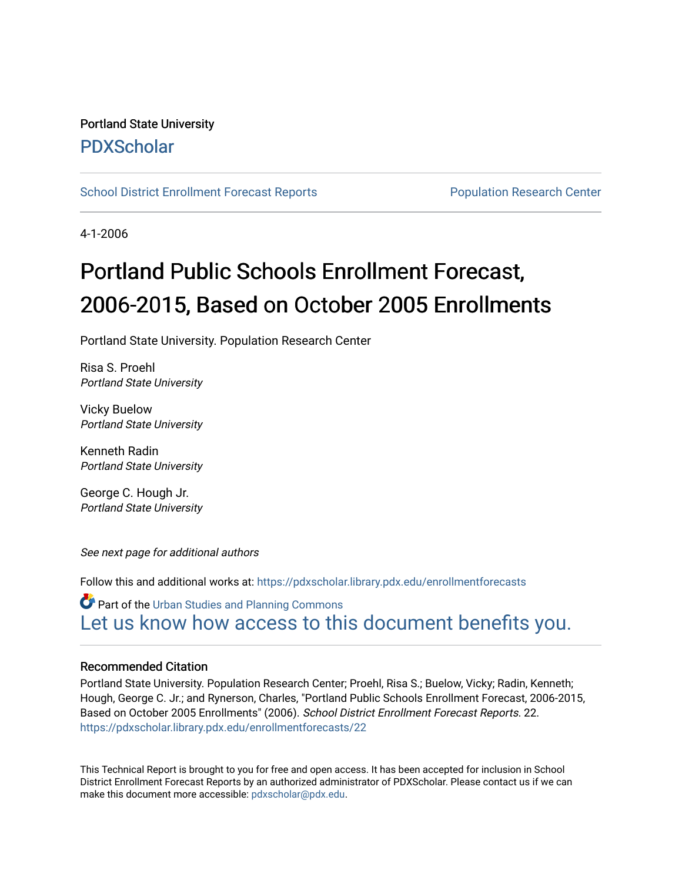# Portland State University [PDXScholar](https://pdxscholar.library.pdx.edu/)

[School District Enrollment Forecast Reports](https://pdxscholar.library.pdx.edu/enrollmentforecasts) **Population Research Center** Population Research Center

4-1-2006

# Portland Public Schools Enrollment Forecast, 2006-2015, Based on October 2005 Enrollments

Portland State University. Population Research Center

Risa S. Proehl Portland State University

Vicky Buelow Portland State University

Kenneth Radin Portland State University

George C. Hough Jr. Portland State University

See next page for additional authors

Follow this and additional works at: [https://pdxscholar.library.pdx.edu/enrollmentforecasts](https://pdxscholar.library.pdx.edu/enrollmentforecasts?utm_source=pdxscholar.library.pdx.edu%2Fenrollmentforecasts%2F22&utm_medium=PDF&utm_campaign=PDFCoverPages) 

**Part of the [Urban Studies and Planning Commons](http://network.bepress.com/hgg/discipline/436?utm_source=pdxscholar.library.pdx.edu%2Fenrollmentforecasts%2F22&utm_medium=PDF&utm_campaign=PDFCoverPages)** [Let us know how access to this document benefits you.](http://library.pdx.edu/services/pdxscholar-services/pdxscholar-feedback/?ref=https://pdxscholar.library.pdx.edu/enrollmentforecasts/22) 

### Recommended Citation

Portland State University. Population Research Center; Proehl, Risa S.; Buelow, Vicky; Radin, Kenneth; Hough, George C. Jr.; and Rynerson, Charles, "Portland Public Schools Enrollment Forecast, 2006-2015, Based on October 2005 Enrollments" (2006). School District Enrollment Forecast Reports. 22. [https://pdxscholar.library.pdx.edu/enrollmentforecasts/22](https://pdxscholar.library.pdx.edu/enrollmentforecasts/22?utm_source=pdxscholar.library.pdx.edu%2Fenrollmentforecasts%2F22&utm_medium=PDF&utm_campaign=PDFCoverPages)

This Technical Report is brought to you for free and open access. It has been accepted for inclusion in School District Enrollment Forecast Reports by an authorized administrator of PDXScholar. Please contact us if we can make this document more accessible: [pdxscholar@pdx.edu.](mailto:pdxscholar@pdx.edu)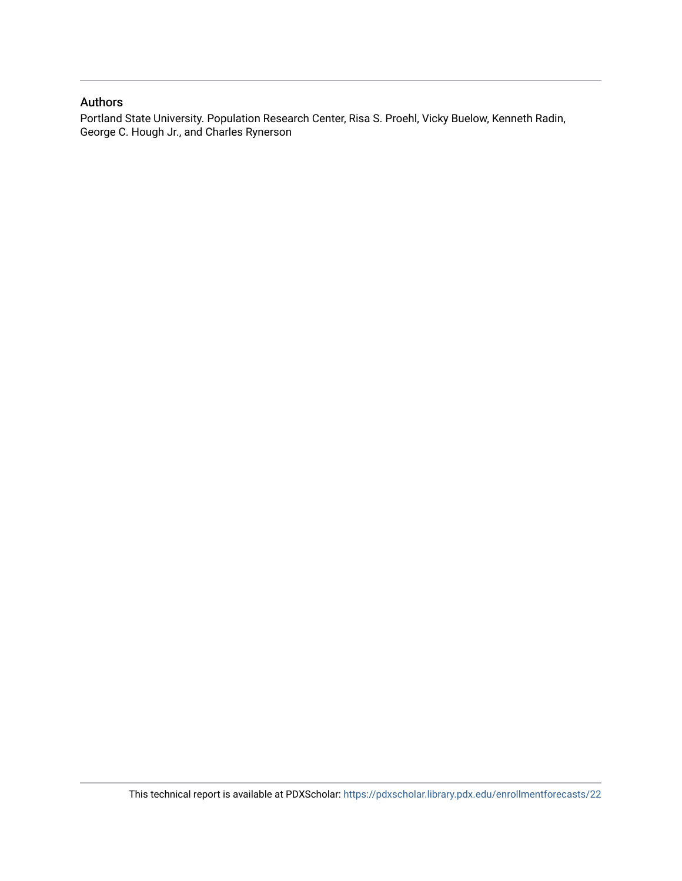#### Authors

Portland State University. Population Research Center, Risa S. Proehl, Vicky Buelow, Kenneth Radin, George C. Hough Jr., and Charles Rynerson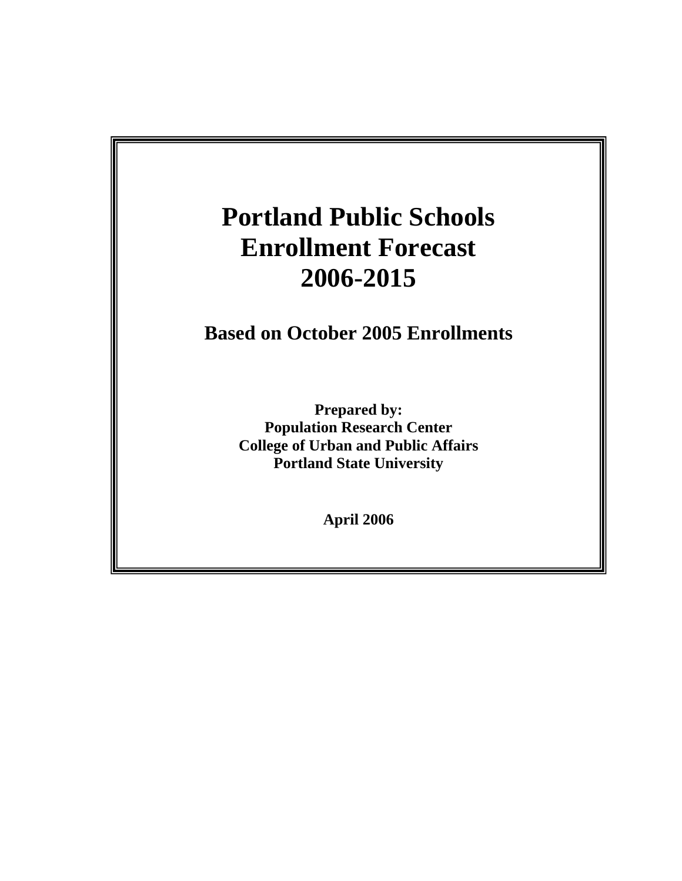# **Portland Public Schools Based on October 2003 Enrollments 2006-2015 Enrollment Forecast**

**Portland Public Schools** 

**Prepared by: Based on October 2005 Enrollments** 

> **Portland State University**  March 2004 **Portland State University Prepared by: Population Research Center College of Urban and Public Affairs**

> > **April 2006**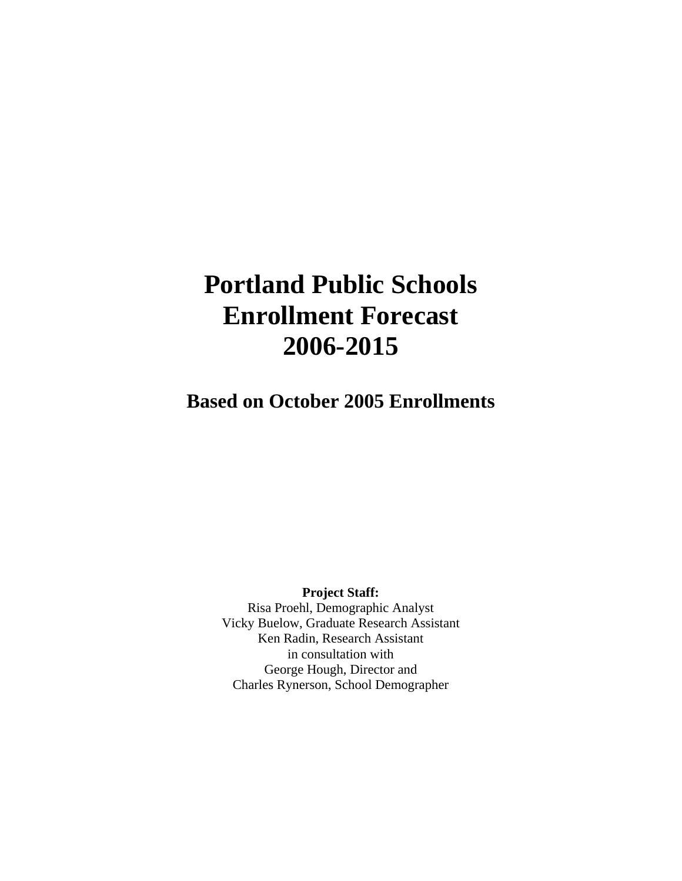# **Portland Public Schools Enrollment Forecast 2006-2015**

**Based on October 2005 Enrollments**

**Project Staff:**  Risa Proehl, Demographic Analyst Vicky Buelow, Graduate Research Assistant Ken Radin, Research Assistant in consultation with George Hough, Director and Charles Rynerson, School Demographer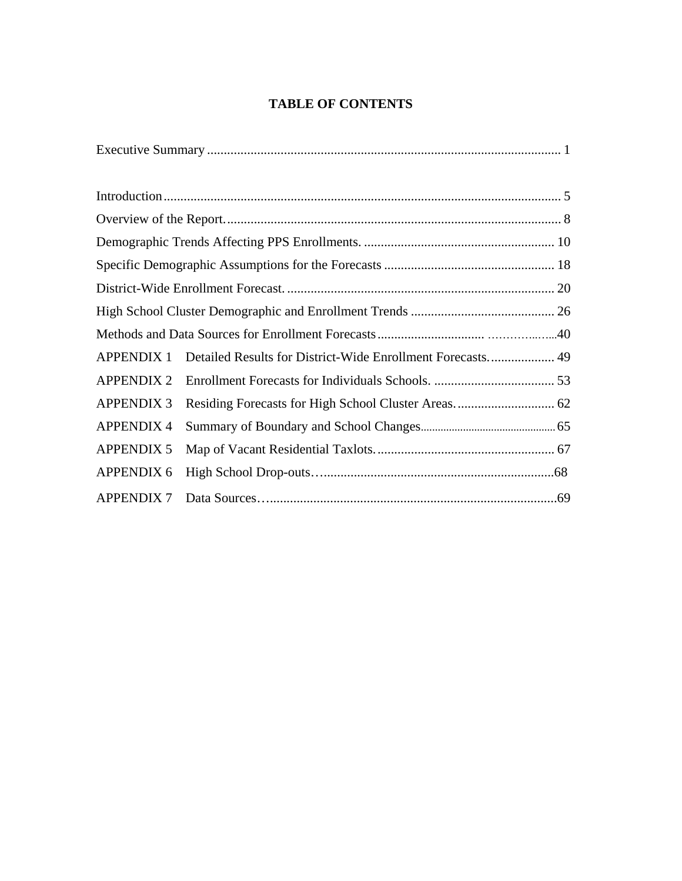# **TABLE OF CONTENTS**

| <b>APPENDIX 1</b> | Detailed Results for District-Wide Enrollment Forecasts 49 |  |  |  |  |  |
|-------------------|------------------------------------------------------------|--|--|--|--|--|
| <b>APPENDIX 2</b> |                                                            |  |  |  |  |  |
| <b>APPENDIX 3</b> |                                                            |  |  |  |  |  |
| <b>APPENDIX 4</b> |                                                            |  |  |  |  |  |
| <b>APPENDIX 5</b> |                                                            |  |  |  |  |  |
| <b>APPENDIX 6</b> |                                                            |  |  |  |  |  |
| <b>APPENDIX 7</b> |                                                            |  |  |  |  |  |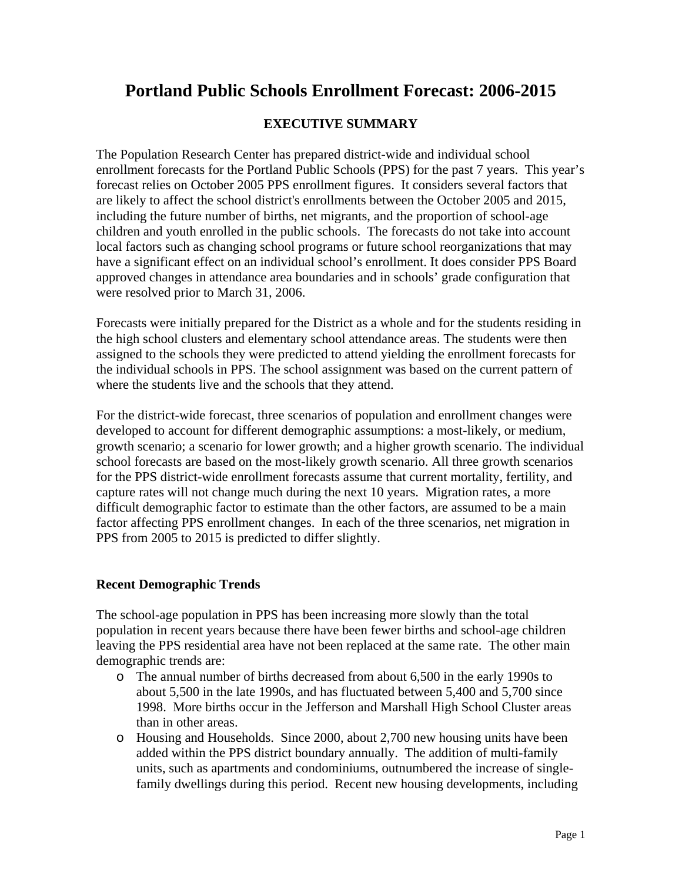# **Portland Public Schools Enrollment Forecast: 2006-2015**

# **EXECUTIVE SUMMARY**

The Population Research Center has prepared district-wide and individual school enrollment forecasts for the Portland Public Schools (PPS) for the past 7 years. This year's forecast relies on October 2005 PPS enrollment figures. It considers several factors that are likely to affect the school district's enrollments between the October 2005 and 2015, including the future number of births, net migrants, and the proportion of school-age children and youth enrolled in the public schools.The forecasts do not take into account local factors such as changing school programs or future school reorganizations that may have a significant effect on an individual school's enrollment. It does consider PPS Board approved changes in attendance area boundaries and in schools' grade configuration that were resolved prior to March 31, 2006.

Forecasts were initially prepared for the District as a whole and for the students residing in the high school clusters and elementary school attendance areas. The students were then assigned to the schools they were predicted to attend yielding the enrollment forecasts for the individual schools in PPS. The school assignment was based on the current pattern of where the students live and the schools that they attend.

For the district-wide forecast, three scenarios of population and enrollment changes were developed to account for different demographic assumptions: a most-likely, or medium, growth scenario; a scenario for lower growth; and a higher growth scenario. The individual school forecasts are based on the most-likely growth scenario. All three growth scenarios for the PPS district-wide enrollment forecasts assume that current mortality, fertility, and capture rates will not change much during the next 10 years. Migration rates, a more difficult demographic factor to estimate than the other factors, are assumed to be a main factor affecting PPS enrollment changes. In each of the three scenarios, net migration in PPS from 2005 to 2015 is predicted to differ slightly.

# **Recent Demographic Trends**

The school-age population in PPS has been increasing more slowly than the total population in recent years because there have been fewer births and school-age children leaving the PPS residential area have not been replaced at the same rate. The other main demographic trends are:

- o The annual number of births decreased from about 6,500 in the early 1990s to about 5,500 in the late 1990s, and has fluctuated between 5,400 and 5,700 since 1998. More births occur in the Jefferson and Marshall High School Cluster areas than in other areas.
- o Housing and Households. Since 2000, about 2,700 new housing units have been added within the PPS district boundary annually. The addition of multi-family units, such as apartments and condominiums, outnumbered the increase of singlefamily dwellings during this period. Recent new housing developments, including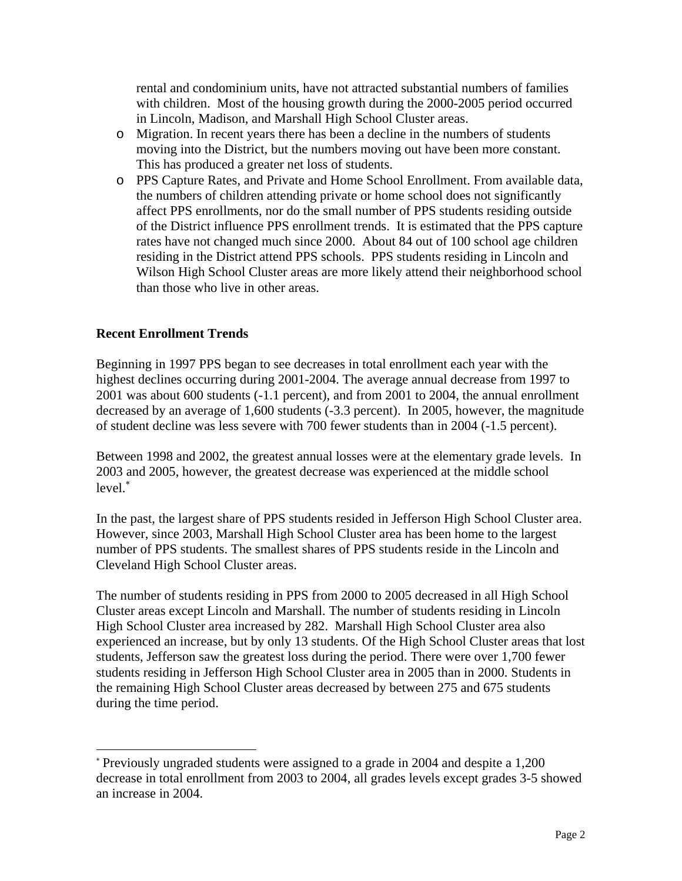rental and condominium units, have not attracted substantial numbers of families with children. Most of the housing growth during the 2000-2005 period occurred in Lincoln, Madison, and Marshall High School Cluster areas.

- o Migration. In recent years there has been a decline in the numbers of students moving into the District, but the numbers moving out have been more constant. This has produced a greater net loss of students.
- o PPS Capture Rates, and Private and Home School Enrollment. From available data, the numbers of children attending private or home school does not significantly affect PPS enrollments, nor do the small number of PPS students residing outside of the District influence PPS enrollment trends. It is estimated that the PPS capture rates have not changed much since 2000. About 84 out of 100 school age children residing in the District attend PPS schools. PPS students residing in Lincoln and Wilson High School Cluster areas are more likely attend their neighborhood school than those who live in other areas.

# **Recent Enrollment Trends**

l

Beginning in 1997 PPS began to see decreases in total enrollment each year with the highest declines occurring during 2001-2004. The average annual decrease from 1997 to 2001 was about 600 students (-1.1 percent), and from 2001 to 2004, the annual enrollment decreased by an average of 1,600 students (-3.3 percent). In 2005, however, the magnitude of student decline was less severe with 700 fewer students than in 2004 (-1.5 percent).

Between 1998 and 2002, the greatest annual losses were at the elementary grade levels. In 2003 and 2005, however, the greatest decrease was experienced at the middle school level.<sup>∗</sup>

In the past, the largest share of PPS students resided in Jefferson High School Cluster area. However, since 2003, Marshall High School Cluster area has been home to the largest number of PPS students. The smallest shares of PPS students reside in the Lincoln and Cleveland High School Cluster areas.

The number of students residing in PPS from 2000 to 2005 decreased in all High School Cluster areas except Lincoln and Marshall. The number of students residing in Lincoln High School Cluster area increased by 282. Marshall High School Cluster area also experienced an increase, but by only 13 students. Of the High School Cluster areas that lost students, Jefferson saw the greatest loss during the period. There were over 1,700 fewer students residing in Jefferson High School Cluster area in 2005 than in 2000. Students in the remaining High School Cluster areas decreased by between 275 and 675 students during the time period.

<sup>∗</sup> Previously ungraded students were assigned to a grade in 2004 and despite a 1,200 decrease in total enrollment from 2003 to 2004, all grades levels except grades 3-5 showed an increase in 2004.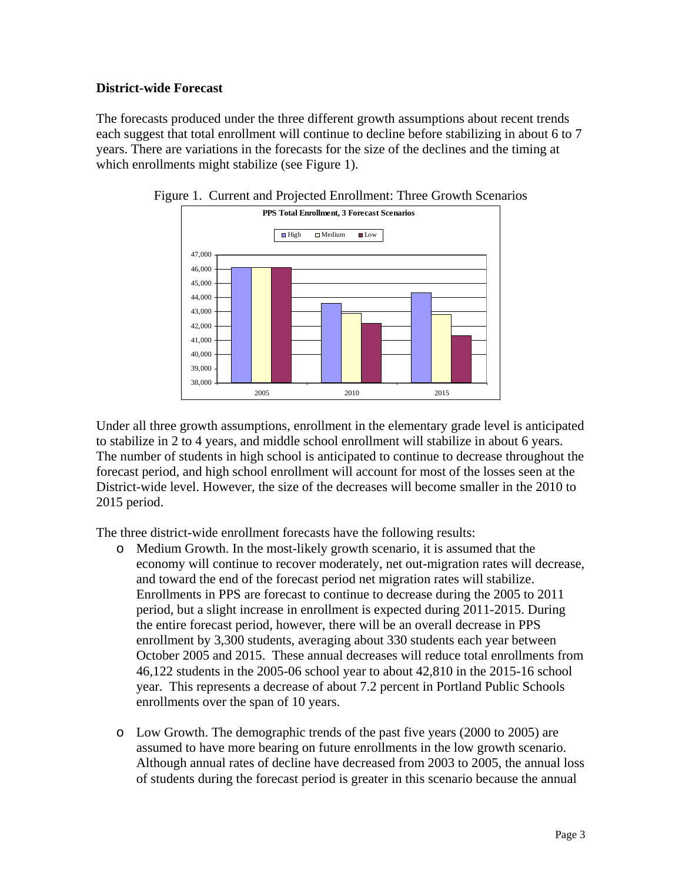# **District-wide Forecast**

The forecasts produced under the three different growth assumptions about recent trends each suggest that total enrollment will continue to decline before stabilizing in about 6 to 7 years. There are variations in the forecasts for the size of the declines and the timing at which enrollments might stabilize (see Figure 1).





Under all three growth assumptions, enrollment in the elementary grade level is anticipated to stabilize in 2 to 4 years, and middle school enrollment will stabilize in about 6 years. The number of students in high school is anticipated to continue to decrease throughout the forecast period, and high school enrollment will account for most of the losses seen at the District-wide level. However, the size of the decreases will become smaller in the 2010 to 2015 period.

The three district-wide enrollment forecasts have the following results:

- o Medium Growth. In the most-likely growth scenario, it is assumed that the economy will continue to recover moderately, net out-migration rates will decrease, and toward the end of the forecast period net migration rates will stabilize. Enrollments in PPS are forecast to continue to decrease during the 2005 to 2011 period, but a slight increase in enrollment is expected during 2011-2015. During the entire forecast period, however, there will be an overall decrease in PPS enrollment by 3,300 students, averaging about 330 students each year between October 2005 and 2015. These annual decreases will reduce total enrollments from 46,122 students in the 2005-06 school year to about 42,810 in the 2015-16 school year. This represents a decrease of about 7.2 percent in Portland Public Schools enrollments over the span of 10 years.
- o Low Growth. The demographic trends of the past five years (2000 to 2005) are assumed to have more bearing on future enrollments in the low growth scenario. Although annual rates of decline have decreased from 2003 to 2005, the annual loss of students during the forecast period is greater in this scenario because the annual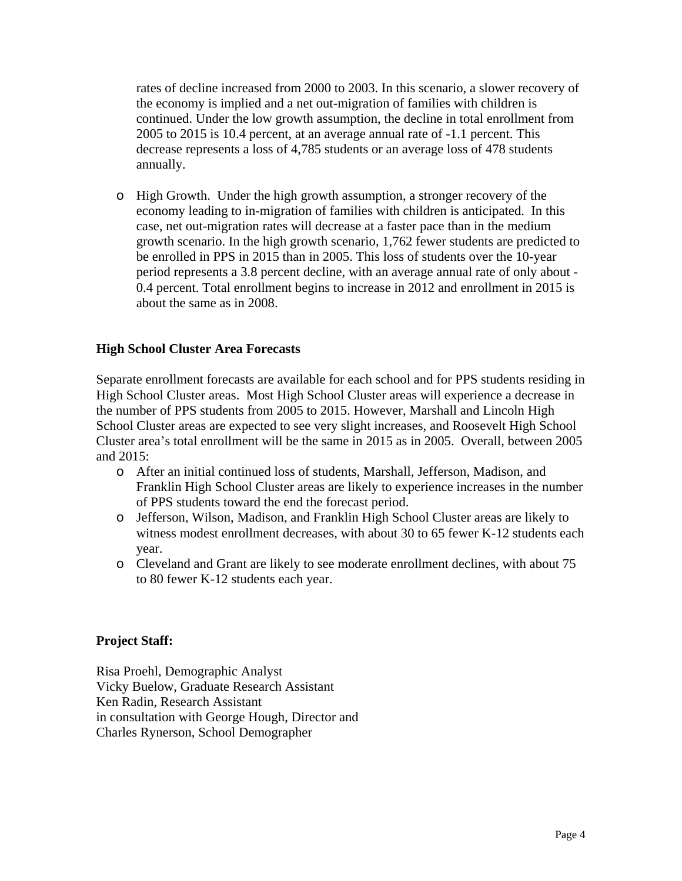rates of decline increased from 2000 to 2003. In this scenario, a slower recovery of the economy is implied and a net out-migration of families with children is continued. Under the low growth assumption, the decline in total enrollment from 2005 to 2015 is 10.4 percent, at an average annual rate of -1.1 percent. This decrease represents a loss of 4,785 students or an average loss of 478 students annually.

o High Growth.Under the high growth assumption, a stronger recovery of the economy leading to in-migration of families with children is anticipated. In this case, net out-migration rates will decrease at a faster pace than in the medium growth scenario. In the high growth scenario, 1,762 fewer students are predicted to be enrolled in PPS in 2015 than in 2005. This loss of students over the 10-year period represents a 3.8 percent decline, with an average annual rate of only about - 0.4 percent. Total enrollment begins to increase in 2012 and enrollment in 2015 is about the same as in 2008.

#### **High School Cluster Area Forecasts**

Separate enrollment forecasts are available for each school and for PPS students residing in High School Cluster areas. Most High School Cluster areas will experience a decrease in the number of PPS students from 2005 to 2015. However, Marshall and Lincoln High School Cluster areas are expected to see very slight increases, and Roosevelt High School Cluster area's total enrollment will be the same in 2015 as in 2005. Overall, between 2005 and  $2015$ :

- o After an initial continued loss of students, Marshall, Jefferson, Madison, and Franklin High School Cluster areas are likely to experience increases in the number of PPS students toward the end the forecast period.
- o Jefferson, Wilson, Madison, and Franklin High School Cluster areas are likely to witness modest enrollment decreases, with about 30 to 65 fewer K-12 students each year.
- o Cleveland and Grant are likely to see moderate enrollment declines, with about 75 to 80 fewer K-12 students each year.

#### **Project Staff:**

Risa Proehl, Demographic Analyst Vicky Buelow, Graduate Research Assistant Ken Radin, Research Assistant in consultation with George Hough, Director and Charles Rynerson, School Demographer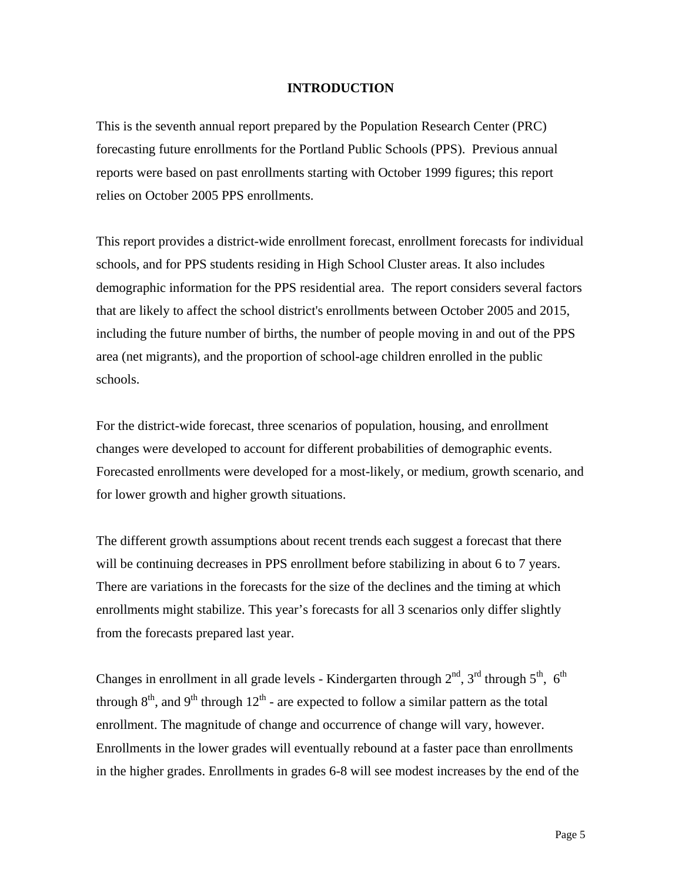#### **INTRODUCTION**

This is the seventh annual report prepared by the Population Research Center (PRC) forecasting future enrollments for the Portland Public Schools (PPS). Previous annual reports were based on past enrollments starting with October 1999 figures; this report relies on October 2005 PPS enrollments.

This report provides a district-wide enrollment forecast, enrollment forecasts for individual schools, and for PPS students residing in High School Cluster areas. It also includes demographic information for the PPS residential area. The report considers several factors that are likely to affect the school district's enrollments between October 2005 and 2015, including the future number of births, the number of people moving in and out of the PPS area (net migrants), and the proportion of school-age children enrolled in the public schools.

For the district-wide forecast, three scenarios of population, housing, and enrollment changes were developed to account for different probabilities of demographic events. Forecasted enrollments were developed for a most-likely, or medium, growth scenario, and for lower growth and higher growth situations.

The different growth assumptions about recent trends each suggest a forecast that there will be continuing decreases in PPS enrollment before stabilizing in about 6 to 7 years. There are variations in the forecasts for the size of the declines and the timing at which enrollments might stabilize. This year's forecasts for all 3 scenarios only differ slightly from the forecasts prepared last year.

Changes in enrollment in all grade levels - Kindergarten through  $2^{nd}$ ,  $3^{rd}$  through  $5^{th}$ ,  $6^{th}$ through  $8<sup>th</sup>$ , and  $9<sup>th</sup>$  through  $12<sup>th</sup>$  - are expected to follow a similar pattern as the total enrollment. The magnitude of change and occurrence of change will vary, however. Enrollments in the lower grades will eventually rebound at a faster pace than enrollments in the higher grades. Enrollments in grades 6-8 will see modest increases by the end of the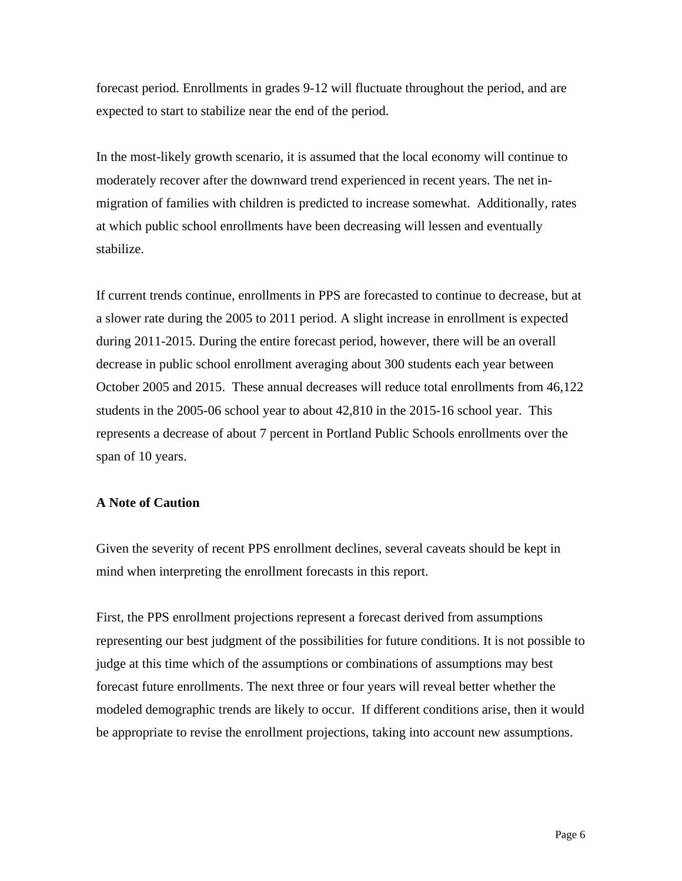forecast period. Enrollments in grades 9-12 will fluctuate throughout the period, and are expected to start to stabilize near the end of the period.

In the most-likely growth scenario, it is assumed that the local economy will continue to moderately recover after the downward trend experienced in recent years. The net inmigration of families with children is predicted to increase somewhat. Additionally, rates at which public school enrollments have been decreasing will lessen and eventually stabilize.

If current trends continue, enrollments in PPS are forecasted to continue to decrease, but at a slower rate during the 2005 to 2011 period. A slight increase in enrollment is expected during 2011-2015. During the entire forecast period, however, there will be an overall decrease in public school enrollment averaging about 300 students each year between October 2005 and 2015. These annual decreases will reduce total enrollments from 46,122 students in the 2005-06 school year to about 42,810 in the 2015-16 school year. This represents a decrease of about 7 percent in Portland Public Schools enrollments over the span of 10 years.

#### **A Note of Caution**

Given the severity of recent PPS enrollment declines, several caveats should be kept in mind when interpreting the enrollment forecasts in this report.

First, the PPS enrollment projections represent a forecast derived from assumptions representing our best judgment of the possibilities for future conditions. It is not possible to judge at this time which of the assumptions or combinations of assumptions may best forecast future enrollments. The next three or four years will reveal better whether the modeled demographic trends are likely to occur. If different conditions arise, then it would be appropriate to revise the enrollment projections, taking into account new assumptions.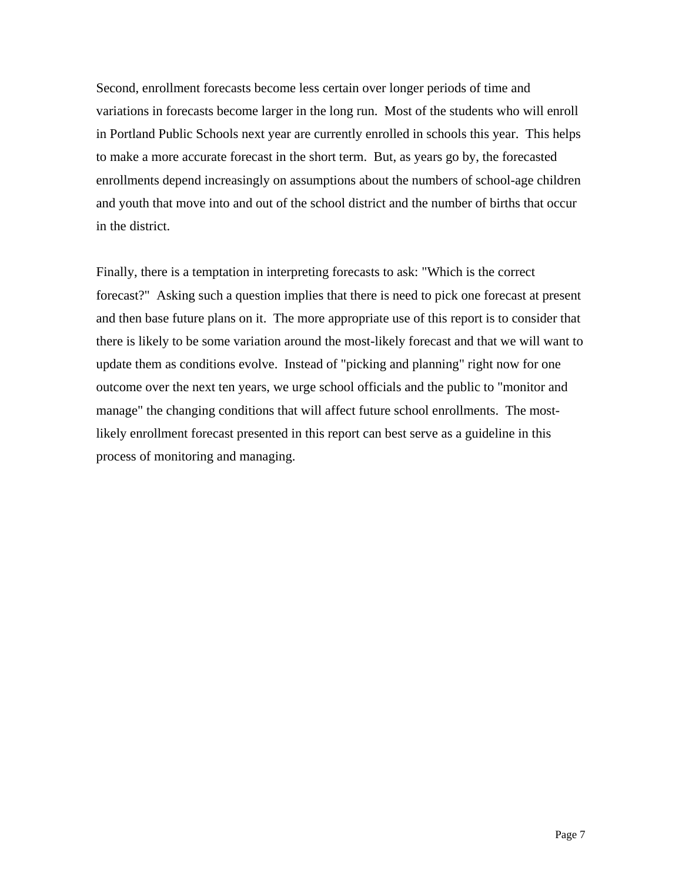Second, enrollment forecasts become less certain over longer periods of time and variations in forecasts become larger in the long run. Most of the students who will enroll in Portland Public Schools next year are currently enrolled in schools this year. This helps to make a more accurate forecast in the short term. But, as years go by, the forecasted enrollments depend increasingly on assumptions about the numbers of school-age children and youth that move into and out of the school district and the number of births that occur in the district.

Finally, there is a temptation in interpreting forecasts to ask: "Which is the correct forecast?" Asking such a question implies that there is need to pick one forecast at present and then base future plans on it. The more appropriate use of this report is to consider that there is likely to be some variation around the most-likely forecast and that we will want to update them as conditions evolve. Instead of "picking and planning" right now for one outcome over the next ten years, we urge school officials and the public to "monitor and manage" the changing conditions that will affect future school enrollments. The mostlikely enrollment forecast presented in this report can best serve as a guideline in this process of monitoring and managing.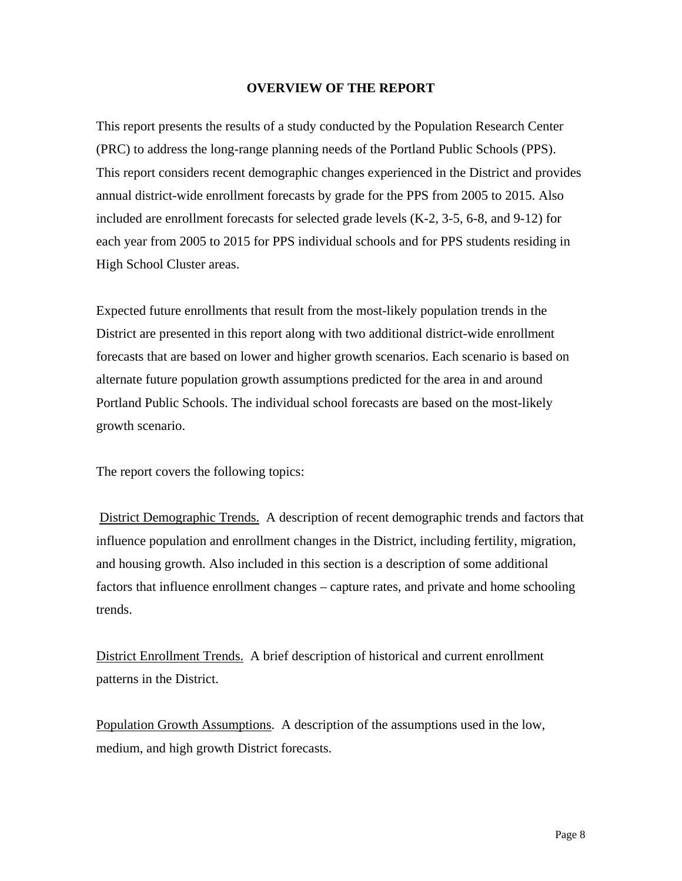#### **OVERVIEW OF THE REPORT**

This report presents the results of a study conducted by the Population Research Center (PRC) to address the long-range planning needs of the Portland Public Schools (PPS). This report considers recent demographic changes experienced in the District and provides annual district-wide enrollment forecasts by grade for the PPS from 2005 to 2015. Also included are enrollment forecasts for selected grade levels (K-2, 3-5, 6-8, and 9-12) for each year from 2005 to 2015 for PPS individual schools and for PPS students residing in High School Cluster areas.

Expected future enrollments that result from the most-likely population trends in the District are presented in this report along with two additional district-wide enrollment forecasts that are based on lower and higher growth scenarios. Each scenario is based on alternate future population growth assumptions predicted for the area in and around Portland Public Schools. The individual school forecasts are based on the most-likely growth scenario.

The report covers the following topics:

 District Demographic Trends. A description of recent demographic trends and factors that influence population and enrollment changes in the District, including fertility, migration, and housing growth. Also included in this section is a description of some additional factors that influence enrollment changes – capture rates, and private and home schooling trends.

District Enrollment Trends. A brief description of historical and current enrollment patterns in the District.

Population Growth Assumptions. A description of the assumptions used in the low, medium, and high growth District forecasts.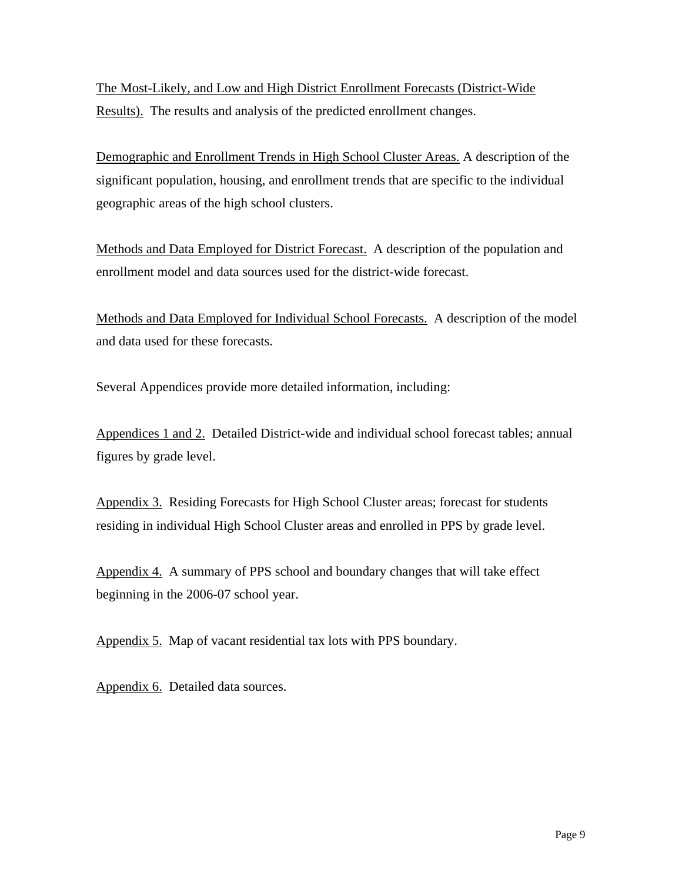The Most-Likely, and Low and High District Enrollment Forecasts (District-Wide Results). The results and analysis of the predicted enrollment changes.

Demographic and Enrollment Trends in High School Cluster Areas. A description of the significant population, housing, and enrollment trends that are specific to the individual geographic areas of the high school clusters.

Methods and Data Employed for District Forecast. A description of the population and enrollment model and data sources used for the district-wide forecast.

Methods and Data Employed for Individual School Forecasts. A description of the model and data used for these forecasts.

Several Appendices provide more detailed information, including:

Appendices 1 and 2. Detailed District-wide and individual school forecast tables; annual figures by grade level.

Appendix 3. Residing Forecasts for High School Cluster areas; forecast for students residing in individual High School Cluster areas and enrolled in PPS by grade level.

Appendix 4. A summary of PPS school and boundary changes that will take effect beginning in the 2006-07 school year.

Appendix 5. Map of vacant residential tax lots with PPS boundary.

Appendix 6. Detailed data sources.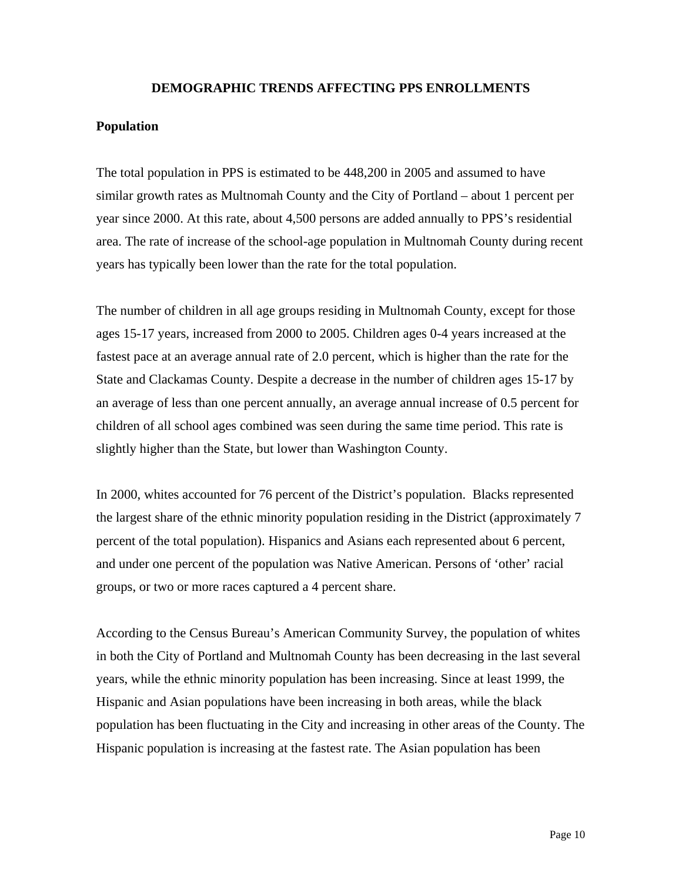#### **DEMOGRAPHIC TRENDS AFFECTING PPS ENROLLMENTS**

#### **Population**

The total population in PPS is estimated to be 448,200 in 2005 and assumed to have similar growth rates as Multnomah County and the City of Portland – about 1 percent per year since 2000. At this rate, about 4,500 persons are added annually to PPS's residential area. The rate of increase of the school-age population in Multnomah County during recent years has typically been lower than the rate for the total population.

The number of children in all age groups residing in Multnomah County, except for those ages 15-17 years, increased from 2000 to 2005. Children ages 0-4 years increased at the fastest pace at an average annual rate of 2.0 percent, which is higher than the rate for the State and Clackamas County. Despite a decrease in the number of children ages 15-17 by an average of less than one percent annually, an average annual increase of 0.5 percent for children of all school ages combined was seen during the same time period. This rate is slightly higher than the State, but lower than Washington County.

In 2000, whites accounted for 76 percent of the District's population. Blacks represented the largest share of the ethnic minority population residing in the District (approximately 7 percent of the total population). Hispanics and Asians each represented about 6 percent, and under one percent of the population was Native American. Persons of 'other' racial groups, or two or more races captured a 4 percent share.

According to the Census Bureau's American Community Survey, the population of whites in both the City of Portland and Multnomah County has been decreasing in the last several years, while the ethnic minority population has been increasing. Since at least 1999, the Hispanic and Asian populations have been increasing in both areas, while the black population has been fluctuating in the City and increasing in other areas of the County. The Hispanic population is increasing at the fastest rate. The Asian population has been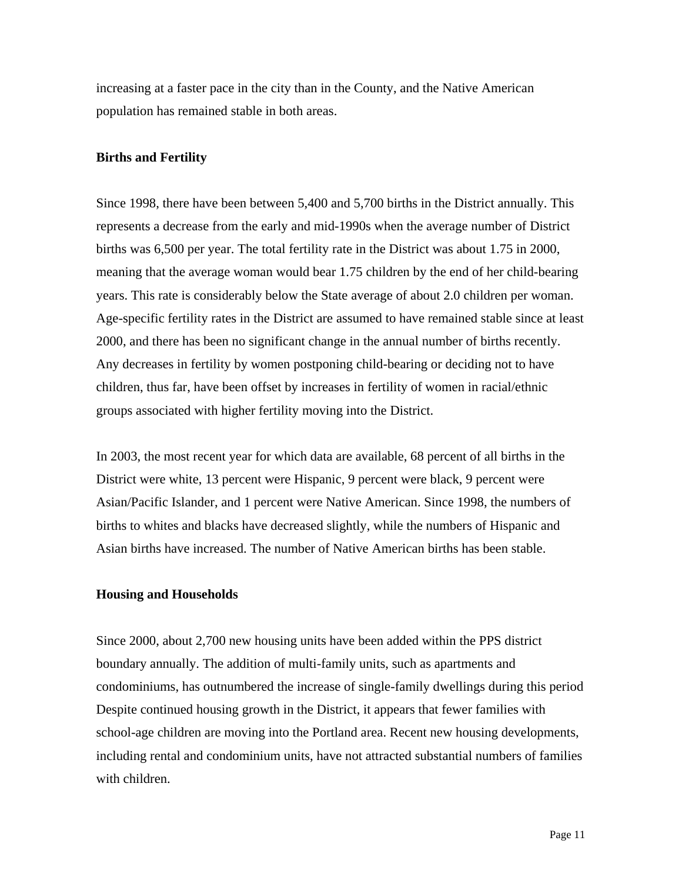increasing at a faster pace in the city than in the County, and the Native American population has remained stable in both areas.

#### **Births and Fertility**

Since 1998, there have been between 5,400 and 5,700 births in the District annually. This represents a decrease from the early and mid-1990s when the average number of District births was 6,500 per year. The total fertility rate in the District was about 1.75 in 2000, meaning that the average woman would bear 1.75 children by the end of her child-bearing years. This rate is considerably below the State average of about 2.0 children per woman. Age-specific fertility rates in the District are assumed to have remained stable since at least 2000, and there has been no significant change in the annual number of births recently. Any decreases in fertility by women postponing child-bearing or deciding not to have children, thus far, have been offset by increases in fertility of women in racial/ethnic groups associated with higher fertility moving into the District.

In 2003, the most recent year for which data are available, 68 percent of all births in the District were white, 13 percent were Hispanic, 9 percent were black, 9 percent were Asian/Pacific Islander, and 1 percent were Native American. Since 1998, the numbers of births to whites and blacks have decreased slightly, while the numbers of Hispanic and Asian births have increased. The number of Native American births has been stable.

#### **Housing and Households**

Since 2000, about 2,700 new housing units have been added within the PPS district boundary annually. The addition of multi-family units, such as apartments and condominiums, has outnumbered the increase of single-family dwellings during this period Despite continued housing growth in the District, it appears that fewer families with school-age children are moving into the Portland area. Recent new housing developments, including rental and condominium units, have not attracted substantial numbers of families with children.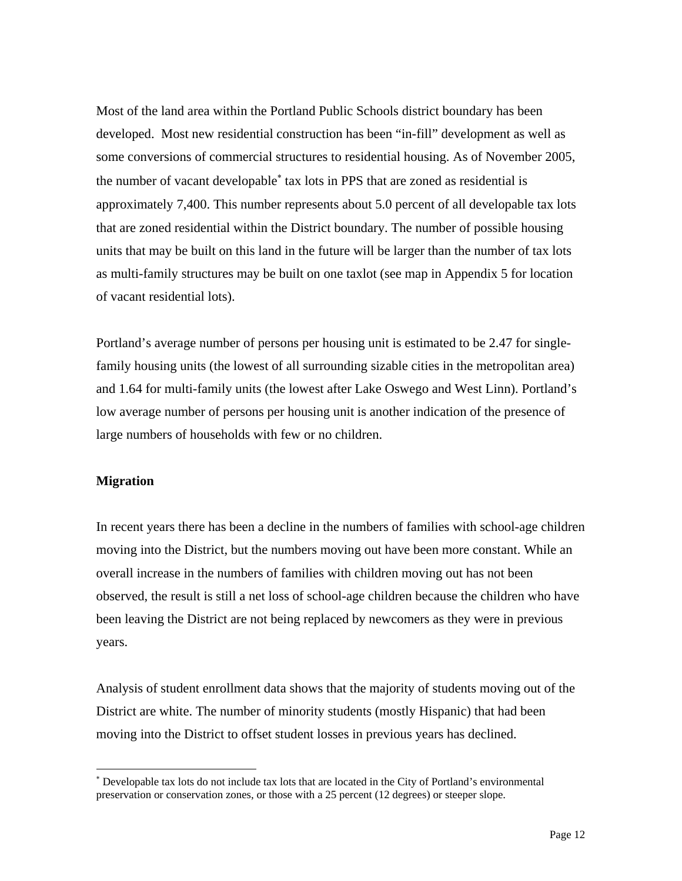Most of the land area within the Portland Public Schools district boundary has been developed. Most new residential construction has been "in-fill" development as well as some conversions of commercial structures to residential housing. As of November 2005, the number of vacant developable<sup>∗</sup> tax lots in PPS that are zoned as residential is approximately 7,400. This number represents about 5.0 percent of all developable tax lots that are zoned residential within the District boundary. The number of possible housing units that may be built on this land in the future will be larger than the number of tax lots as multi-family structures may be built on one taxlot (see map in Appendix 5 for location of vacant residential lots).

Portland's average number of persons per housing unit is estimated to be 2.47 for singlefamily housing units (the lowest of all surrounding sizable cities in the metropolitan area) and 1.64 for multi-family units (the lowest after Lake Oswego and West Linn). Portland's low average number of persons per housing unit is another indication of the presence of large numbers of households with few or no children.

#### **Migration**

l

In recent years there has been a decline in the numbers of families with school-age children moving into the District, but the numbers moving out have been more constant. While an overall increase in the numbers of families with children moving out has not been observed, the result is still a net loss of school-age children because the children who have been leaving the District are not being replaced by newcomers as they were in previous years.

Analysis of student enrollment data shows that the majority of students moving out of the District are white. The number of minority students (mostly Hispanic) that had been moving into the District to offset student losses in previous years has declined.

<sup>∗</sup> Developable tax lots do not include tax lots that are located in the City of Portland's environmental preservation or conservation zones, or those with a 25 percent (12 degrees) or steeper slope.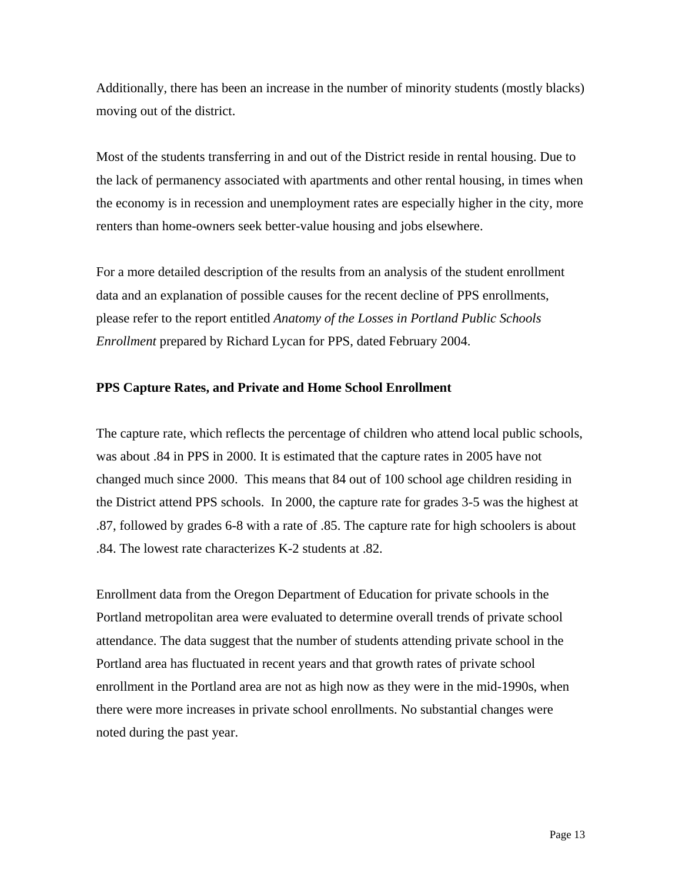Additionally, there has been an increase in the number of minority students (mostly blacks) moving out of the district.

Most of the students transferring in and out of the District reside in rental housing. Due to the lack of permanency associated with apartments and other rental housing, in times when the economy is in recession and unemployment rates are especially higher in the city, more renters than home-owners seek better-value housing and jobs elsewhere.

For a more detailed description of the results from an analysis of the student enrollment data and an explanation of possible causes for the recent decline of PPS enrollments, please refer to the report entitled *Anatomy of the Losses in Portland Public Schools Enrollment* prepared by Richard Lycan for PPS, dated February 2004.

#### **PPS Capture Rates, and Private and Home School Enrollment**

The capture rate, which reflects the percentage of children who attend local public schools, was about .84 in PPS in 2000. It is estimated that the capture rates in 2005 have not changed much since 2000. This means that 84 out of 100 school age children residing in the District attend PPS schools. In 2000, the capture rate for grades 3-5 was the highest at .87, followed by grades 6-8 with a rate of .85. The capture rate for high schoolers is about .84. The lowest rate characterizes K-2 students at .82.

Enrollment data from the Oregon Department of Education for private schools in the Portland metropolitan area were evaluated to determine overall trends of private school attendance. The data suggest that the number of students attending private school in the Portland area has fluctuated in recent years and that growth rates of private school enrollment in the Portland area are not as high now as they were in the mid-1990s, when there were more increases in private school enrollments. No substantial changes were noted during the past year.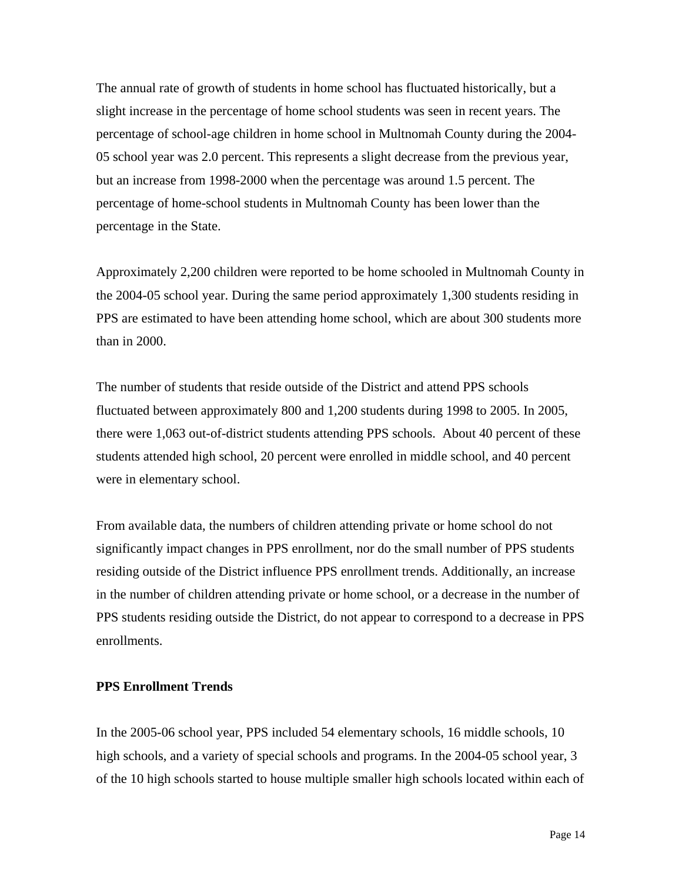The annual rate of growth of students in home school has fluctuated historically, but a slight increase in the percentage of home school students was seen in recent years. The percentage of school-age children in home school in Multnomah County during the 2004- 05 school year was 2.0 percent. This represents a slight decrease from the previous year, but an increase from 1998-2000 when the percentage was around 1.5 percent. The percentage of home-school students in Multnomah County has been lower than the percentage in the State.

Approximately 2,200 children were reported to be home schooled in Multnomah County in the 2004-05 school year. During the same period approximately 1,300 students residing in PPS are estimated to have been attending home school, which are about 300 students more than in 2000.

The number of students that reside outside of the District and attend PPS schools fluctuated between approximately 800 and 1,200 students during 1998 to 2005. In 2005, there were 1,063 out-of-district students attending PPS schools. About 40 percent of these students attended high school, 20 percent were enrolled in middle school, and 40 percent were in elementary school.

From available data, the numbers of children attending private or home school do not significantly impact changes in PPS enrollment, nor do the small number of PPS students residing outside of the District influence PPS enrollment trends. Additionally, an increase in the number of children attending private or home school, or a decrease in the number of PPS students residing outside the District, do not appear to correspond to a decrease in PPS enrollments.

#### **PPS Enrollment Trends**

In the 2005-06 school year, PPS included 54 elementary schools, 16 middle schools, 10 high schools, and a variety of special schools and programs. In the 2004-05 school year, 3 of the 10 high schools started to house multiple smaller high schools located within each of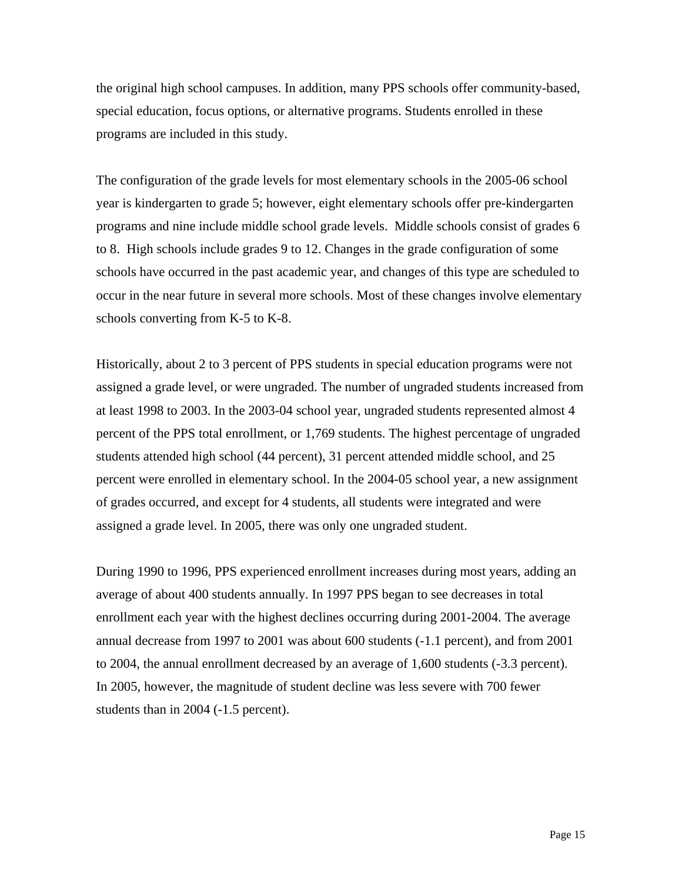the original high school campuses. In addition, many PPS schools offer community-based, special education, focus options, or alternative programs. Students enrolled in these programs are included in this study.

The configuration of the grade levels for most elementary schools in the 2005-06 school year is kindergarten to grade 5; however, eight elementary schools offer pre-kindergarten programs and nine include middle school grade levels. Middle schools consist of grades 6 to 8. High schools include grades 9 to 12. Changes in the grade configuration of some schools have occurred in the past academic year, and changes of this type are scheduled to occur in the near future in several more schools. Most of these changes involve elementary schools converting from K-5 to K-8.

Historically, about 2 to 3 percent of PPS students in special education programs were not assigned a grade level, or were ungraded. The number of ungraded students increased from at least 1998 to 2003. In the 2003-04 school year, ungraded students represented almost 4 percent of the PPS total enrollment, or 1,769 students. The highest percentage of ungraded students attended high school (44 percent), 31 percent attended middle school, and 25 percent were enrolled in elementary school. In the 2004-05 school year, a new assignment of grades occurred, and except for 4 students, all students were integrated and were assigned a grade level. In 2005, there was only one ungraded student.

During 1990 to 1996, PPS experienced enrollment increases during most years, adding an average of about 400 students annually. In 1997 PPS began to see decreases in total enrollment each year with the highest declines occurring during 2001-2004. The average annual decrease from 1997 to 2001 was about 600 students (-1.1 percent), and from 2001 to 2004, the annual enrollment decreased by an average of 1,600 students (-3.3 percent). In 2005, however, the magnitude of student decline was less severe with 700 fewer students than in 2004 (-1.5 percent).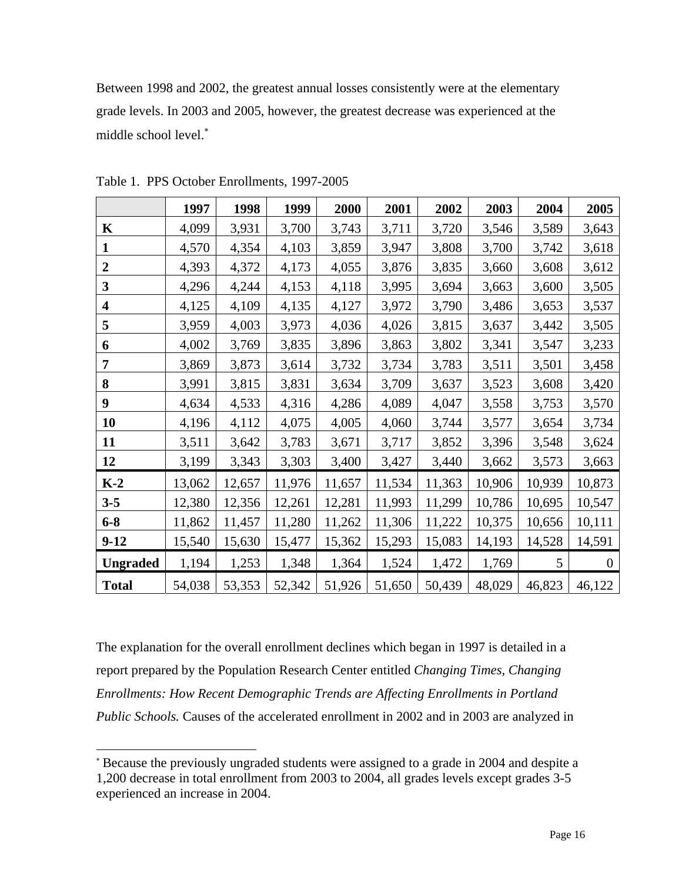Between 1998 and 2002, the greatest annual losses consistently were at the elementary grade levels. In 2003 and 2005, however, the greatest decrease was experienced at the middle school level.<sup>∗</sup>

|                         | 1997   | 1998   | 1999   | 2000   | 2001   | 2002   | 2003   | 2004   | 2005           |
|-------------------------|--------|--------|--------|--------|--------|--------|--------|--------|----------------|
| $\mathbf K$             | 4,099  | 3,931  | 3,700  | 3,743  | 3,711  | 3,720  | 3,546  | 3,589  | 3,643          |
| 1                       | 4,570  | 4,354  | 4,103  | 3,859  | 3,947  | 3,808  | 3,700  | 3,742  | 3,618          |
| $\boldsymbol{2}$        | 4,393  | 4,372  | 4,173  | 4,055  | 3,876  | 3,835  | 3,660  | 3,608  | 3,612          |
| $\mathbf{3}$            | 4,296  | 4,244  | 4,153  | 4,118  | 3,995  | 3,694  | 3,663  | 3,600  | 3,505          |
| $\overline{\mathbf{4}}$ | 4,125  | 4,109  | 4,135  | 4,127  | 3,972  | 3,790  | 3,486  | 3,653  | 3,537          |
| 5                       | 3,959  | 4,003  | 3,973  | 4,036  | 4,026  | 3,815  | 3,637  | 3,442  | 3,505          |
| 6                       | 4,002  | 3,769  | 3,835  | 3,896  | 3,863  | 3,802  | 3,341  | 3,547  | 3,233          |
| 7                       | 3,869  | 3,873  | 3,614  | 3,732  | 3,734  | 3,783  | 3,511  | 3,501  | 3,458          |
| 8                       | 3,991  | 3,815  | 3,831  | 3,634  | 3,709  | 3,637  | 3,523  | 3,608  | 3,420          |
| 9                       | 4,634  | 4,533  | 4,316  | 4,286  | 4,089  | 4,047  | 3,558  | 3,753  | 3,570          |
| 10                      | 4,196  | 4,112  | 4,075  | 4,005  | 4,060  | 3,744  | 3,577  | 3,654  | 3,734          |
| 11                      | 3,511  | 3,642  | 3,783  | 3,671  | 3,717  | 3,852  | 3,396  | 3,548  | 3,624          |
| 12                      | 3,199  | 3,343  | 3,303  | 3,400  | 3,427  | 3,440  | 3,662  | 3,573  | 3,663          |
| $K-2$                   | 13,062 | 12,657 | 11,976 | 11,657 | 11,534 | 11,363 | 10,906 | 10,939 | 10,873         |
| $3 - 5$                 | 12,380 | 12,356 | 12,261 | 12,281 | 11,993 | 11,299 | 10,786 | 10,695 | 10,547         |
| $6 - 8$                 | 11,862 | 11,457 | 11,280 | 11,262 | 11,306 | 11,222 | 10,375 | 10,656 | 10,111         |
| $9 - 12$                | 15,540 | 15,630 | 15,477 | 15,362 | 15,293 | 15,083 | 14,193 | 14,528 | 14,591         |
| <b>Ungraded</b>         | 1,194  | 1,253  | 1,348  | 1,364  | 1,524  | 1,472  | 1,769  | 5      | $\overline{0}$ |
| <b>Total</b>            | 54,038 | 53,353 | 52,342 | 51,926 | 51,650 | 50,439 | 48,029 | 46,823 | 46,122         |

Table 1. PPS October Enrollments, 1997-2005

l

The explanation for the overall enrollment declines which began in 1997 is detailed in a report prepared by the Population Research Center entitled *Changing Times, Changing Enrollments: How Recent Demographic Trends are Affecting Enrollments in Portland Public Schools.* Causes of the accelerated enrollment in 2002 and in 2003 are analyzed in

<sup>∗</sup> Because the previously ungraded students were assigned to a grade in 2004 and despite a 1,200 decrease in total enrollment from 2003 to 2004, all grades levels except grades 3-5 experienced an increase in 2004.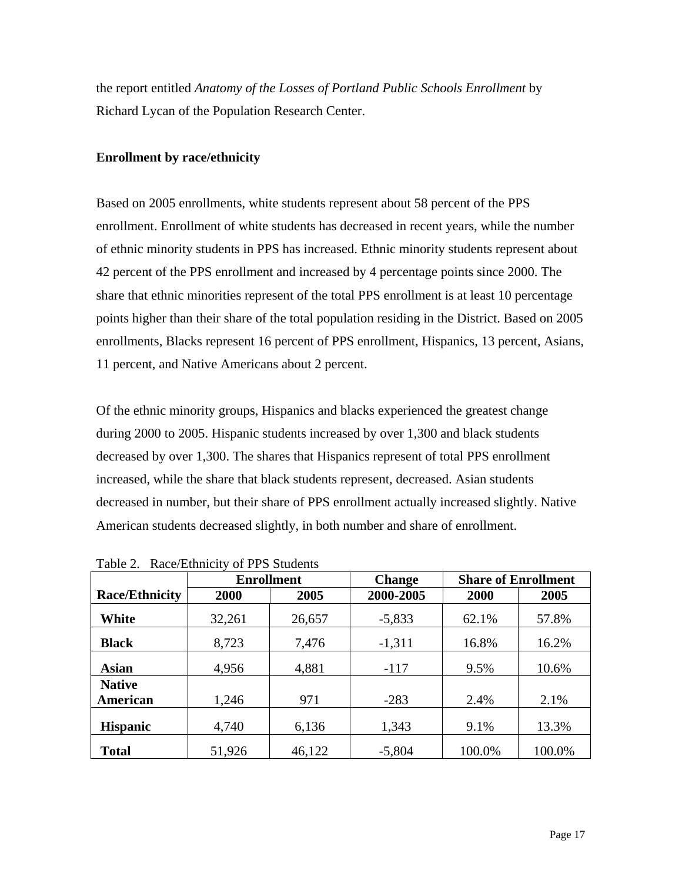the report entitled *Anatomy of the Losses of Portland Public Schools Enrollment* by Richard Lycan of the Population Research Center.

## **Enrollment by race/ethnicity**

Based on 2005 enrollments, white students represent about 58 percent of the PPS enrollment. Enrollment of white students has decreased in recent years, while the number of ethnic minority students in PPS has increased. Ethnic minority students represent about 42 percent of the PPS enrollment and increased by 4 percentage points since 2000. The share that ethnic minorities represent of the total PPS enrollment is at least 10 percentage points higher than their share of the total population residing in the District. Based on 2005 enrollments, Blacks represent 16 percent of PPS enrollment, Hispanics, 13 percent, Asians, 11 percent, and Native Americans about 2 percent.

Of the ethnic minority groups, Hispanics and blacks experienced the greatest change during 2000 to 2005. Hispanic students increased by over 1,300 and black students decreased by over 1,300. The shares that Hispanics represent of total PPS enrollment increased, while the share that black students represent, decreased. Asian students decreased in number, but their share of PPS enrollment actually increased slightly. Native American students decreased slightly, in both number and share of enrollment.

|                       | <b>Enrollment</b> |        | <b>Change</b> | <b>Share of Enrollment</b> |        |
|-----------------------|-------------------|--------|---------------|----------------------------|--------|
| <b>Race/Ethnicity</b> | 2000              | 2005   | 2000-2005     | 2000                       | 2005   |
| White                 | 32,261            | 26,657 | $-5,833$      | 62.1%                      | 57.8%  |
| <b>Black</b>          | 8,723             | 7,476  | $-1,311$      | 16.8%                      | 16.2%  |
| <b>Asian</b>          | 4,956             | 4,881  | $-117$        | 9.5%                       | 10.6%  |
| <b>Native</b>         |                   |        |               |                            |        |
| American              | 1,246             | 971    | $-283$        | 2.4%                       | 2.1%   |
| <b>Hispanic</b>       | 4,740             | 6,136  | 1,343         | 9.1%                       | 13.3%  |
| <b>Total</b>          | 51,926            | 46,122 | $-5,804$      | 100.0%                     | 100.0% |

Table 2. Race/Ethnicity of PPS Students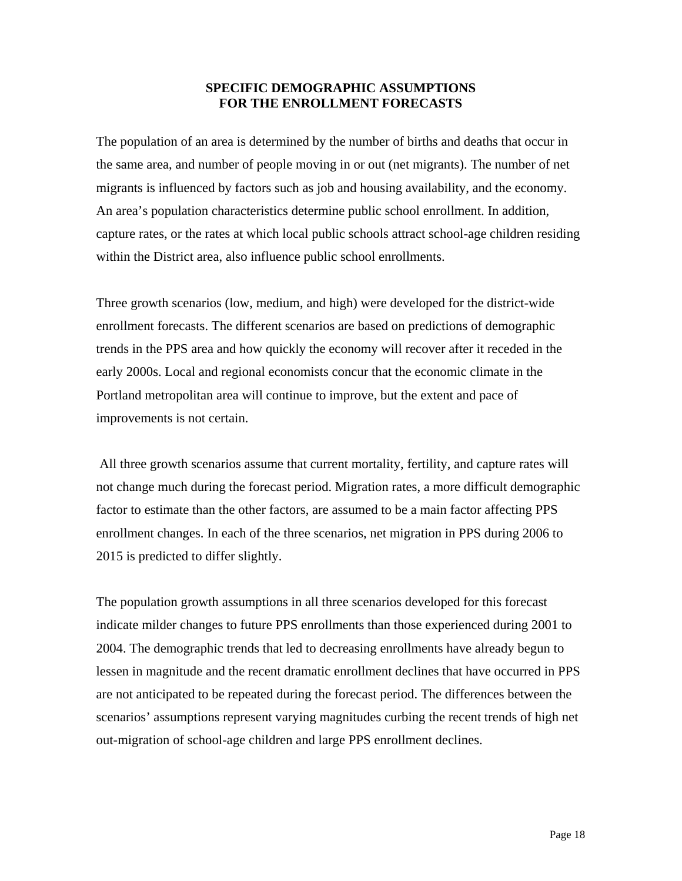## **SPECIFIC DEMOGRAPHIC ASSUMPTIONS FOR THE ENROLLMENT FORECASTS**

The population of an area is determined by the number of births and deaths that occur in the same area, and number of people moving in or out (net migrants). The number of net migrants is influenced by factors such as job and housing availability, and the economy. An area's population characteristics determine public school enrollment. In addition, capture rates, or the rates at which local public schools attract school-age children residing within the District area, also influence public school enrollments.

Three growth scenarios (low, medium, and high) were developed for the district-wide enrollment forecasts. The different scenarios are based on predictions of demographic trends in the PPS area and how quickly the economy will recover after it receded in the early 2000s. Local and regional economists concur that the economic climate in the Portland metropolitan area will continue to improve, but the extent and pace of improvements is not certain.

 All three growth scenarios assume that current mortality, fertility, and capture rates will not change much during the forecast period. Migration rates, a more difficult demographic factor to estimate than the other factors, are assumed to be a main factor affecting PPS enrollment changes. In each of the three scenarios, net migration in PPS during 2006 to 2015 is predicted to differ slightly.

The population growth assumptions in all three scenarios developed for this forecast indicate milder changes to future PPS enrollments than those experienced during 2001 to 2004. The demographic trends that led to decreasing enrollments have already begun to lessen in magnitude and the recent dramatic enrollment declines that have occurred in PPS are not anticipated to be repeated during the forecast period. The differences between the scenarios' assumptions represent varying magnitudes curbing the recent trends of high net out-migration of school-age children and large PPS enrollment declines.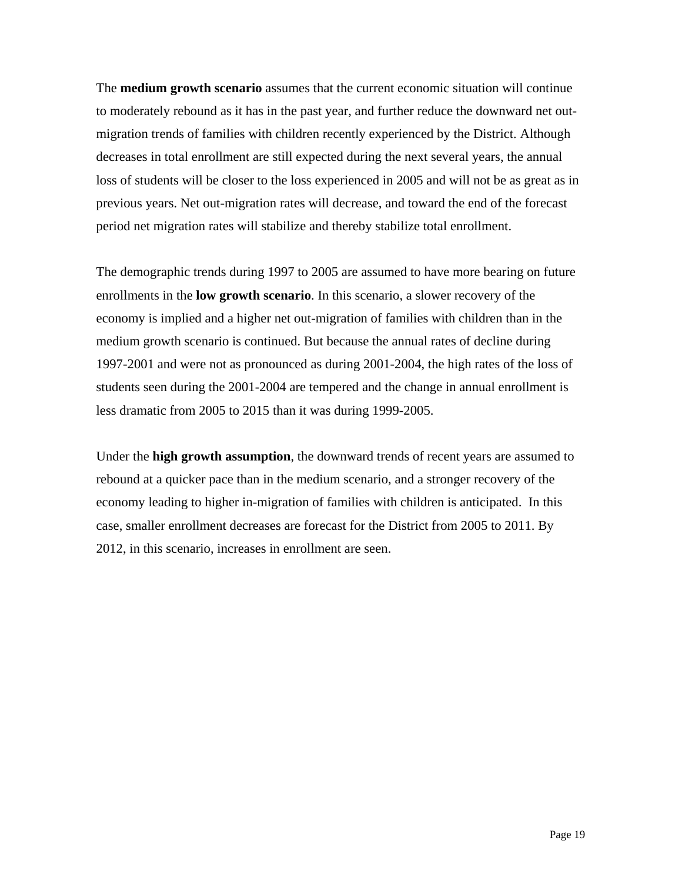The **medium growth scenario** assumes that the current economic situation will continue to moderately rebound as it has in the past year, and further reduce the downward net outmigration trends of families with children recently experienced by the District. Although decreases in total enrollment are still expected during the next several years, the annual loss of students will be closer to the loss experienced in 2005 and will not be as great as in previous years. Net out-migration rates will decrease, and toward the end of the forecast period net migration rates will stabilize and thereby stabilize total enrollment.

The demographic trends during 1997 to 2005 are assumed to have more bearing on future enrollments in the **low growth scenario**. In this scenario, a slower recovery of the economy is implied and a higher net out-migration of families with children than in the medium growth scenario is continued. But because the annual rates of decline during 1997-2001 and were not as pronounced as during 2001-2004, the high rates of the loss of students seen during the 2001-2004 are tempered and the change in annual enrollment is less dramatic from 2005 to 2015 than it was during 1999-2005.

Under the **high growth assumption**, the downward trends of recent years are assumed to rebound at a quicker pace than in the medium scenario, and a stronger recovery of the economy leading to higher in-migration of families with children is anticipated. In this case, smaller enrollment decreases are forecast for the District from 2005 to 2011. By 2012, in this scenario, increases in enrollment are seen.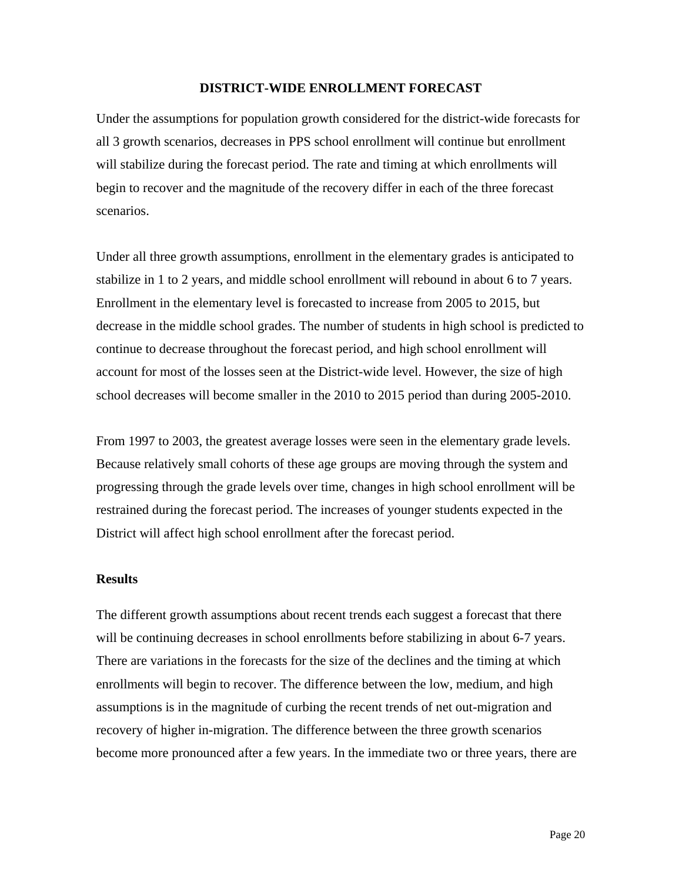#### **DISTRICT-WIDE ENROLLMENT FORECAST**

Under the assumptions for population growth considered for the district-wide forecasts for all 3 growth scenarios, decreases in PPS school enrollment will continue but enrollment will stabilize during the forecast period. The rate and timing at which enrollments will begin to recover and the magnitude of the recovery differ in each of the three forecast scenarios.

Under all three growth assumptions, enrollment in the elementary grades is anticipated to stabilize in 1 to 2 years, and middle school enrollment will rebound in about 6 to 7 years. Enrollment in the elementary level is forecasted to increase from 2005 to 2015, but decrease in the middle school grades. The number of students in high school is predicted to continue to decrease throughout the forecast period, and high school enrollment will account for most of the losses seen at the District-wide level. However, the size of high school decreases will become smaller in the 2010 to 2015 period than during 2005-2010.

From 1997 to 2003, the greatest average losses were seen in the elementary grade levels. Because relatively small cohorts of these age groups are moving through the system and progressing through the grade levels over time, changes in high school enrollment will be restrained during the forecast period. The increases of younger students expected in the District will affect high school enrollment after the forecast period.

#### **Results**

The different growth assumptions about recent trends each suggest a forecast that there will be continuing decreases in school enrollments before stabilizing in about 6-7 years. There are variations in the forecasts for the size of the declines and the timing at which enrollments will begin to recover. The difference between the low, medium, and high assumptions is in the magnitude of curbing the recent trends of net out-migration and recovery of higher in-migration. The difference between the three growth scenarios become more pronounced after a few years. In the immediate two or three years, there are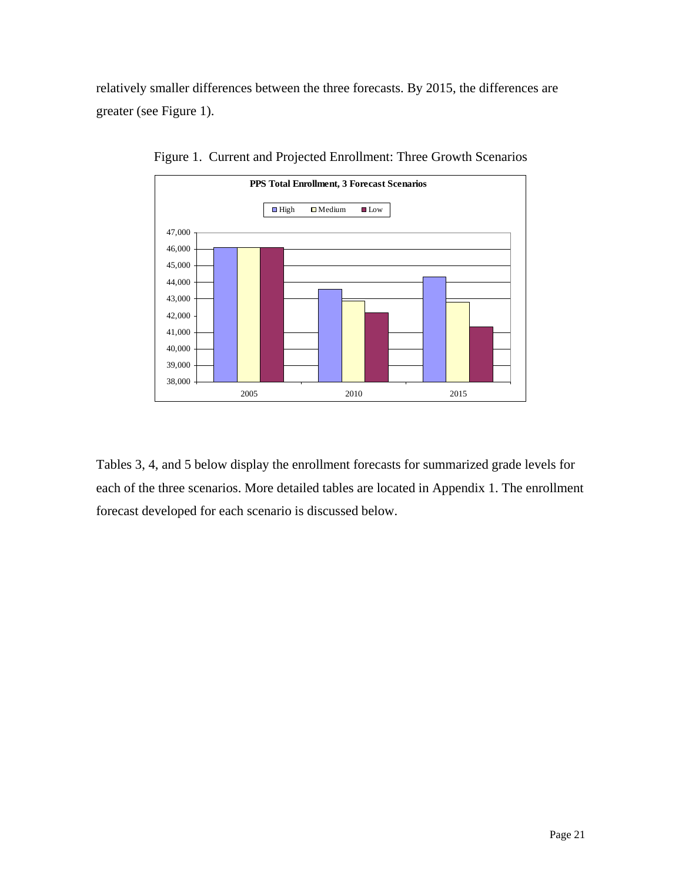relatively smaller differences between the three forecasts. By 2015, the differences are greater (see Figure 1).



Figure 1. Current and Projected Enrollment: Three Growth Scenarios

Tables 3, 4, and 5 below display the enrollment forecasts for summarized grade levels for each of the three scenarios. More detailed tables are located in Appendix 1. The enrollment forecast developed for each scenario is discussed below.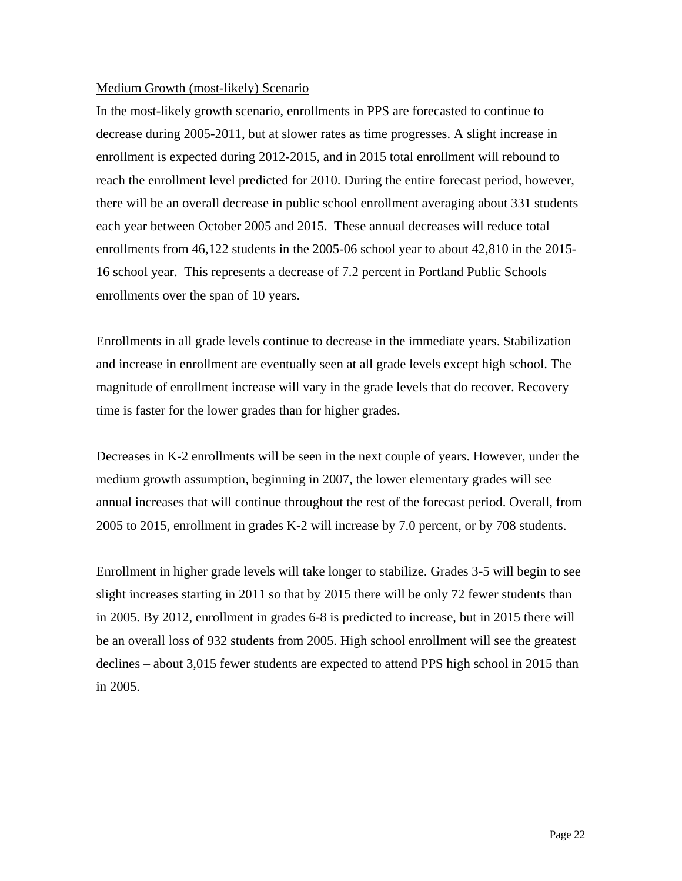#### Medium Growth (most-likely) Scenario

In the most-likely growth scenario, enrollments in PPS are forecasted to continue to decrease during 2005-2011, but at slower rates as time progresses. A slight increase in enrollment is expected during 2012-2015, and in 2015 total enrollment will rebound to reach the enrollment level predicted for 2010. During the entire forecast period, however, there will be an overall decrease in public school enrollment averaging about 331 students each year between October 2005 and 2015. These annual decreases will reduce total enrollments from 46,122 students in the 2005-06 school year to about 42,810 in the 2015- 16 school year. This represents a decrease of 7.2 percent in Portland Public Schools enrollments over the span of 10 years.

Enrollments in all grade levels continue to decrease in the immediate years. Stabilization and increase in enrollment are eventually seen at all grade levels except high school. The magnitude of enrollment increase will vary in the grade levels that do recover. Recovery time is faster for the lower grades than for higher grades.

Decreases in K-2 enrollments will be seen in the next couple of years. However, under the medium growth assumption, beginning in 2007, the lower elementary grades will see annual increases that will continue throughout the rest of the forecast period. Overall, from 2005 to 2015, enrollment in grades K-2 will increase by 7.0 percent, or by 708 students.

Enrollment in higher grade levels will take longer to stabilize. Grades 3-5 will begin to see slight increases starting in 2011 so that by 2015 there will be only 72 fewer students than in 2005. By 2012, enrollment in grades 6-8 is predicted to increase, but in 2015 there will be an overall loss of 932 students from 2005. High school enrollment will see the greatest declines – about 3,015 fewer students are expected to attend PPS high school in 2015 than in 2005.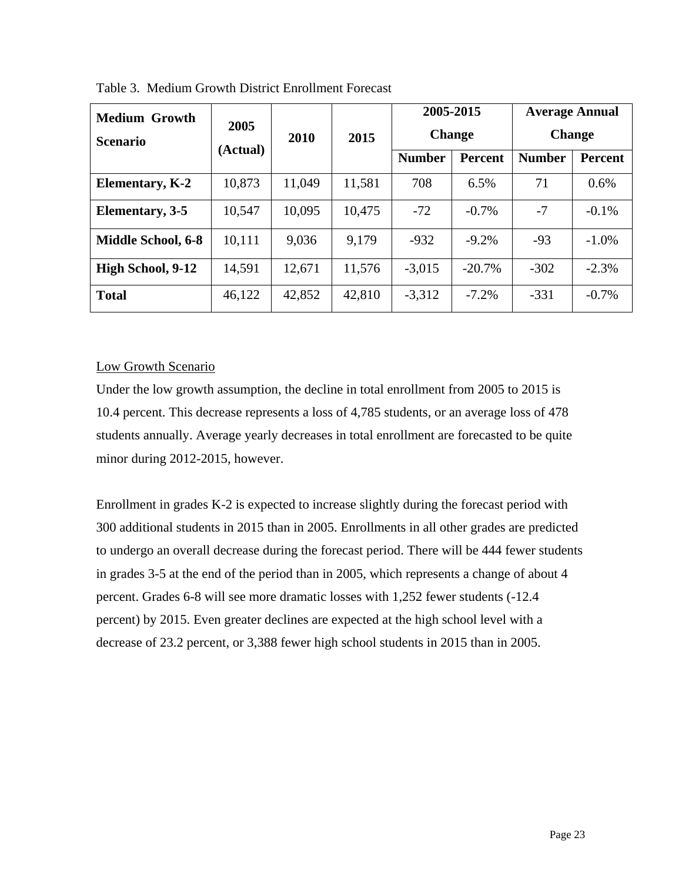| <b>Medium Growth</b>      | 2005<br>(Actual) |        |        |               | 2005-2015      |               | <b>Average Annual</b> |
|---------------------------|------------------|--------|--------|---------------|----------------|---------------|-----------------------|
| <b>Scenario</b>           |                  | 2010   | 2015   | <b>Change</b> |                | <b>Change</b> |                       |
|                           |                  |        |        | <b>Number</b> | <b>Percent</b> | <b>Number</b> | <b>Percent</b>        |
| <b>Elementary, K-2</b>    | 10,873           | 11,049 | 11,581 | 708           | 6.5%           | 71            | 0.6%                  |
| Elementary, 3-5           | 10,547           | 10,095 | 10,475 | $-72$         | $-0.7\%$       | $-7$          | $-0.1\%$              |
| <b>Middle School, 6-8</b> | 10,111           | 9,036  | 9,179  | $-932$        | $-9.2%$        | $-93$         | $-1.0\%$              |
| High School, 9-12         | 14,591           | 12,671 | 11,576 | $-3,015$      | $-20.7%$       | $-302$        | $-2.3%$               |
| <b>Total</b>              | 46,122           | 42,852 | 42,810 | $-3,312$      | $-7.2%$        | $-331$        | $-0.7\%$              |

Table 3. Medium Growth District Enrollment Forecast

# Low Growth Scenario

Under the low growth assumption, the decline in total enrollment from 2005 to 2015 is 10.4 percent. This decrease represents a loss of 4,785 students, or an average loss of 478 students annually. Average yearly decreases in total enrollment are forecasted to be quite minor during 2012-2015, however.

Enrollment in grades K-2 is expected to increase slightly during the forecast period with 300 additional students in 2015 than in 2005. Enrollments in all other grades are predicted to undergo an overall decrease during the forecast period. There will be 444 fewer students in grades 3-5 at the end of the period than in 2005, which represents a change of about 4 percent. Grades 6-8 will see more dramatic losses with 1,252 fewer students (-12.4 percent) by 2015. Even greater declines are expected at the high school level with a decrease of 23.2 percent, or 3,388 fewer high school students in 2015 than in 2005.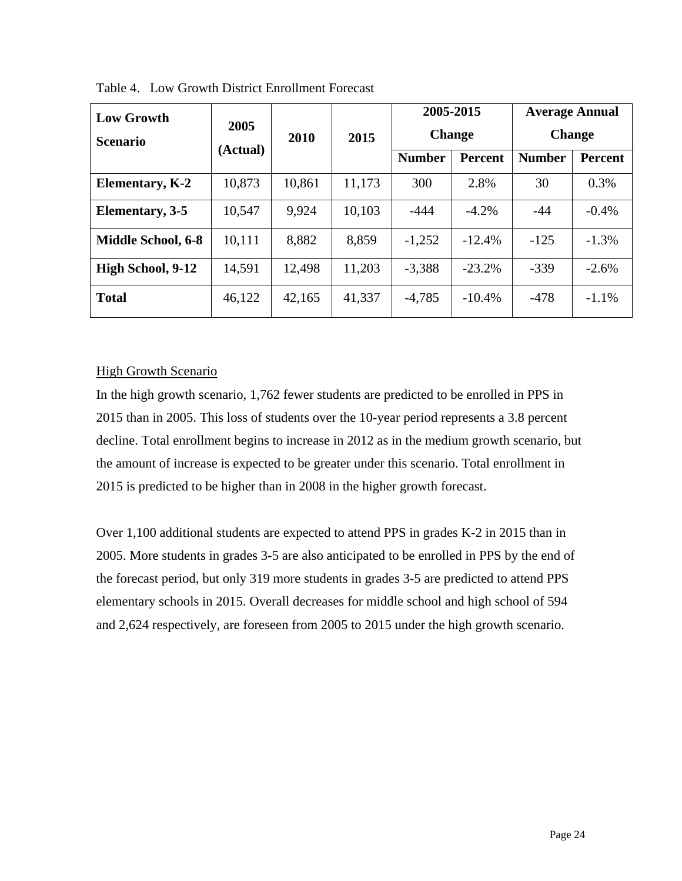| <b>Low Growth</b>      | 2005<br>(Actual) |        |        |               | 2005-2015     |               | <b>Average Annual</b> |  |
|------------------------|------------------|--------|--------|---------------|---------------|---------------|-----------------------|--|
| <b>Scenario</b>        |                  | 2010   |        | 2015          | <b>Change</b> |               | <b>Change</b>         |  |
|                        |                  |        |        | <b>Number</b> | Percent       | <b>Number</b> | <b>Percent</b>        |  |
| <b>Elementary, K-2</b> | 10,873           | 10,861 | 11,173 | 300           | 2.8%          | 30            | 0.3%                  |  |
| Elementary, 3-5        | 10,547           | 9,924  | 10,103 | -444          | $-4.2\%$      | -44           | $-0.4%$               |  |
| Middle School, 6-8     | 10,111           | 8,882  | 8,859  | $-1,252$      | $-12.4%$      | $-125$        | $-1.3\%$              |  |
| High School, 9-12      | 14,591           | 12,498 | 11,203 | $-3,388$      | $-23.2%$      | $-339$        | $-2.6%$               |  |
| <b>Total</b>           | 46,122           | 42,165 | 41,337 | $-4,785$      | $-10.4%$      | $-478$        | $-1.1\%$              |  |

Table 4. Low Growth District Enrollment Forecast

# High Growth Scenario

In the high growth scenario, 1,762 fewer students are predicted to be enrolled in PPS in 2015 than in 2005. This loss of students over the 10-year period represents a 3.8 percent decline. Total enrollment begins to increase in 2012 as in the medium growth scenario, but the amount of increase is expected to be greater under this scenario. Total enrollment in 2015 is predicted to be higher than in 2008 in the higher growth forecast.

Over 1,100 additional students are expected to attend PPS in grades K-2 in 2015 than in 2005. More students in grades 3-5 are also anticipated to be enrolled in PPS by the end of the forecast period, but only 319 more students in grades 3-5 are predicted to attend PPS elementary schools in 2015. Overall decreases for middle school and high school of 594 and 2,624 respectively, are foreseen from 2005 to 2015 under the high growth scenario.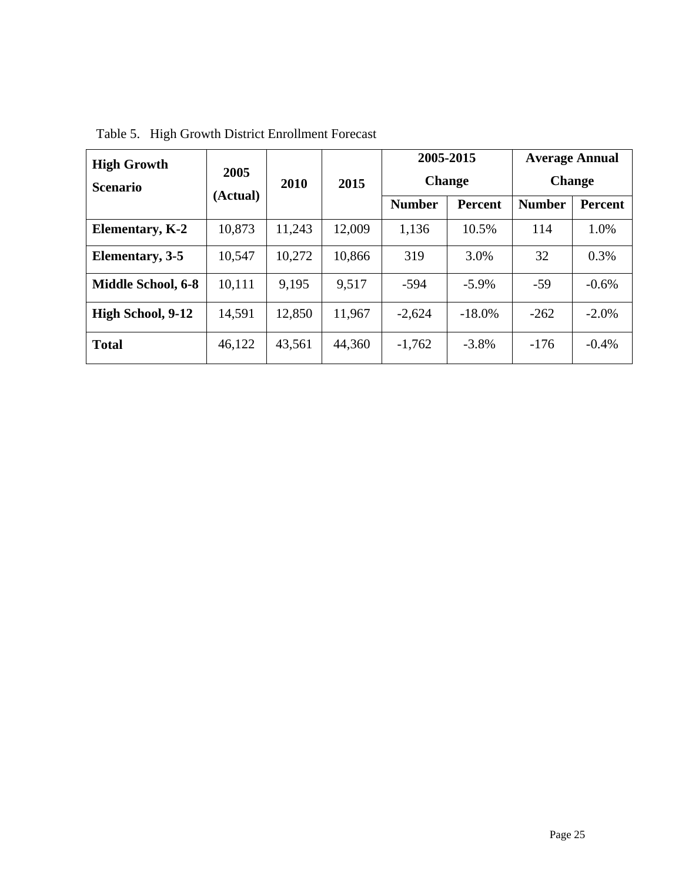| <b>High Growth</b>        | 2005<br>(Actual) |        |        | 2005-2015     |                | <b>Average Annual</b> |                |  |               |  |
|---------------------------|------------------|--------|--------|---------------|----------------|-----------------------|----------------|--|---------------|--|
| <b>Scenario</b>           |                  |        |        |               | 2010           | 2015                  | <b>Change</b>  |  | <b>Change</b> |  |
|                           |                  |        |        | <b>Number</b> | <b>Percent</b> | <b>Number</b>         | <b>Percent</b> |  |               |  |
| <b>Elementary, K-2</b>    | 10,873           | 11,243 | 12,009 | 1,136         | 10.5%          | 114                   | 1.0%           |  |               |  |
| Elementary, 3-5           | 10,547           | 10,272 | 10,866 | 319           | 3.0%           | 32                    | 0.3%           |  |               |  |
| <b>Middle School, 6-8</b> | 10,111           | 9,195  | 9,517  | -594          | $-5.9\%$       | $-59$                 | $-0.6%$        |  |               |  |
| High School, 9-12         | 14,591           | 12,850 | 11,967 | $-2,624$      | $-18.0\%$      | $-262$                | $-2.0\%$       |  |               |  |
| <b>Total</b>              | 46,122           | 43,561 | 44,360 | $-1,762$      | $-3.8\%$       | $-176$                | $-0.4\%$       |  |               |  |

Table 5. High Growth District Enrollment Forecast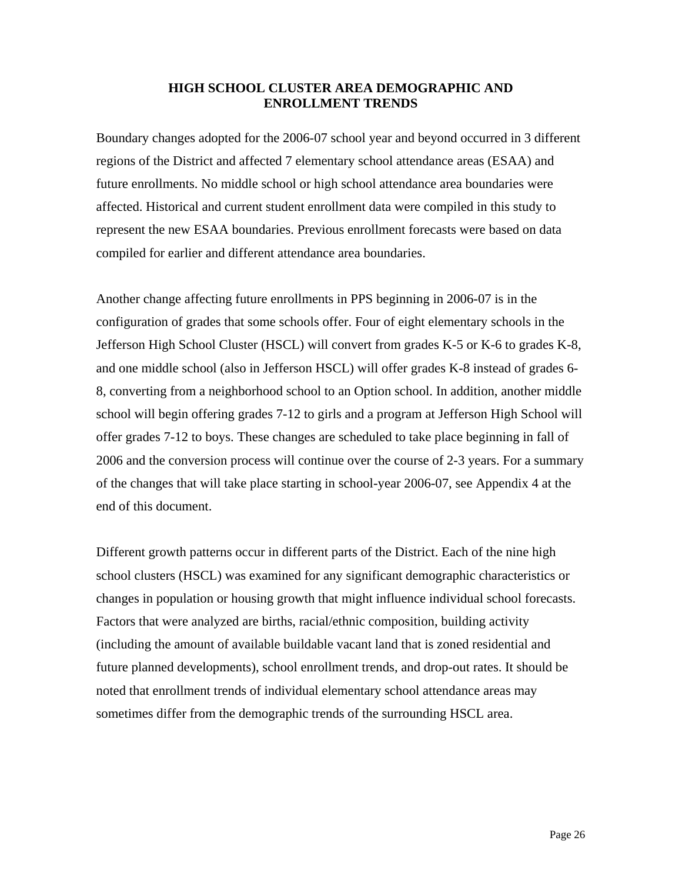#### **HIGH SCHOOL CLUSTER AREA DEMOGRAPHIC AND ENROLLMENT TRENDS**

Boundary changes adopted for the 2006-07 school year and beyond occurred in 3 different regions of the District and affected 7 elementary school attendance areas (ESAA) and future enrollments. No middle school or high school attendance area boundaries were affected. Historical and current student enrollment data were compiled in this study to represent the new ESAA boundaries. Previous enrollment forecasts were based on data compiled for earlier and different attendance area boundaries.

Another change affecting future enrollments in PPS beginning in 2006-07 is in the configuration of grades that some schools offer. Four of eight elementary schools in the Jefferson High School Cluster (HSCL) will convert from grades K-5 or K-6 to grades K-8, and one middle school (also in Jefferson HSCL) will offer grades K-8 instead of grades 6- 8, converting from a neighborhood school to an Option school. In addition, another middle school will begin offering grades 7-12 to girls and a program at Jefferson High School will offer grades 7-12 to boys. These changes are scheduled to take place beginning in fall of 2006 and the conversion process will continue over the course of 2-3 years. For a summary of the changes that will take place starting in school-year 2006-07, see Appendix 4 at the end of this document.

Different growth patterns occur in different parts of the District. Each of the nine high school clusters (HSCL) was examined for any significant demographic characteristics or changes in population or housing growth that might influence individual school forecasts. Factors that were analyzed are births, racial/ethnic composition, building activity (including the amount of available buildable vacant land that is zoned residential and future planned developments), school enrollment trends, and drop-out rates. It should be noted that enrollment trends of individual elementary school attendance areas may sometimes differ from the demographic trends of the surrounding HSCL area.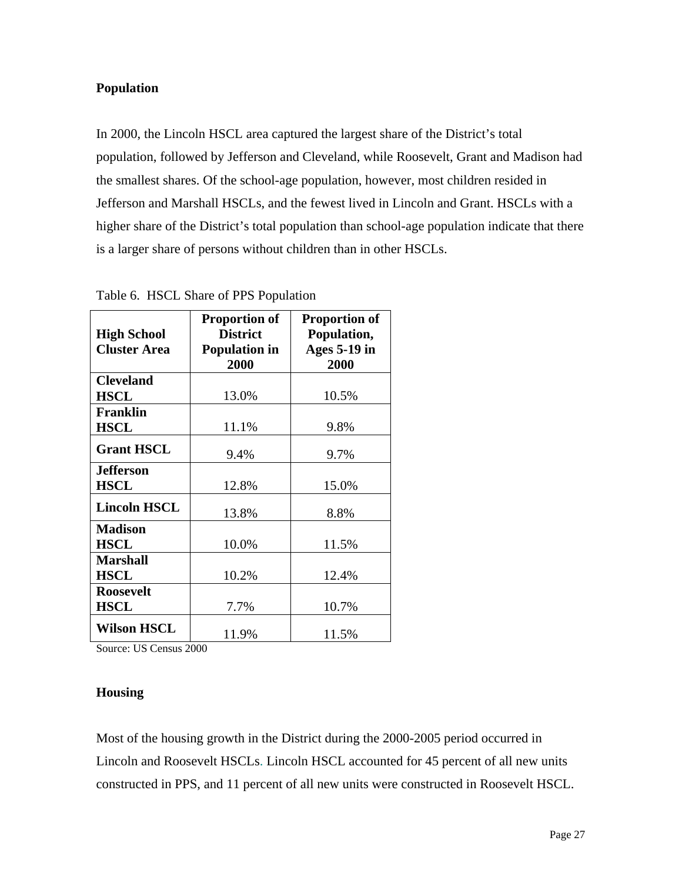# **Population**

In 2000, the Lincoln HSCL area captured the largest share of the District's total population, followed by Jefferson and Cleveland, while Roosevelt, Grant and Madison had the smallest shares. Of the school-age population, however, most children resided in Jefferson and Marshall HSCLs, and the fewest lived in Lincoln and Grant. HSCLs with a higher share of the District's total population than school-age population indicate that there is a larger share of persons without children than in other HSCLs.

| <b>High School</b><br><b>Cluster Area</b> | <b>Proportion of</b><br><b>District</b><br><b>Population in</b><br>2000 | <b>Proportion of</b><br>Population,<br><b>Ages 5-19 in</b><br>2000 |
|-------------------------------------------|-------------------------------------------------------------------------|--------------------------------------------------------------------|
| <b>Cleveland</b><br><b>HSCL</b>           | 13.0%                                                                   | 10.5%                                                              |
| <b>Franklin</b><br><b>HSCL</b>            | 11.1%                                                                   | 9.8%                                                               |
| <b>Grant HSCL</b>                         | 9.4%                                                                    | 9.7%                                                               |
| <b>Jefferson</b><br><b>HSCL</b>           | 12.8%                                                                   | 15.0%                                                              |
| <b>Lincoln HSCL</b>                       | 13.8%                                                                   | 8.8%                                                               |
| <b>Madison</b><br><b>HSCL</b>             | 10.0%                                                                   | 11.5%                                                              |
| <b>Marshall</b><br><b>HSCL</b>            | 10.2%                                                                   | 12.4%                                                              |
| <b>Roosevelt</b><br><b>HSCL</b>           | 7.7%                                                                    | 10.7%                                                              |
| <b>Wilson HSCL</b>                        | 11.9%                                                                   | 11.5%                                                              |

Table 6. HSCL Share of PPS Population

Source: US Census 2000

### **Housing**

Most of the housing growth in the District during the 2000-2005 period occurred in Lincoln and Roosevelt HSCLs. Lincoln HSCL accounted for 45 percent of all new units constructed in PPS, and 11 percent of all new units were constructed in Roosevelt HSCL.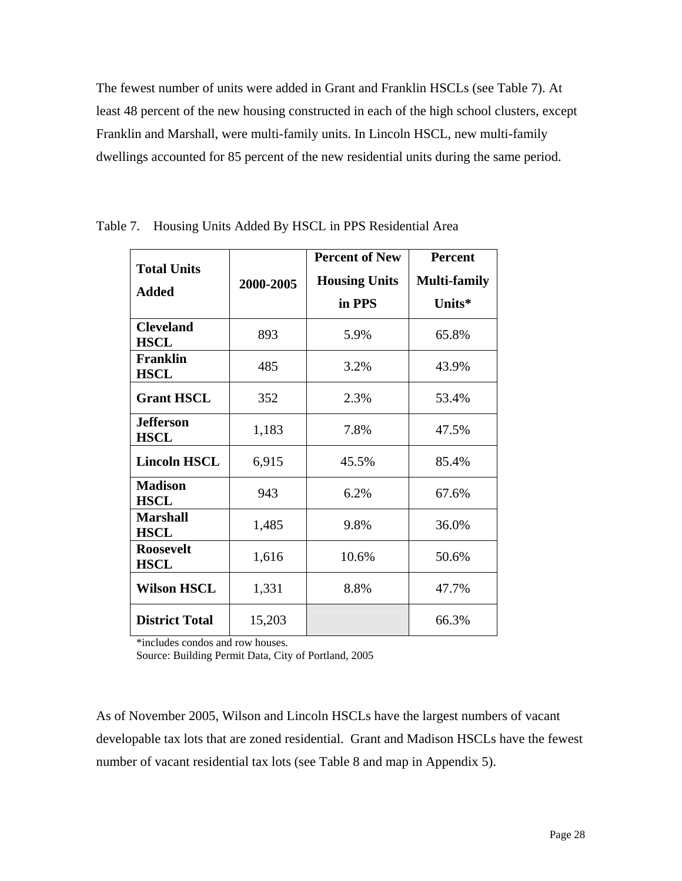The fewest number of units were added in Grant and Franklin HSCLs (see Table 7). At least 48 percent of the new housing constructed in each of the high school clusters, except Franklin and Marshall, were multi-family units. In Lincoln HSCL, new multi-family dwellings accounted for 85 percent of the new residential units during the same period.

|                                 |           | <b>Percent of New</b> | <b>Percent</b>      |  |
|---------------------------------|-----------|-----------------------|---------------------|--|
| <b>Total Units</b>              | 2000-2005 | <b>Housing Units</b>  | <b>Multi-family</b> |  |
| <b>Added</b>                    |           | in PPS                | Units*              |  |
|                                 |           |                       |                     |  |
| <b>Cleveland</b><br><b>HSCL</b> | 893       | 5.9%                  | 65.8%               |  |
| <b>Franklin</b><br><b>HSCL</b>  | 485       | 3.2%                  | 43.9%               |  |
| <b>Grant HSCL</b>               | 352       | 2.3%                  | 53.4%               |  |
| <b>Jefferson</b><br><b>HSCL</b> | 1,183     | 7.8%                  | 47.5%               |  |
| <b>Lincoln HSCL</b>             | 6,915     | 45.5%                 | 85.4%               |  |
| <b>Madison</b><br><b>HSCL</b>   | 943       | 6.2%                  | 67.6%               |  |
| <b>Marshall</b><br><b>HSCL</b>  | 1,485     | 9.8%                  | 36.0%               |  |
| <b>Roosevelt</b><br><b>HSCL</b> | 1,616     | 10.6%                 | 50.6%               |  |
| <b>Wilson HSCL</b>              | 1,331     | 8.8%                  | 47.7%               |  |
| <b>District Total</b>           | 15,203    |                       | 66.3%               |  |

Table 7. Housing Units Added By HSCL in PPS Residential Area

\*includes condos and row houses.

Source: Building Permit Data, City of Portland, 2005

As of November 2005, Wilson and Lincoln HSCLs have the largest numbers of vacant developable tax lots that are zoned residential. Grant and Madison HSCLs have the fewest number of vacant residential tax lots (see Table 8 and map in Appendix 5).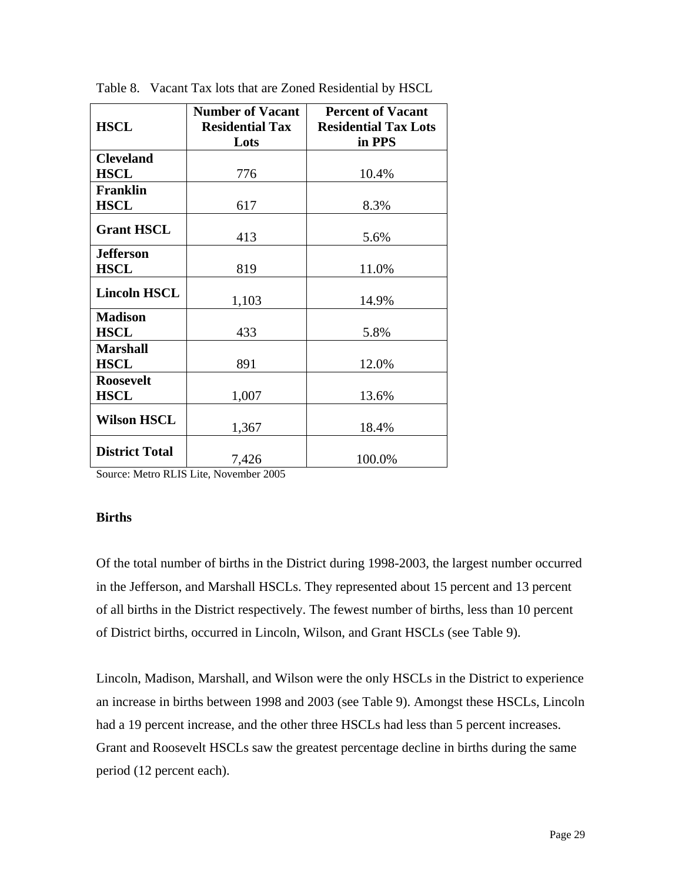|                       | <b>Number of Vacant</b> | <b>Percent of Vacant</b>    |
|-----------------------|-------------------------|-----------------------------|
| <b>HSCL</b>           | <b>Residential Tax</b>  | <b>Residential Tax Lots</b> |
|                       | Lots                    | in PPS                      |
| <b>Cleveland</b>      |                         |                             |
| <b>HSCL</b>           | 776                     | 10.4%                       |
| <b>Franklin</b>       |                         |                             |
| <b>HSCL</b>           | 617                     | 8.3%                        |
| <b>Grant HSCL</b>     |                         |                             |
|                       | 413                     | 5.6%                        |
| <b>Jefferson</b>      |                         |                             |
| <b>HSCL</b>           | 819                     | 11.0%                       |
| <b>Lincoln HSCL</b>   |                         |                             |
|                       | 1,103                   | 14.9%                       |
| <b>Madison</b>        |                         |                             |
| <b>HSCL</b>           | 433                     | 5.8%                        |
| <b>Marshall</b>       |                         |                             |
| <b>HSCL</b>           | 891                     | 12.0%                       |
| <b>Roosevelt</b>      |                         |                             |
| <b>HSCL</b>           | 1,007                   | 13.6%                       |
| <b>Wilson HSCL</b>    |                         |                             |
|                       | 1,367                   | 18.4%                       |
| <b>District Total</b> |                         |                             |
|                       | 7,426                   | 100.0%                      |

Table 8. Vacant Tax lots that are Zoned Residential by HSCL

Source: Metro RLIS Lite, November 2005

### **Births**

Of the total number of births in the District during 1998-2003, the largest number occurred in the Jefferson, and Marshall HSCLs. They represented about 15 percent and 13 percent of all births in the District respectively. The fewest number of births, less than 10 percent of District births, occurred in Lincoln, Wilson, and Grant HSCLs (see Table 9).

Lincoln, Madison, Marshall, and Wilson were the only HSCLs in the District to experience an increase in births between 1998 and 2003 (see Table 9). Amongst these HSCLs, Lincoln had a 19 percent increase, and the other three HSCLs had less than 5 percent increases. Grant and Roosevelt HSCLs saw the greatest percentage decline in births during the same period (12 percent each).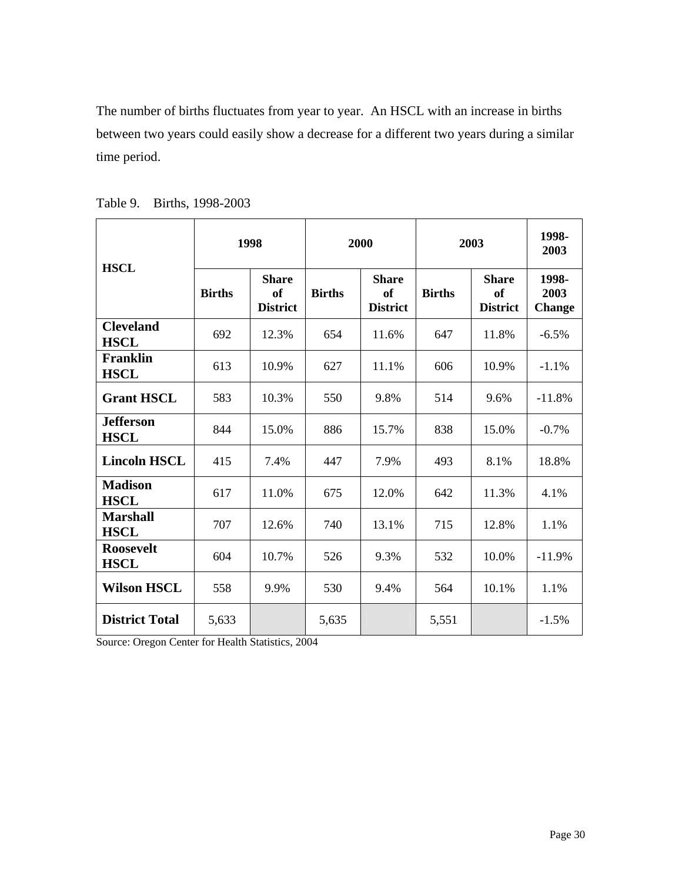The number of births fluctuates from year to year. An HSCL with an increase in births between two years could easily show a decrease for a different two years during a similar time period.

| <b>HSCL</b>                     | 1998          |                                       | 2000          |                                       | 2003          |                                       | 1998-<br>2003                  |
|---------------------------------|---------------|---------------------------------------|---------------|---------------------------------------|---------------|---------------------------------------|--------------------------------|
|                                 | <b>Births</b> | <b>Share</b><br>of<br><b>District</b> | <b>Births</b> | <b>Share</b><br>of<br><b>District</b> | <b>Births</b> | <b>Share</b><br>of<br><b>District</b> | 1998-<br>2003<br><b>Change</b> |
| <b>Cleveland</b><br><b>HSCL</b> | 692           | 12.3%                                 | 654           | 11.6%                                 | 647           | 11.8%                                 | $-6.5%$                        |
| <b>Franklin</b><br><b>HSCL</b>  | 613           | 10.9%                                 | 627           | 11.1%                                 | 606           | 10.9%                                 | $-1.1%$                        |
| <b>Grant HSCL</b>               | 583           | 10.3%                                 | 550           | 9.8%                                  | 514           | 9.6%                                  | $-11.8%$                       |
| <b>Jefferson</b><br><b>HSCL</b> | 844           | 15.0%                                 | 886           | 15.7%                                 | 838           | 15.0%                                 | $-0.7%$                        |
| <b>Lincoln HSCL</b>             | 415           | 7.4%                                  | 447           | 7.9%                                  | 493           | 8.1%                                  | 18.8%                          |
| <b>Madison</b><br><b>HSCL</b>   | 617           | 11.0%                                 | 675           | 12.0%                                 | 642           | 11.3%                                 | 4.1%                           |
| <b>Marshall</b><br><b>HSCL</b>  | 707           | 12.6%                                 | 740           | 13.1%                                 | 715           | 12.8%                                 | 1.1%                           |
| <b>Roosevelt</b><br><b>HSCL</b> | 604           | 10.7%                                 | 526           | 9.3%                                  | 532           | 10.0%                                 | $-11.9%$                       |
| <b>Wilson HSCL</b>              | 558           | 9.9%                                  | 530           | 9.4%                                  | 564           | 10.1%                                 | 1.1%                           |
| <b>District Total</b>           | 5,633         |                                       | 5,635         |                                       | 5,551         |                                       | $-1.5%$                        |

Table 9. Births, 1998-2003

Source: Oregon Center for Health Statistics, 2004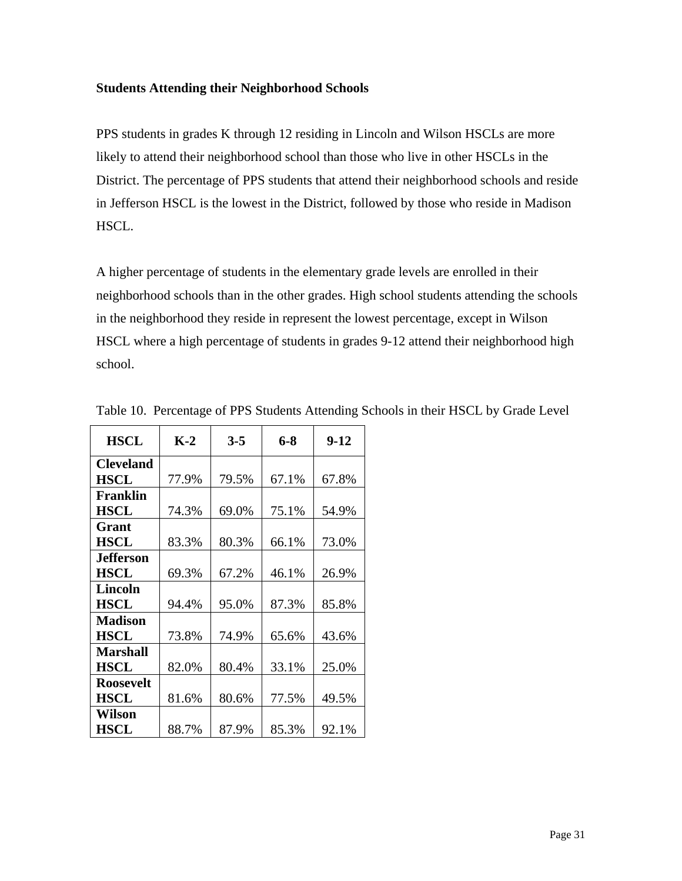#### **Students Attending their Neighborhood Schools**

PPS students in grades K through 12 residing in Lincoln and Wilson HSCLs are more likely to attend their neighborhood school than those who live in other HSCLs in the District. The percentage of PPS students that attend their neighborhood schools and reside in Jefferson HSCL is the lowest in the District, followed by those who reside in Madison HSCL.

A higher percentage of students in the elementary grade levels are enrolled in their neighborhood schools than in the other grades. High school students attending the schools in the neighborhood they reside in represent the lowest percentage, except in Wilson HSCL where a high percentage of students in grades 9-12 attend their neighborhood high school.

| <b>HSCL</b>      | $K-2$ | $3 - 5$ | 6-8   | $9-12$ |
|------------------|-------|---------|-------|--------|
| <b>Cleveland</b> |       |         |       |        |
| <b>HSCL</b>      | 77.9% | 79.5%   | 67.1% | 67.8%  |
| <b>Franklin</b>  |       |         |       |        |
| <b>HSCL</b>      | 74.3% | 69.0%   | 75.1% | 54.9%  |
| Grant            |       |         |       |        |
| <b>HSCL</b>      | 83.3% | 80.3%   | 66.1% | 73.0%  |
| Jefferson        |       |         |       |        |
| <b>HSCL</b>      | 69.3% | 67.2%   | 46.1% | 26.9%  |
| <b>Lincoln</b>   |       |         |       |        |
| <b>HSCL</b>      | 94.4% | 95.0%   | 87.3% | 85.8%  |
| <b>Madison</b>   |       |         |       |        |
| <b>HSCL</b>      | 73.8% | 74.9%   | 65.6% | 43.6%  |
| <b>Marshall</b>  |       |         |       |        |
| <b>HSCL</b>      | 82.0% | 80.4%   | 33.1% | 25.0%  |
| <b>Roosevelt</b> |       |         |       |        |
| <b>HSCL</b>      | 81.6% | 80.6%   | 77.5% | 49.5%  |
| Wilson           |       |         |       |        |
| HSCL             | 88.7% | 87.9%   | 85.3% | 92.1%  |

Table 10. Percentage of PPS Students Attending Schools in their HSCL by Grade Level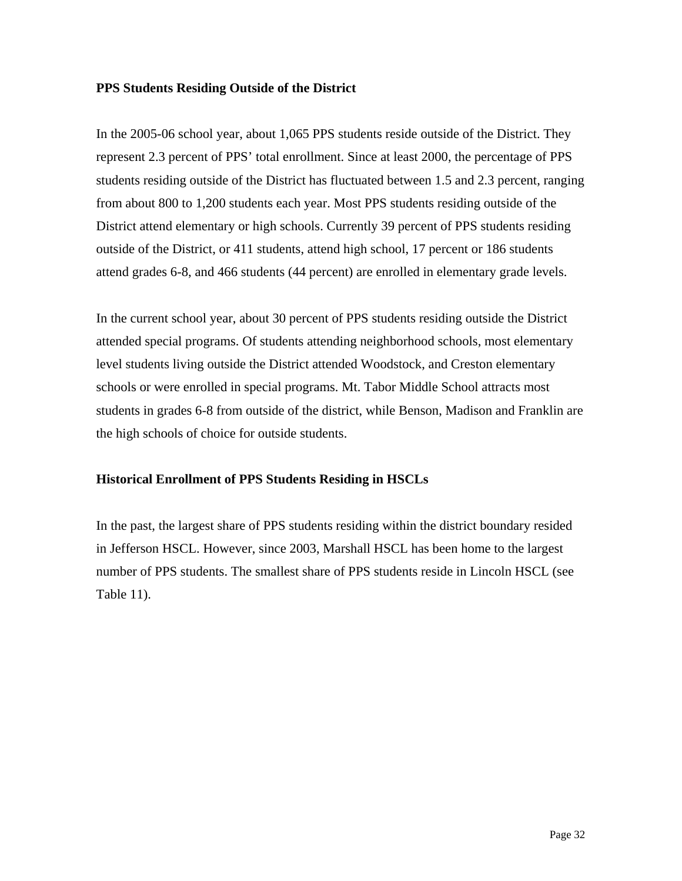### **PPS Students Residing Outside of the District**

In the 2005-06 school year, about 1,065 PPS students reside outside of the District. They represent 2.3 percent of PPS' total enrollment. Since at least 2000, the percentage of PPS students residing outside of the District has fluctuated between 1.5 and 2.3 percent, ranging from about 800 to 1,200 students each year. Most PPS students residing outside of the District attend elementary or high schools. Currently 39 percent of PPS students residing outside of the District, or 411 students, attend high school, 17 percent or 186 students attend grades 6-8, and 466 students (44 percent) are enrolled in elementary grade levels.

In the current school year, about 30 percent of PPS students residing outside the District attended special programs. Of students attending neighborhood schools, most elementary level students living outside the District attended Woodstock, and Creston elementary schools or were enrolled in special programs. Mt. Tabor Middle School attracts most students in grades 6-8 from outside of the district, while Benson, Madison and Franklin are the high schools of choice for outside students.

### **Historical Enrollment of PPS Students Residing in HSCLs**

In the past, the largest share of PPS students residing within the district boundary resided in Jefferson HSCL. However, since 2003, Marshall HSCL has been home to the largest number of PPS students. The smallest share of PPS students reside in Lincoln HSCL (see Table 11).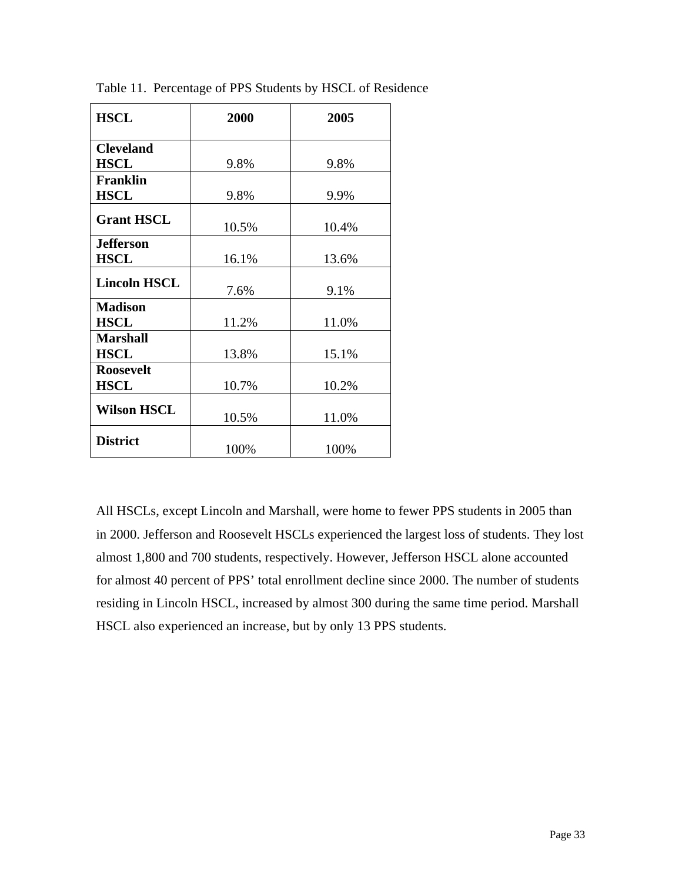| <b>HSCL</b>         | 2000  | 2005  |
|---------------------|-------|-------|
| <b>Cleveland</b>    |       |       |
| <b>HSCL</b>         | 9.8%  | 9.8%  |
| <b>Franklin</b>     |       |       |
| <b>HSCL</b>         | 9.8%  | 9.9%  |
| <b>Grant HSCL</b>   | 10.5% | 10.4% |
| <b>Jefferson</b>    |       |       |
| <b>HSCL</b>         | 16.1% | 13.6% |
| <b>Lincoln HSCL</b> | 7.6%  | 9.1%  |
| <b>Madison</b>      |       |       |
| <b>HSCL</b>         | 11.2% | 11.0% |
| <b>Marshall</b>     |       |       |
| <b>HSCL</b>         | 13.8% | 15.1% |
| <b>Roosevelt</b>    |       |       |
| <b>HSCL</b>         | 10.7% | 10.2% |
| <b>Wilson HSCL</b>  | 10.5% | 11.0% |
| <b>District</b>     | 100%  | 100%  |

Table 11. Percentage of PPS Students by HSCL of Residence

All HSCLs, except Lincoln and Marshall, were home to fewer PPS students in 2005 than in 2000. Jefferson and Roosevelt HSCLs experienced the largest loss of students. They lost almost 1,800 and 700 students, respectively. However, Jefferson HSCL alone accounted for almost 40 percent of PPS' total enrollment decline since 2000. The number of students residing in Lincoln HSCL, increased by almost 300 during the same time period. Marshall HSCL also experienced an increase, but by only 13 PPS students.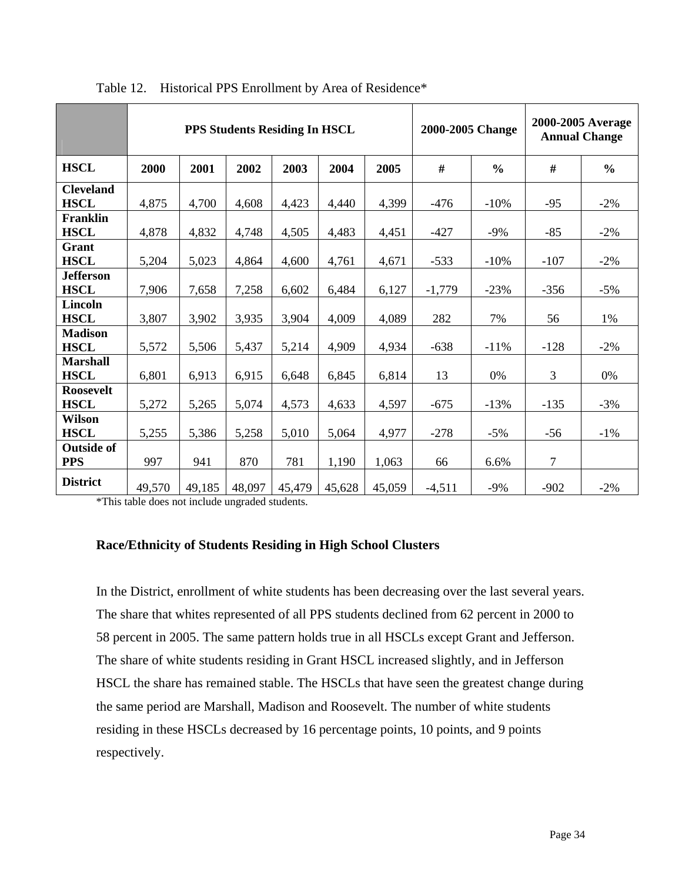|                                 |        |        |        | PPS Students Residing In HSCL |        |        | 2000-2005 Change |               |                | 2000-2005 Average<br><b>Annual Change</b> |
|---------------------------------|--------|--------|--------|-------------------------------|--------|--------|------------------|---------------|----------------|-------------------------------------------|
| <b>HSCL</b>                     | 2000   | 2001   | 2002   | 2003                          | 2004   | 2005   | #                | $\frac{0}{0}$ | #              | $\frac{6}{6}$                             |
| <b>Cleveland</b><br><b>HSCL</b> | 4,875  | 4,700  | 4,608  | 4,423                         | 4,440  | 4,399  | $-476$           | $-10%$        | $-95$          | $-2\%$                                    |
| <b>Franklin</b><br><b>HSCL</b>  | 4,878  | 4,832  | 4,748  | 4,505                         | 4,483  | 4,451  | $-427$           | $-9%$         | $-85$          | $-2%$                                     |
| Grant<br><b>HSCL</b>            | 5,204  | 5,023  | 4,864  | 4,600                         | 4,761  | 4,671  | $-533$           | $-10%$        | $-107$         | $-2\%$                                    |
| <b>Jefferson</b><br><b>HSCL</b> | 7,906  | 7,658  | 7,258  | 6,602                         | 6,484  | 6,127  | $-1,779$         | $-23%$        | $-356$         | $-5%$                                     |
| Lincoln<br><b>HSCL</b>          | 3,807  | 3,902  | 3,935  | 3,904                         | 4,009  | 4,089  | 282              | 7%            | 56             | 1%                                        |
| <b>Madison</b><br><b>HSCL</b>   | 5,572  | 5,506  | 5,437  | 5,214                         | 4,909  | 4,934  | $-638$           | $-11%$        | $-128$         | $-2%$                                     |
| <b>Marshall</b><br><b>HSCL</b>  | 6,801  | 6,913  | 6,915  | 6,648                         | 6,845  | 6,814  | 13               | 0%            | 3              | 0%                                        |
| <b>Roosevelt</b><br><b>HSCL</b> | 5,272  | 5,265  | 5,074  | 4,573                         | 4,633  | 4,597  | $-675$           | $-13%$        | $-135$         | $-3%$                                     |
| <b>Wilson</b><br><b>HSCL</b>    | 5,255  | 5,386  | 5,258  | 5,010                         | 5,064  | 4,977  | $-278$           | $-5%$         | $-56$          | $-1\%$                                    |
| <b>Outside of</b><br><b>PPS</b> | 997    | 941    | 870    | 781                           | 1,190  | 1,063  | 66               | 6.6%          | $\overline{7}$ |                                           |
| <b>District</b>                 | 49,570 | 49,185 | 48,097 | 45,479                        | 45,628 | 45,059 | $-4,511$         | $-9%$         | $-902$         | $-2%$                                     |

Table 12. Historical PPS Enrollment by Area of Residence\*

\*This table does not include ungraded students.

### **Race/Ethnicity of Students Residing in High School Clusters**

In the District, enrollment of white students has been decreasing over the last several years. The share that whites represented of all PPS students declined from 62 percent in 2000 to 58 percent in 2005. The same pattern holds true in all HSCLs except Grant and Jefferson. The share of white students residing in Grant HSCL increased slightly, and in Jefferson HSCL the share has remained stable. The HSCLs that have seen the greatest change during the same period are Marshall, Madison and Roosevelt. The number of white students residing in these HSCLs decreased by 16 percentage points, 10 points, and 9 points respectively.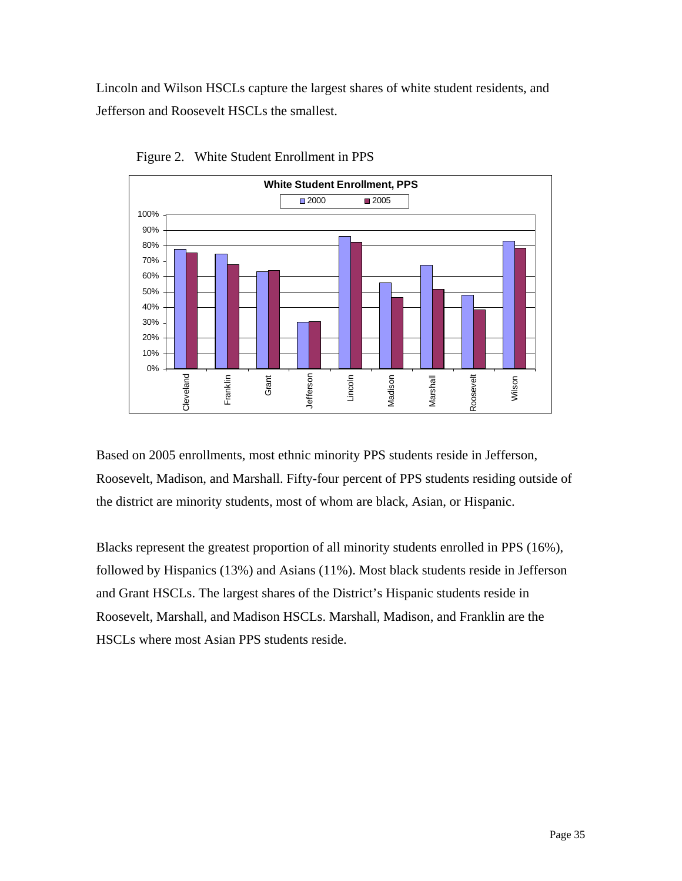Lincoln and Wilson HSCLs capture the largest shares of white student residents, and Jefferson and Roosevelt HSCLs the smallest.



Figure 2. White Student Enrollment in PPS

Based on 2005 enrollments, most ethnic minority PPS students reside in Jefferson, Roosevelt, Madison, and Marshall. Fifty-four percent of PPS students residing outside of the district are minority students, most of whom are black, Asian, or Hispanic.

Blacks represent the greatest proportion of all minority students enrolled in PPS (16%), followed by Hispanics (13%) and Asians (11%). Most black students reside in Jefferson and Grant HSCLs. The largest shares of the District's Hispanic students reside in Roosevelt, Marshall, and Madison HSCLs. Marshall, Madison, and Franklin are the HSCLs where most Asian PPS students reside.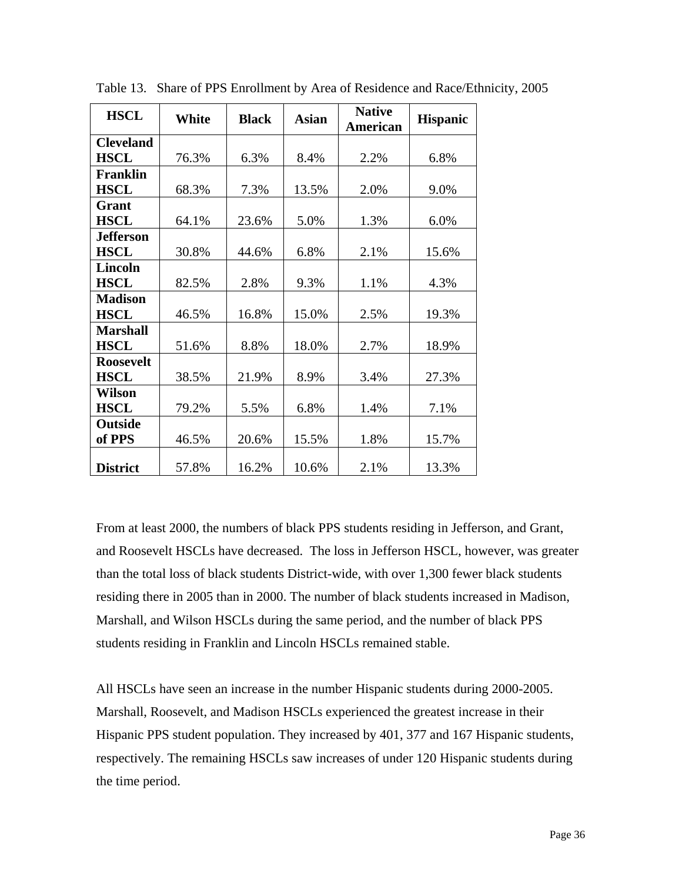| <b>HSCL</b>      | White | <b>Black</b> | <b>Asian</b> | <b>Native</b><br><b>American</b> | <b>Hispanic</b> |
|------------------|-------|--------------|--------------|----------------------------------|-----------------|
| <b>Cleveland</b> |       |              |              |                                  |                 |
| <b>HSCL</b>      | 76.3% | 6.3%         | 8.4%         | 2.2%                             | 6.8%            |
| <b>Franklin</b>  |       |              |              |                                  |                 |
| <b>HSCL</b>      | 68.3% | 7.3%         | 13.5%        | 2.0%                             | 9.0%            |
| Grant            |       |              |              |                                  |                 |
| <b>HSCL</b>      | 64.1% | 23.6%        | 5.0%         | 1.3%                             | 6.0%            |
| <b>Jefferson</b> |       |              |              |                                  |                 |
| <b>HSCL</b>      | 30.8% | 44.6%        | 6.8%         | 2.1%                             | 15.6%           |
| <b>Lincoln</b>   |       |              |              |                                  |                 |
| <b>HSCL</b>      | 82.5% | 2.8%         | 9.3%         | 1.1%                             | 4.3%            |
| <b>Madison</b>   |       |              |              |                                  |                 |
| <b>HSCL</b>      | 46.5% | 16.8%        | 15.0%        | 2.5%                             | 19.3%           |
| <b>Marshall</b>  |       |              |              |                                  |                 |
| <b>HSCL</b>      | 51.6% | 8.8%         | 18.0%        | 2.7%                             | 18.9%           |
| <b>Roosevelt</b> |       |              |              |                                  |                 |
| <b>HSCL</b>      | 38.5% | 21.9%        | 8.9%         | 3.4%                             | 27.3%           |
| Wilson           |       |              |              |                                  |                 |
| <b>HSCL</b>      | 79.2% | 5.5%         | 6.8%         | 1.4%                             | 7.1%            |
| Outside          |       |              |              |                                  |                 |
| of PPS           | 46.5% | 20.6%        | 15.5%        | 1.8%                             | 15.7%           |
| <b>District</b>  | 57.8% | 16.2%        | 10.6%        | 2.1%                             | 13.3%           |

Table 13. Share of PPS Enrollment by Area of Residence and Race/Ethnicity, 2005

From at least 2000, the numbers of black PPS students residing in Jefferson, and Grant, and Roosevelt HSCLs have decreased. The loss in Jefferson HSCL, however, was greater than the total loss of black students District-wide, with over 1,300 fewer black students residing there in 2005 than in 2000. The number of black students increased in Madison, Marshall, and Wilson HSCLs during the same period, and the number of black PPS students residing in Franklin and Lincoln HSCLs remained stable.

All HSCLs have seen an increase in the number Hispanic students during 2000-2005. Marshall, Roosevelt, and Madison HSCLs experienced the greatest increase in their Hispanic PPS student population. They increased by 401, 377 and 167 Hispanic students, respectively. The remaining HSCLs saw increases of under 120 Hispanic students during the time period.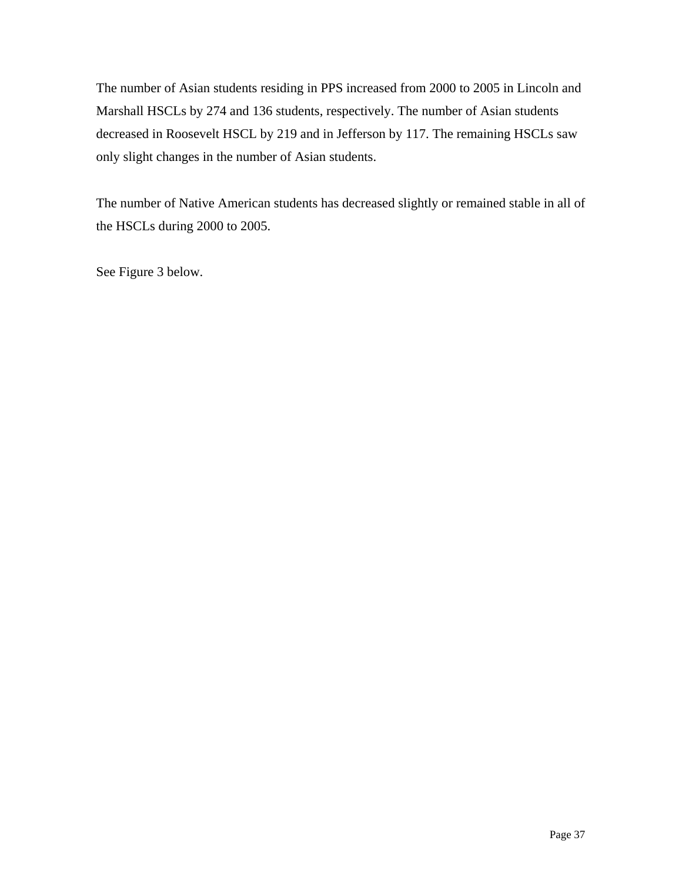The number of Asian students residing in PPS increased from 2000 to 2005 in Lincoln and Marshall HSCLs by 274 and 136 students, respectively. The number of Asian students decreased in Roosevelt HSCL by 219 and in Jefferson by 117. The remaining HSCLs saw only slight changes in the number of Asian students.

The number of Native American students has decreased slightly or remained stable in all of the HSCLs during 2000 to 2005.

See Figure 3 below.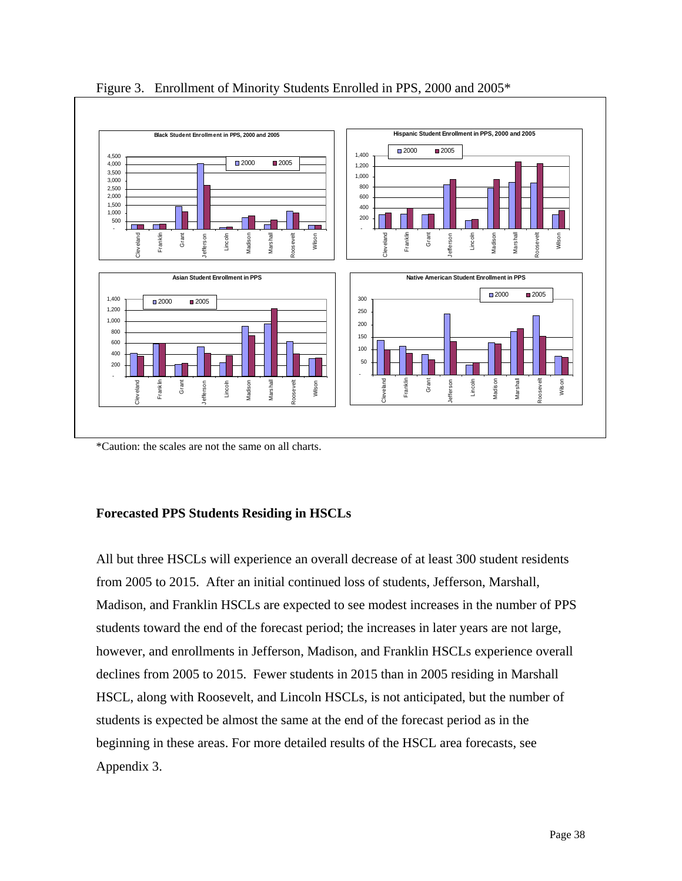

Figure 3. Enrollment of Minority Students Enrolled in PPS, 2000 and 2005\*

\*Caution: the scales are not the same on all charts.

### **Forecasted PPS Students Residing in HSCLs**

All but three HSCLs will experience an overall decrease of at least 300 student residents from 2005 to 2015. After an initial continued loss of students, Jefferson, Marshall, Madison, and Franklin HSCLs are expected to see modest increases in the number of PPS students toward the end of the forecast period; the increases in later years are not large, however, and enrollments in Jefferson, Madison, and Franklin HSCLs experience overall declines from 2005 to 2015. Fewer students in 2015 than in 2005 residing in Marshall HSCL, along with Roosevelt, and Lincoln HSCLs, is not anticipated, but the number of students is expected be almost the same at the end of the forecast period as in the beginning in these areas. For more detailed results of the HSCL area forecasts, see Appendix 3.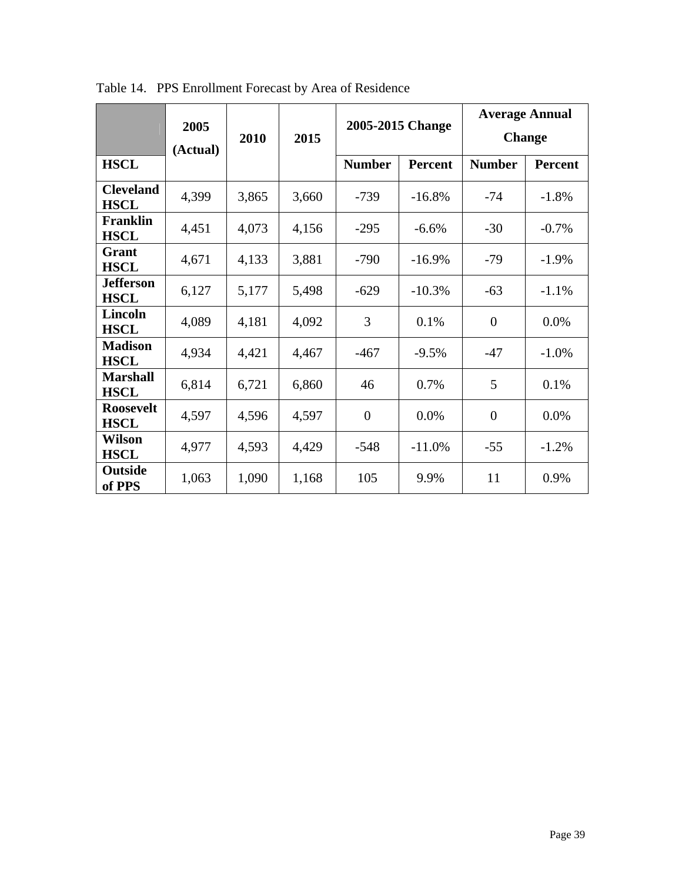|                                 | 2005<br>(Actual) | 2010  | 2015  |                | 2005-2015 Change |                | <b>Average Annual</b><br><b>Change</b> |
|---------------------------------|------------------|-------|-------|----------------|------------------|----------------|----------------------------------------|
| <b>HSCL</b>                     |                  |       |       | <b>Number</b>  | <b>Percent</b>   | <b>Number</b>  | <b>Percent</b>                         |
| <b>Cleveland</b><br><b>HSCL</b> | 4,399            | 3,865 | 3,660 | $-739$         | $-16.8%$         | $-74$          | $-1.8%$                                |
| Franklin<br><b>HSCL</b>         | 4,451            | 4,073 | 4,156 | $-295$         | $-6.6\%$         | $-30$          | $-0.7\%$                               |
| Grant<br><b>HSCL</b>            | 4,671            | 4,133 | 3,881 | $-790$         | $-16.9%$         | $-79$          | $-1.9%$                                |
| <b>Jefferson</b><br><b>HSCL</b> | 6,127            | 5,177 | 5,498 | $-629$         | $-10.3%$         | $-63$          | $-1.1%$                                |
| Lincoln<br><b>HSCL</b>          | 4,089            | 4,181 | 4,092 | 3              | 0.1%             | $\overline{0}$ | 0.0%                                   |
| <b>Madison</b><br><b>HSCL</b>   | 4,934            | 4,421 | 4,467 | $-467$         | $-9.5%$          | $-47$          | $-1.0\%$                               |
| <b>Marshall</b><br><b>HSCL</b>  | 6,814            | 6,721 | 6,860 | 46             | 0.7%             | 5              | 0.1%                                   |
| <b>Roosevelt</b><br><b>HSCL</b> | 4,597            | 4,596 | 4,597 | $\overline{0}$ | 0.0%             | $\overline{0}$ | 0.0%                                   |
| <b>Wilson</b><br><b>HSCL</b>    | 4,977            | 4,593 | 4,429 | $-548$         | $-11.0%$         | $-55$          | $-1.2%$                                |
| <b>Outside</b><br>of PPS        | 1,063            | 1,090 | 1,168 | 105            | 9.9%             | 11             | 0.9%                                   |

Table 14. PPS Enrollment Forecast by Area of Residence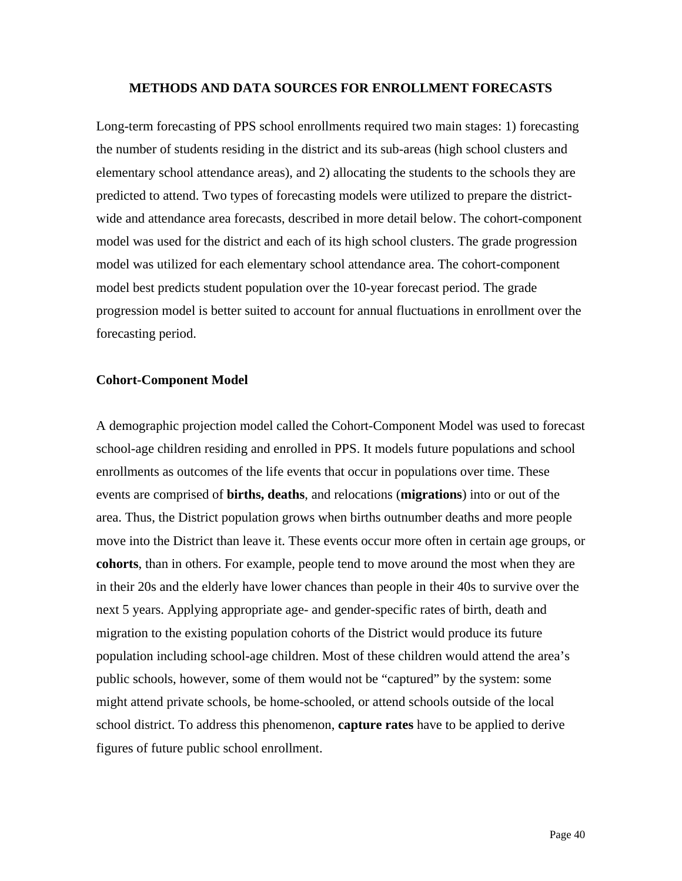### **METHODS AND DATA SOURCES FOR ENROLLMENT FORECASTS**

Long-term forecasting of PPS school enrollments required two main stages: 1) forecasting the number of students residing in the district and its sub-areas (high school clusters and elementary school attendance areas), and 2) allocating the students to the schools they are predicted to attend. Two types of forecasting models were utilized to prepare the districtwide and attendance area forecasts, described in more detail below. The cohort-component model was used for the district and each of its high school clusters. The grade progression model was utilized for each elementary school attendance area. The cohort-component model best predicts student population over the 10-year forecast period. The grade progression model is better suited to account for annual fluctuations in enrollment over the forecasting period.

### **Cohort-Component Model**

A demographic projection model called the Cohort-Component Model was used to forecast school-age children residing and enrolled in PPS. It models future populations and school enrollments as outcomes of the life events that occur in populations over time. These events are comprised of **births, deaths**, and relocations (**migrations**) into or out of the area. Thus, the District population grows when births outnumber deaths and more people move into the District than leave it. These events occur more often in certain age groups, or **cohorts**, than in others. For example, people tend to move around the most when they are in their 20s and the elderly have lower chances than people in their 40s to survive over the next 5 years. Applying appropriate age- and gender-specific rates of birth, death and migration to the existing population cohorts of the District would produce its future population including school-age children. Most of these children would attend the area's public schools, however, some of them would not be "captured" by the system: some might attend private schools, be home-schooled, or attend schools outside of the local school district. To address this phenomenon, **capture rates** have to be applied to derive figures of future public school enrollment.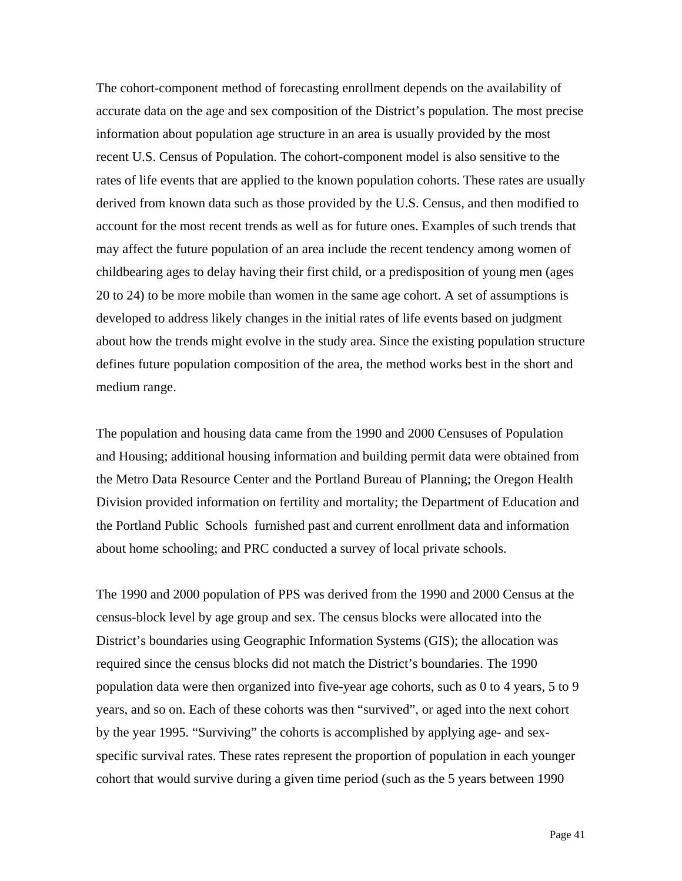The cohort-component method of forecasting enrollment depends on the availability of accurate data on the age and sex composition of the District's population. The most precise information about population age structure in an area is usually provided by the most recent U.S. Census of Population. The cohort-component model is also sensitive to the rates of life events that are applied to the known population cohorts. These rates are usually derived from known data such as those provided by the U.S. Census, and then modified to account for the most recent trends as well as for future ones. Examples of such trends that may affect the future population of an area include the recent tendency among women of childbearing ages to delay having their first child, or a predisposition of young men (ages 20 to 24) to be more mobile than women in the same age cohort. A set of assumptions is developed to address likely changes in the initial rates of life events based on judgment about how the trends might evolve in the study area. Since the existing population structure defines future population composition of the area, the method works best in the short and medium range.

The population and housing data came from the 1990 and 2000 Censuses of Population and Housing; additional housing information and building permit data were obtained from the Metro Data Resource Center and the Portland Bureau of Planning; the Oregon Health Division provided information on fertility and mortality; the Department of Education and the Portland Public Schools furnished past and current enrollment data and information about home schooling; and PRC conducted a survey of local private schools.

The 1990 and 2000 population of PPS was derived from the 1990 and 2000 Census at the census-block level by age group and sex. The census blocks were allocated into the District's boundaries using Geographic Information Systems (GIS); the allocation was required since the census blocks did not match the District's boundaries. The 1990 population data were then organized into five-year age cohorts, such as 0 to 4 years, 5 to 9 years, and so on. Each of these cohorts was then "survived", or aged into the next cohort by the year 1995. "Surviving" the cohorts is accomplished by applying age- and sexspecific survival rates. These rates represent the proportion of population in each younger cohort that would survive during a given time period (such as the 5 years between 1990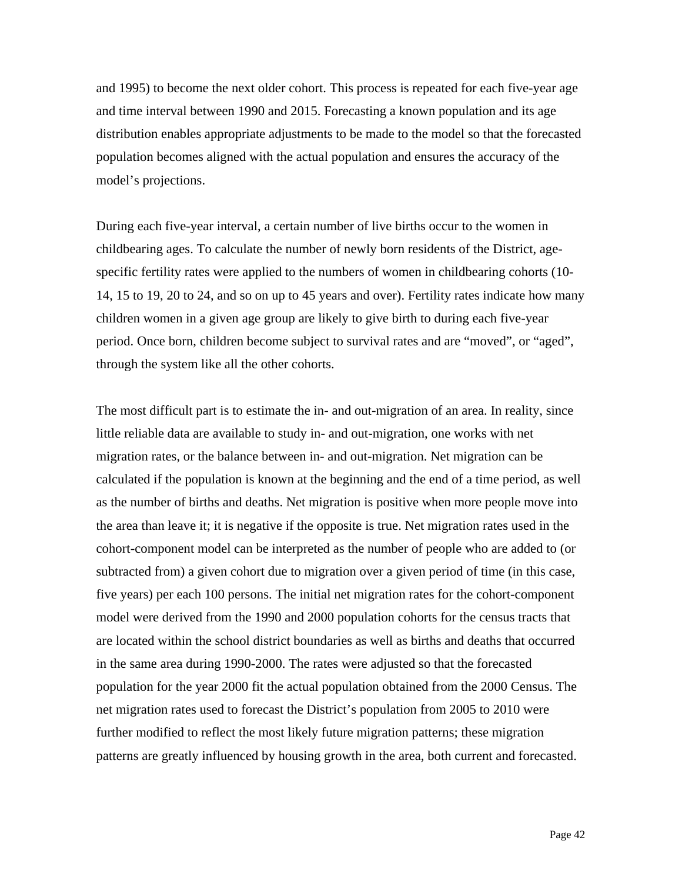and 1995) to become the next older cohort. This process is repeated for each five-year age and time interval between 1990 and 2015. Forecasting a known population and its age distribution enables appropriate adjustments to be made to the model so that the forecasted population becomes aligned with the actual population and ensures the accuracy of the model's projections.

During each five-year interval, a certain number of live births occur to the women in childbearing ages. To calculate the number of newly born residents of the District, agespecific fertility rates were applied to the numbers of women in childbearing cohorts (10- 14, 15 to 19, 20 to 24, and so on up to 45 years and over). Fertility rates indicate how many children women in a given age group are likely to give birth to during each five-year period. Once born, children become subject to survival rates and are "moved", or "aged", through the system like all the other cohorts.

The most difficult part is to estimate the in- and out-migration of an area. In reality, since little reliable data are available to study in- and out-migration, one works with net migration rates, or the balance between in- and out-migration. Net migration can be calculated if the population is known at the beginning and the end of a time period, as well as the number of births and deaths. Net migration is positive when more people move into the area than leave it; it is negative if the opposite is true. Net migration rates used in the cohort-component model can be interpreted as the number of people who are added to (or subtracted from) a given cohort due to migration over a given period of time (in this case, five years) per each 100 persons. The initial net migration rates for the cohort-component model were derived from the 1990 and 2000 population cohorts for the census tracts that are located within the school district boundaries as well as births and deaths that occurred in the same area during 1990-2000. The rates were adjusted so that the forecasted population for the year 2000 fit the actual population obtained from the 2000 Census. The net migration rates used to forecast the District's population from 2005 to 2010 were further modified to reflect the most likely future migration patterns; these migration patterns are greatly influenced by housing growth in the area, both current and forecasted.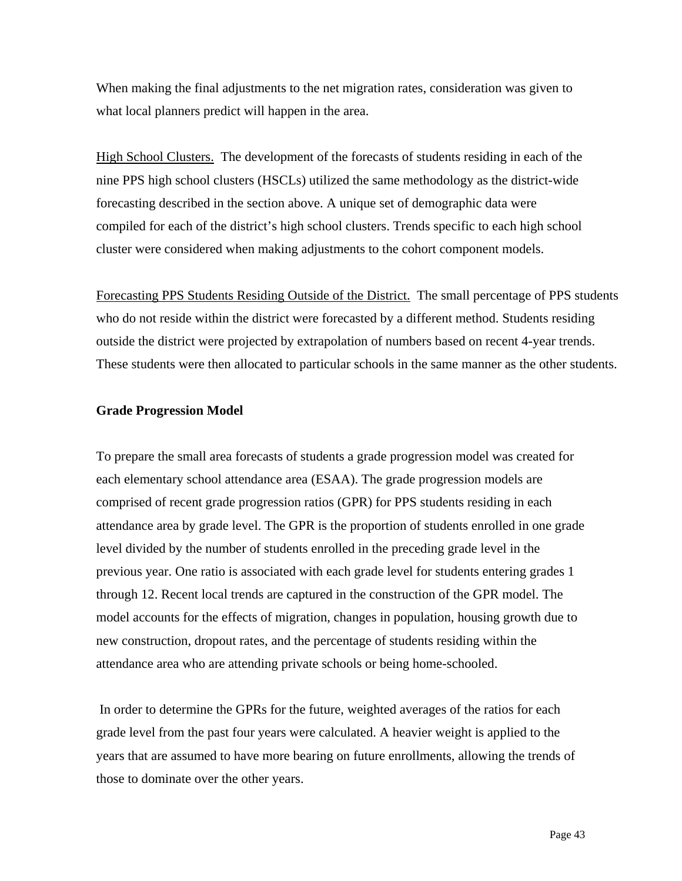When making the final adjustments to the net migration rates, consideration was given to what local planners predict will happen in the area.

High School Clusters. The development of the forecasts of students residing in each of the nine PPS high school clusters (HSCLs) utilized the same methodology as the district-wide forecasting described in the section above. A unique set of demographic data were compiled for each of the district's high school clusters. Trends specific to each high school cluster were considered when making adjustments to the cohort component models.

Forecasting PPS Students Residing Outside of the District.The small percentage of PPS students who do not reside within the district were forecasted by a different method. Students residing outside the district were projected by extrapolation of numbers based on recent 4-year trends. These students were then allocated to particular schools in the same manner as the other students.

### **Grade Progression Model**

To prepare the small area forecasts of students a grade progression model was created for each elementary school attendance area (ESAA). The grade progression models are comprised of recent grade progression ratios (GPR) for PPS students residing in each attendance area by grade level. The GPR is the proportion of students enrolled in one grade level divided by the number of students enrolled in the preceding grade level in the previous year. One ratio is associated with each grade level for students entering grades 1 through 12. Recent local trends are captured in the construction of the GPR model. The model accounts for the effects of migration, changes in population, housing growth due to new construction, dropout rates, and the percentage of students residing within the attendance area who are attending private schools or being home-schooled.

 In order to determine the GPRs for the future, weighted averages of the ratios for each grade level from the past four years were calculated. A heavier weight is applied to the years that are assumed to have more bearing on future enrollments, allowing the trends of those to dominate over the other years.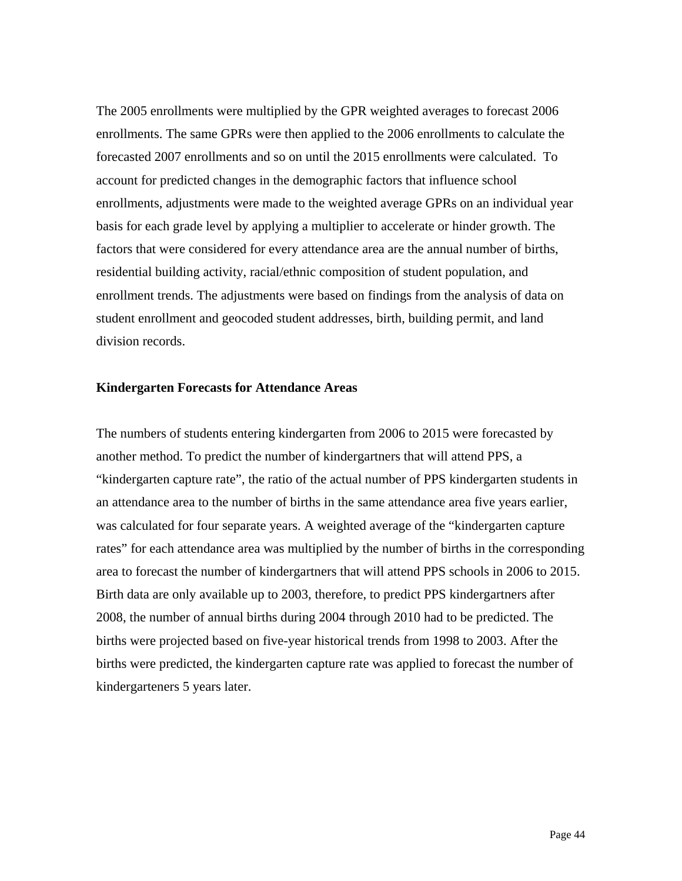The 2005 enrollments were multiplied by the GPR weighted averages to forecast 2006 enrollments. The same GPRs were then applied to the 2006 enrollments to calculate the forecasted 2007 enrollments and so on until the 2015 enrollments were calculated. To account for predicted changes in the demographic factors that influence school enrollments, adjustments were made to the weighted average GPRs on an individual year basis for each grade level by applying a multiplier to accelerate or hinder growth. The factors that were considered for every attendance area are the annual number of births, residential building activity, racial/ethnic composition of student population, and enrollment trends. The adjustments were based on findings from the analysis of data on student enrollment and geocoded student addresses, birth, building permit, and land division records.

### **Kindergarten Forecasts for Attendance Areas**

The numbers of students entering kindergarten from 2006 to 2015 were forecasted by another method. To predict the number of kindergartners that will attend PPS, a "kindergarten capture rate", the ratio of the actual number of PPS kindergarten students in an attendance area to the number of births in the same attendance area five years earlier, was calculated for four separate years. A weighted average of the "kindergarten capture rates" for each attendance area was multiplied by the number of births in the corresponding area to forecast the number of kindergartners that will attend PPS schools in 2006 to 2015. Birth data are only available up to 2003, therefore, to predict PPS kindergartners after 2008, the number of annual births during 2004 through 2010 had to be predicted. The births were projected based on five-year historical trends from 1998 to 2003. After the births were predicted, the kindergarten capture rate was applied to forecast the number of kindergarteners 5 years later.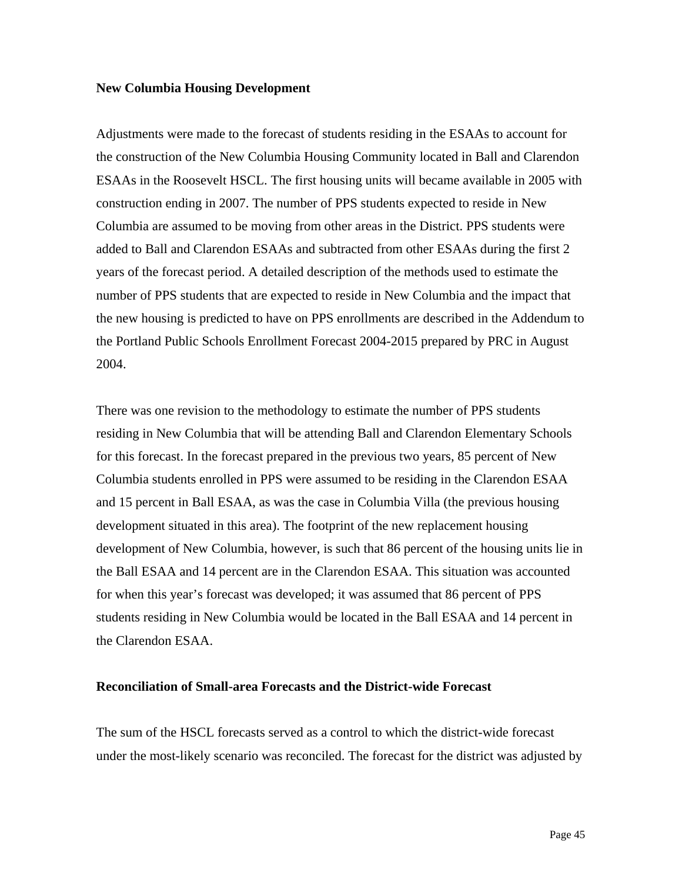### **New Columbia Housing Development**

Adjustments were made to the forecast of students residing in the ESAAs to account for the construction of the New Columbia Housing Community located in Ball and Clarendon ESAAs in the Roosevelt HSCL. The first housing units will became available in 2005 with construction ending in 2007. The number of PPS students expected to reside in New Columbia are assumed to be moving from other areas in the District. PPS students were added to Ball and Clarendon ESAAs and subtracted from other ESAAs during the first 2 years of the forecast period. A detailed description of the methods used to estimate the number of PPS students that are expected to reside in New Columbia and the impact that the new housing is predicted to have on PPS enrollments are described in the Addendum to the Portland Public Schools Enrollment Forecast 2004-2015 prepared by PRC in August 2004.

There was one revision to the methodology to estimate the number of PPS students residing in New Columbia that will be attending Ball and Clarendon Elementary Schools for this forecast. In the forecast prepared in the previous two years, 85 percent of New Columbia students enrolled in PPS were assumed to be residing in the Clarendon ESAA and 15 percent in Ball ESAA, as was the case in Columbia Villa (the previous housing development situated in this area). The footprint of the new replacement housing development of New Columbia, however, is such that 86 percent of the housing units lie in the Ball ESAA and 14 percent are in the Clarendon ESAA. This situation was accounted for when this year's forecast was developed; it was assumed that 86 percent of PPS students residing in New Columbia would be located in the Ball ESAA and 14 percent in the Clarendon ESAA.

### **Reconciliation of Small-area Forecasts and the District-wide Forecast**

The sum of the HSCL forecasts served as a control to which the district-wide forecast under the most-likely scenario was reconciled. The forecast for the district was adjusted by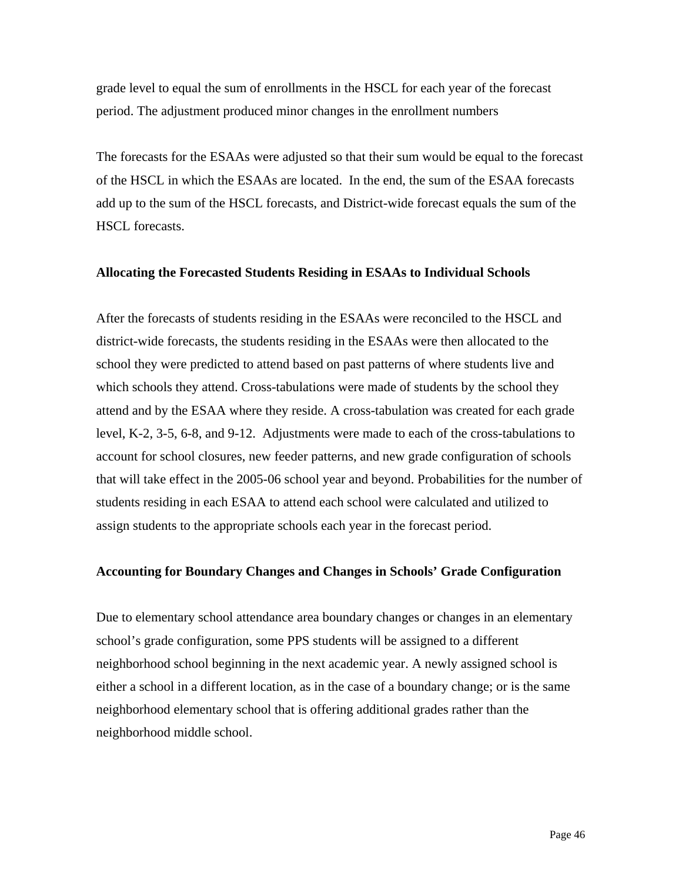grade level to equal the sum of enrollments in the HSCL for each year of the forecast period. The adjustment produced minor changes in the enrollment numbers

The forecasts for the ESAAs were adjusted so that their sum would be equal to the forecast of the HSCL in which the ESAAs are located. In the end, the sum of the ESAA forecasts add up to the sum of the HSCL forecasts, and District-wide forecast equals the sum of the HSCL forecasts.

### **Allocating the Forecasted Students Residing in ESAAs to Individual Schools**

After the forecasts of students residing in the ESAAs were reconciled to the HSCL and district-wide forecasts, the students residing in the ESAAs were then allocated to the school they were predicted to attend based on past patterns of where students live and which schools they attend. Cross-tabulations were made of students by the school they attend and by the ESAA where they reside. A cross-tabulation was created for each grade level, K-2, 3-5, 6-8, and 9-12. Adjustments were made to each of the cross-tabulations to account for school closures, new feeder patterns, and new grade configuration of schools that will take effect in the 2005-06 school year and beyond. Probabilities for the number of students residing in each ESAA to attend each school were calculated and utilized to assign students to the appropriate schools each year in the forecast period.

### **Accounting for Boundary Changes and Changes in Schools' Grade Configuration**

Due to elementary school attendance area boundary changes or changes in an elementary school's grade configuration, some PPS students will be assigned to a different neighborhood school beginning in the next academic year. A newly assigned school is either a school in a different location, as in the case of a boundary change; or is the same neighborhood elementary school that is offering additional grades rather than the neighborhood middle school.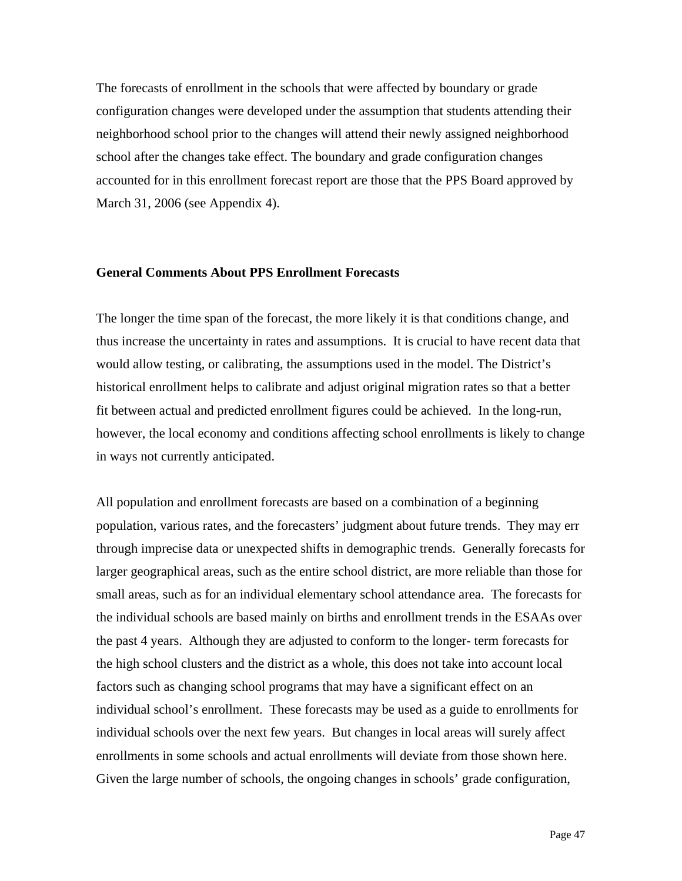The forecasts of enrollment in the schools that were affected by boundary or grade configuration changes were developed under the assumption that students attending their neighborhood school prior to the changes will attend their newly assigned neighborhood school after the changes take effect. The boundary and grade configuration changes accounted for in this enrollment forecast report are those that the PPS Board approved by March 31, 2006 (see Appendix 4).

### **General Comments About PPS Enrollment Forecasts**

The longer the time span of the forecast, the more likely it is that conditions change, and thus increase the uncertainty in rates and assumptions. It is crucial to have recent data that would allow testing, or calibrating, the assumptions used in the model. The District's historical enrollment helps to calibrate and adjust original migration rates so that a better fit between actual and predicted enrollment figures could be achieved. In the long-run, however, the local economy and conditions affecting school enrollments is likely to change in ways not currently anticipated.

All population and enrollment forecasts are based on a combination of a beginning population, various rates, and the forecasters' judgment about future trends. They may err through imprecise data or unexpected shifts in demographic trends. Generally forecasts for larger geographical areas, such as the entire school district, are more reliable than those for small areas, such as for an individual elementary school attendance area. The forecasts for the individual schools are based mainly on births and enrollment trends in the ESAAs over the past 4 years. Although they are adjusted to conform to the longer- term forecasts for the high school clusters and the district as a whole, this does not take into account local factors such as changing school programs that may have a significant effect on an individual school's enrollment. These forecasts may be used as a guide to enrollments for individual schools over the next few years. But changes in local areas will surely affect enrollments in some schools and actual enrollments will deviate from those shown here. Given the large number of schools, the ongoing changes in schools' grade configuration,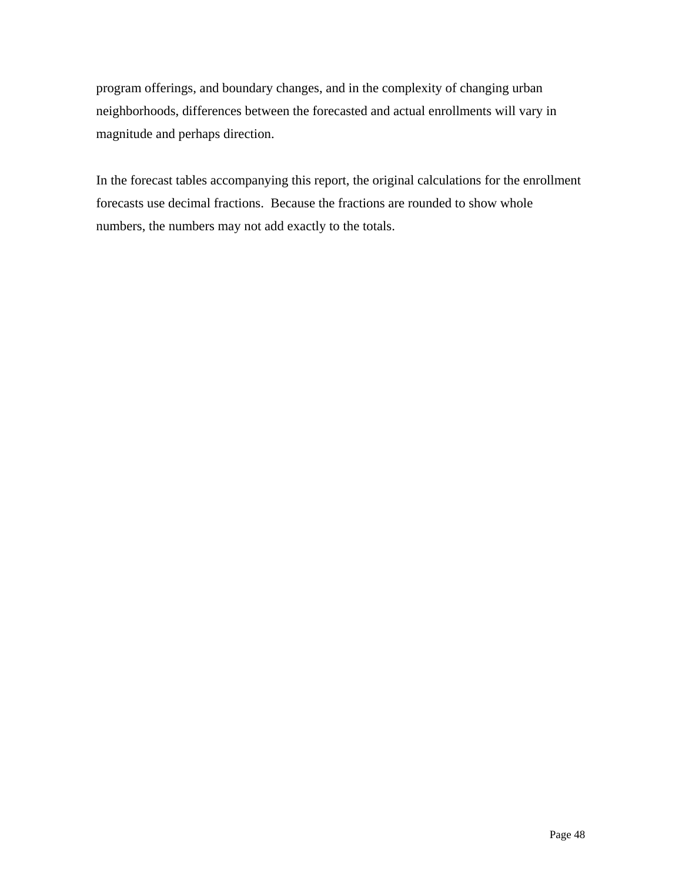program offerings, and boundary changes, and in the complexity of changing urban neighborhoods, differences between the forecasted and actual enrollments will vary in magnitude and perhaps direction.

In the forecast tables accompanying this report, the original calculations for the enrollment forecasts use decimal fractions. Because the fractions are rounded to show whole numbers, the numbers may not add exactly to the totals.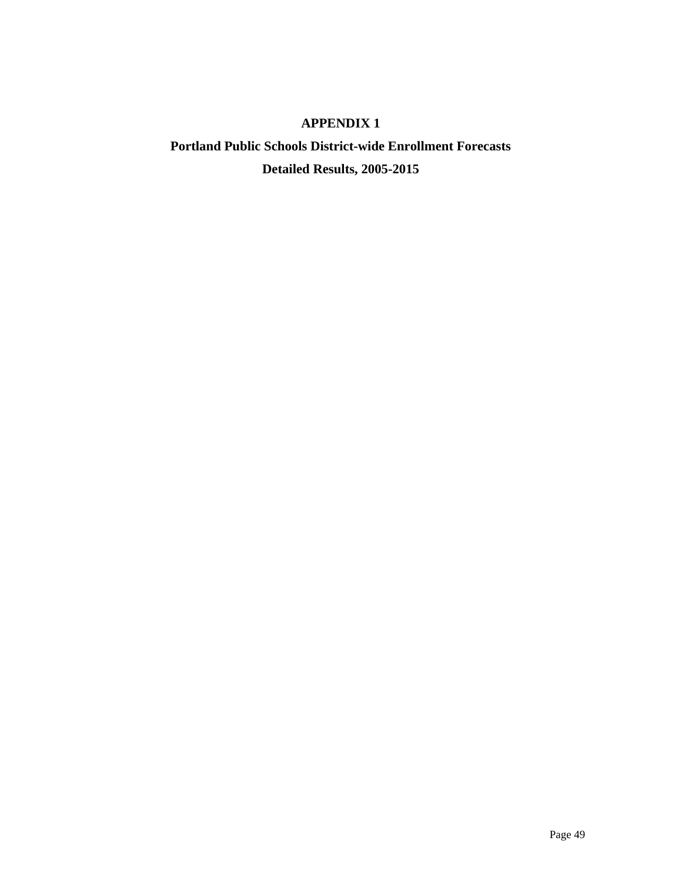## **APPENDIX 1**

# **Portland Public Schools District-wide Enrollment Forecasts Detailed Results, 2005-2015**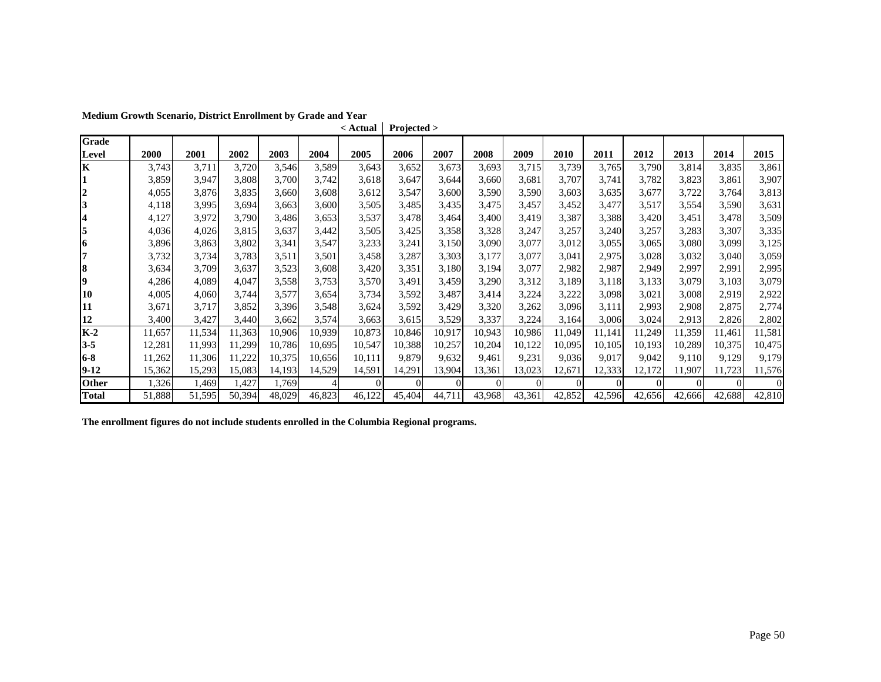|                     |        |        |        |        |        | < Actual | Projected > |          |          |          |        |          |          |          |        |          |
|---------------------|--------|--------|--------|--------|--------|----------|-------------|----------|----------|----------|--------|----------|----------|----------|--------|----------|
| Grade               |        |        |        |        |        |          |             |          |          |          |        |          |          |          |        |          |
| Level               | 2000   | 2001   | 2002   | 2003   | 2004   | 2005     | 2006        | 2007     | 2008     | 2009     | 2010   | 2011     | 2012     | 2013     | 2014   | 2015     |
| lK                  | 3,743  | 3,711  | 3,720  | 3,546  | 3,589  | 3,643    | 3,652       | 3,673    | 3,693    | 3,715    | 3,739  | 3,765    | 3,790    | 3,814    | 3,835  | 3,861    |
| 11                  | 3,859  | 3,947  | 3,808  | 3,700  | 3,742  | 3,618    | 3,647       | 3,644    | 3,660    | 3,681    | 3,707  | 3,741    | 3,782    | 3,823    | 3,861  | 3,907    |
| $\overline{2}$      | 4,055  | 3,876  | 3,835  | 3,660  | 3,608  | 3,612    | 3,547       | 3,600    | 3,590    | 3,590    | 3,603  | 3,635    | 3,677    | 3,722    | 3,764  | 3,813    |
| 3                   | 4,118  | 3,995  | 3,694  | 3,663  | 3,600  | 3,505    | 3,485       | 3,435    | 3,475    | 3,457    | 3,452  | 3,477    | 3,517    | 3,554    | 3,590  | 3,631    |
| $\overline{\bf{4}}$ | 4,127  | 3,972  | 3,790  | 3,486  | 3,653  | 3,537    | 3,478       | 3,464    | 3,400    | 3,419    | 3,387  | 3,388    | 3,420    | 3,451    | 3,478  | 3,509    |
| 5                   | 4,036  | 4,026  | 3,815  | 3,637  | 3,442  | 3,505    | 3,425       | 3,358    | 3,328    | 3,247    | 3,257  | 3,240    | 3,257    | 3,283    | 3,307  | 3,335    |
| 16                  | 3,896  | 3,863  | 3,802  | 3,341  | 3,547  | 3,233    | 3,241       | 3,150    | 3,090    | 3,077    | 3,012  | 3,055    | 3,065    | 3,080    | 3,099  | 3,125    |
| 7                   | 3,732  | 3,734  | 3,783  | 3,511  | 3,501  | 3,458    | 3,287       | 3,303    | 3,177    | 3,077    | 3,041  | 2,975    | 3,028    | 3,032    | 3,040  | 3,059    |
| 8                   | 3,634  | 3,709  | 3,637  | 3,523  | 3,608  | 3,420    | 3,351       | 3,180    | 3,194    | 3,077    | 2,982  | 2,987    | 2,949    | 2,997    | 2,991  | 2,995    |
| 9                   | 4,286  | 4,089  | 4,047  | 3,558  | 3,753  | 3,570    | 3,491       | 3,459    | 3,290    | 3,312    | 3,189  | 3,118    | 3,133    | 3,079    | 3,103  | 3,079    |
| 10                  | 4,005  | 4,060  | 3,744  | 3,577  | 3,654  | 3,734    | 3,592       | 3,487    | 3,414    | 3,224    | 3,222  | 3,098    | 3,021    | 3,008    | 2,919  | 2,922    |
| 11                  | 3,671  | 3,717  | 3,852  | 3,396  | 3,548  | 3,624    | 3,592       | 3,429    | 3,320    | 3,262    | 3,096  | 3,111    | 2,993    | 2,908    | 2,875  | 2,774    |
| 12                  | 3,400  | 3,427  | 3,440  | 3,662  | 3,574  | 3,663    | 3,615       | 3,529    | 3,337    | 3,224    | 3,164  | 3,006    | 3,024    | 2,913    | 2,826  | 2,802    |
| $K-2$               | 11,657 | 11,534 | 1,363  | 10,906 | 10,939 | 10,873   | 10,846      | 10,917   | 10,943   | 10,986   | 11,049 | 11,141   | 11,249   | 11,359   | 1,461  | 11,581   |
| $3 - 5$             | 12,281 | 11,993 | 11,299 | 10,786 | 10,695 | 10,547   | 10,388      | 10,257   | 10,204   | 10,122   | 10,095 | 10,105   | 10,193   | 10,289   | 10,375 | 10,475   |
| 6-8                 | 11,262 | 11,306 | 11,222 | 10,375 | 10,656 | 10,111   | 9,879       | 9,632    | 9,461    | 9,231    | 9,036  | 9,017    | 9,042    | 9,110    | 9,129  | 9,179    |
| $9-12$              | 15,362 | 15,293 | 15,083 | 14,193 | 14,529 | 14,591   | 14,291      | 13,904   | 13,361   | 13,023   | 12,671 | 12,333   | 12,172   | 1,907    | 1,723  | 11,576   |
| <b>Other</b>        | 1,326  | 1,469  | 1,427  | 1,769  | 4      | $\Omega$ | $\Omega$    | $\Omega$ | $\Omega$ | $\Omega$ |        | $\Omega$ | $\Omega$ | $\Omega$ |        | $\Omega$ |
| <b>Total</b>        | 51,888 | 51,595 | 50,394 | 48,029 | 46,823 | 46,122   | 45,404      | 44,711   | 43,968   | 43,361   | 42,852 | 42,596   | 42,656   | 42,666   | 42,688 | 42,810   |

**Medium Growth Scenario, District Enrollment by Grade and Year**

**The enrollment figures do not include students enrolled in the Columbia Regional programs.**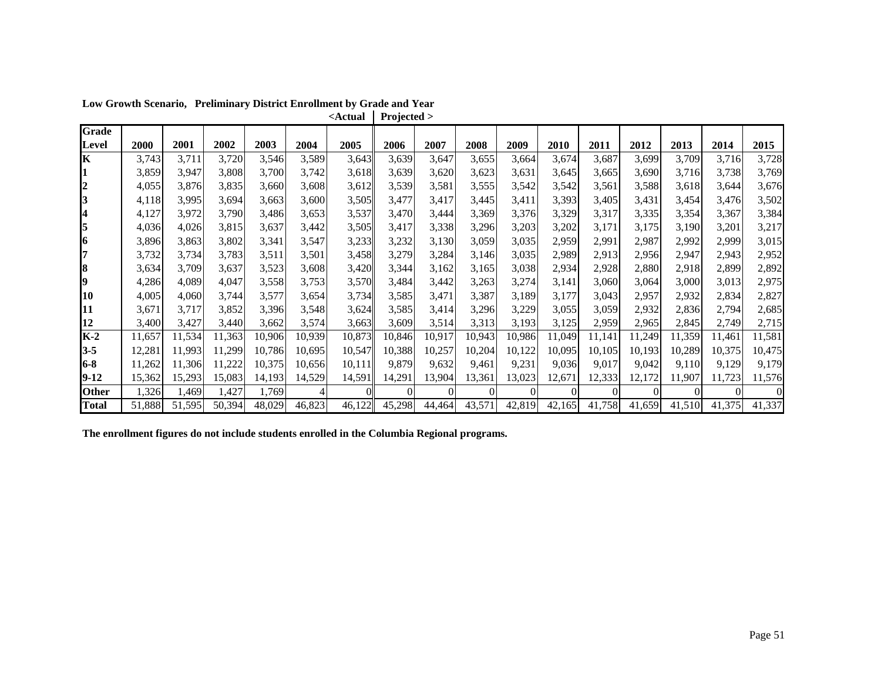| Grade        |        |        |        |        |        |        |        |        |        |        |             |        |        |        |        |        |
|--------------|--------|--------|--------|--------|--------|--------|--------|--------|--------|--------|-------------|--------|--------|--------|--------|--------|
| Level        | 2000   | 2001   | 2002   | 2003   | 2004   | 2005   | 2006   | 2007   | 2008   | 2009   | <b>2010</b> | 2011   | 2012   | 2013   | 2014   | 2015   |
| lΚ           | 3,743  | 3,711  | 3,720  | 3,546  | 3,589  | 3,643  | 3,639  | 3,647  | 3,655  | 3,664  | 3,674       | 3,687  | 3,699  | 3,709  | 3,716  | 3,728  |
|              | 3,859  | 3,947  | 3,808  | 3,700  | 3,742  | 3,618  | 3,639  | 3,620  | 3,623  | 3,631  | 3,645       | 3,665  | 3,690  | 3,716  | 3,738  | 3,769  |
| 2            | 4,055  | 3,876  | 3,835  | 3,660  | 3,608  | 3,612  | 3,539  | 3,581  | 3,555  | 3,542  | 3,542       | 3,561  | 3,588  | 3,618  | 3,644  | 3,676  |
| 3            | 4,118  | 3,995  | 3,694  | 3,663  | 3,600  | 3,505  | 3,477  | 3,417  | 3,445  | 3,411  | 3,393       | 3,405  | 3,431  | 3,454  | 3,476  | 3,502  |
|              | 4,127  | 3,972  | 3,790  | 3,486  | 3,653  | 3,537  | 3,470  | 3,444  | 3,369  | 3,376  | 3,329       | 3,317  | 3,335  | 3,354  | 3,367  | 3,384  |
| 5            | 4,036  | 4,026  | 3,815  | 3,637  | 3,442  | 3,505  | 3,417  | 3,338  | 3,296  | 3,203  | 3,202       | 3,171  | 3,175  | 3,190  | 3,201  | 3,217  |
| 16           | 3,896  | 3,863  | 3,802  | 3,341  | 3,547  | 3,233  | 3,232  | 3,130  | 3,059  | 3,035  | 2,959       | 2,991  | 2,987  | 2,992  | 2,999  | 3,015  |
|              | 3,732  | 3,734  | 3,783  | 3,511  | 3,501  | 3,458  | 3,279  | 3,284  | 3,146  | 3,035  | 2,989       | 2,913  | 2,956  | 2,947  | 2,943  | 2,952  |
| 8            | 3,634  | 3,709  | 3,637  | 3,523  | 3,608  | 3,420  | 3,344  | 3,162  | 3,165  | 3,038  | 2,934       | 2,928  | 2,880  | 2,918  | 2,899  | 2,892  |
| 19           | 4,286  | 4,089  | 4,047  | 3,558  | 3,753  | 3,570  | 3,484  | 3,442  | 3,263  | 3,274  | 3,141       | 3,060  | 3,064  | 3,000  | 3,013  | 2,975  |
| 10           | 4,005  | 4,060  | 3,744  | 3,577  | 3,654  | 3,734  | 3,585  | 3,471  | 3,387  | 3,189  | 3,177       | 3,043  | 2,957  | 2,932  | 2,834  | 2,827  |
| 11           | 3,671  | 3,717  | 3,852  | 3,396  | 3,548  | 3,624  | 3,585  | 3,414  | 3,296  | 3,229  | 3,055       | 3,059  | 2,932  | 2,836  | 2,794  | 2,685  |
| 12           | 3,400  | 3,427  | 3,440  | 3,662  | 3,574  | 3,663  | 3,609  | 3,514  | 3,313  | 3,193  | 3,125       | 2,959  | 2,965  | 2,845  | 2,749  | 2,715  |
| $K-2$        | 11,657 | 11,534 | 11,363 | 10,906 | 10,939 | 10,873 | 10,846 | 10,917 | 10,943 | 10,986 | 11,049      | 11,141 | 11,249 | 11,359 | 11,461 | 11,581 |
| $3 - 5$      | 12,281 | 11,993 | 11,299 | 10,786 | 10,695 | 10,547 | 10,388 | 10,257 | 10,204 | 10,122 | 10,095      | 10,105 | 10,193 | 10,289 | 10,375 | 10,475 |
| $6-8$        | 11,262 | 11,306 | 11,222 | 10,375 | 10,656 | 10,111 | 9,879  | 9,632  | 9,461  | 9,231  | 9,036       | 9,017  | 9,042  | 9,110  | 9,129  | 9,179  |
| $9-12$       | 15,362 | 15,293 | 15,083 | 14,193 | 14,529 | 14,591 | 14,291 | 13,904 | 13,361 | 13,023 | 12,671      | 12,333 | 12,172 | 11,907 | 11,723 | 11,576 |
| <b>Other</b> | 1,326  | l.469  | 1,427  | 1,769  |        |        |        |        |        |        |             |        |        |        |        |        |
| <b>Total</b> | 51,888 | 51,595 | 50,394 | 48,029 | 46,823 | 46,122 | 45,298 | 44,464 | 43,571 | 42,819 | 42,165      | 41,758 | 41,659 | 41,510 | 41,375 | 41,337 |

**Low Growth Scenario, Preliminary District Enrollment by Grade and Year <Actual Projected >**

**The enrollment figures do not include students enrolled in the Columbia Regional programs.**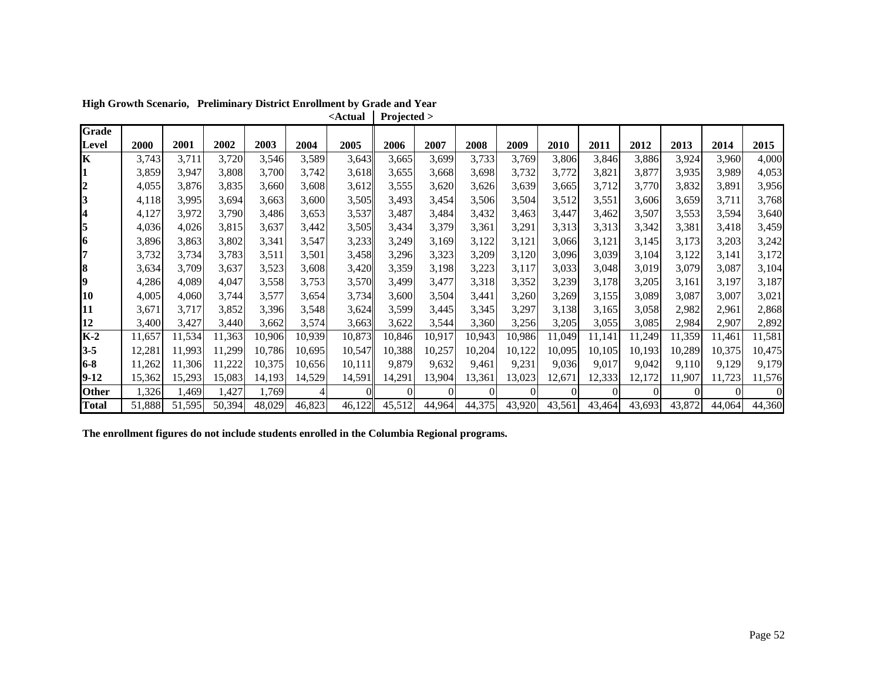| <b>Grade</b> |        |        |        |        |        |        |        |        |        |        |          |        |        |        |        |        |
|--------------|--------|--------|--------|--------|--------|--------|--------|--------|--------|--------|----------|--------|--------|--------|--------|--------|
| Level        | 2000   | 2001   | 2002   | 2003   | 2004   | 2005   | 2006   | 2007   | 2008   | 2009   | 2010     | 2011   | 2012   | 2013   | 2014   | 2015   |
| lΚ           | 3,743  | 3,711  | 3,720  | 3,546  | 3,589  | 3,643  | 3,665  | 3,699  | 3,733  | 3,769  | 3,806    | 3,846  | 3,886  | 3,924  | 3,960  | 4,000  |
|              | 3,859  | 3,947  | 3,808  | 3,700  | 3,742  | 3,618  | 3,655  | 3,668  | 3,698  | 3,732  | 3,772    | 3,821  | 3,877  | 3,935  | 3,989  | 4,053  |
| 2            | 4,055  | 3,876  | 3,835  | 3,660  | 3,608  | 3,612  | 3,555  | 3,620  | 3,626  | 3,639  | 3,665    | 3,712  | 3,770  | 3,832  | 3,891  | 3,956  |
| 3            | 4,118  | 3,995  | 3,694  | 3,663  | 3,600  | 3,505  | 3,493  | 3,454  | 3,506  | 3,504  | 3,512    | 3,551  | 3,606  | 3,659  | 3,711  | 3,768  |
|              | 4,127  | 3,972  | 3,790  | 3,486  | 3,653  | 3,537  | 3,487  | 3,484  | 3,432  | 3,463  | 3,447    | 3,462  | 3,507  | 3,553  | 3,594  | 3,640  |
| 5            | 4,036  | 4,026  | 3,815  | 3,637  | 3,442  | 3,505  | 3,434  | 3,379  | 3,361  | 3,291  | 3,313    | 3,313  | 3,342  | 3,381  | 3,418  | 3,459  |
| 16           | 3,896  | 3,863  | 3,802  | 3,341  | 3,547  | 3,233  | 3,249  | 3,169  | 3,122  | 3,121  | 3,066    | 3,121  | 3,145  | 3,173  | 3,203  | 3,242  |
|              | 3,732  | 3,734  | 3,783  | 3,511  | 3,501  | 3,458  | 3,296  | 3,323  | 3,209  | 3,120  | 3,096    | 3,039  | 3,104  | 3,122  | 3,141  | 3,172  |
| 8            | 3,634  | 3,709  | 3,637  | 3,523  | 3,608  | 3,420  | 3,359  | 3,198  | 3,223  | 3,117  | 3,033    | 3,048  | 3,019  | 3,079  | 3,087  | 3,104  |
| 19           | 4,286  | 4,089  | 4,047  | 3,558  | 3,753  | 3,570  | 3,499  | 3,477  | 3,318  | 3,352  | 3,239    | 3,178  | 3,205  | 3,161  | 3,197  | 3,187  |
| 10           | 4,005  | 4,060  | 3,744  | 3,577  | 3,654  | 3,734  | 3,600  | 3,504  | 3,441  | 3,260  | 3,269    | 3,155  | 3,089  | 3,087  | 3,007  | 3,021  |
| 11           | 3,671  | 3,717  | 3,852  | 3,396  | 3,548  | 3,624  | 3,599  | 3,445  | 3,345  | 3,297  | 3,138    | 3,165  | 3,058  | 2,982  | 2,961  | 2,868  |
| 12           | 3,400  | 3,427  | 3,440  | 3,662  | 3,574  | 3,663  | 3,622  | 3,544  | 3,360  | 3,256  | 3,205    | 3,055  | 3,085  | 2,984  | 2,907  | 2,892  |
| $K-2$        | 11,657 | 11,534 | 11,363 | 10,906 | 10,939 | 10,873 | 10,846 | 10,917 | 10,943 | 10,986 | 11,049   | 11,141 | 11,249 | 11,359 | 11,461 | 11,581 |
| $3 - 5$      | 12,281 | 11,993 | 11,299 | 10,786 | 10,695 | 10,547 | 10,388 | 10,257 | 10,204 | 10,122 | 10,095   | 10,105 | 10,193 | 10,289 | 10,375 | 10,475 |
| $6-8$        | 11,262 | 11,306 | 11,222 | 10,375 | 10,656 | 10,111 | 9,879  | 9,632  | 9,461  | 9,231  | 9,036    | 9,017  | 9,042  | 9,110  | 9,129  | 9,179  |
| $9-12$       | 15,362 | 15,293 | 15,083 | 14,193 | 14,529 | 14,591 | 14,291 | 13,904 | 13,361 | 13,023 | 12,671   | 12,333 | 12,172 | 11,907 | 11,723 | 11,576 |
| <b>Other</b> | 1,326  | 1,469  | 1,427  | 1,769  |        |        |        |        |        |        | $\Omega$ |        |        |        |        |        |
| <b>Total</b> | 51,888 | 51,595 | 50,394 | 48,029 | 46,823 | 46,122 | 45,512 | 44,964 | 44,375 | 43,920 | 43,561   | 43,464 | 43,693 | 43,872 | 44,064 | 44,360 |

**High Growth Scenario, Preliminary District Enrollment by Grade and Year <Actual Projected >**

**The enrollment figures do not include students enrolled in the Columbia Regional programs.**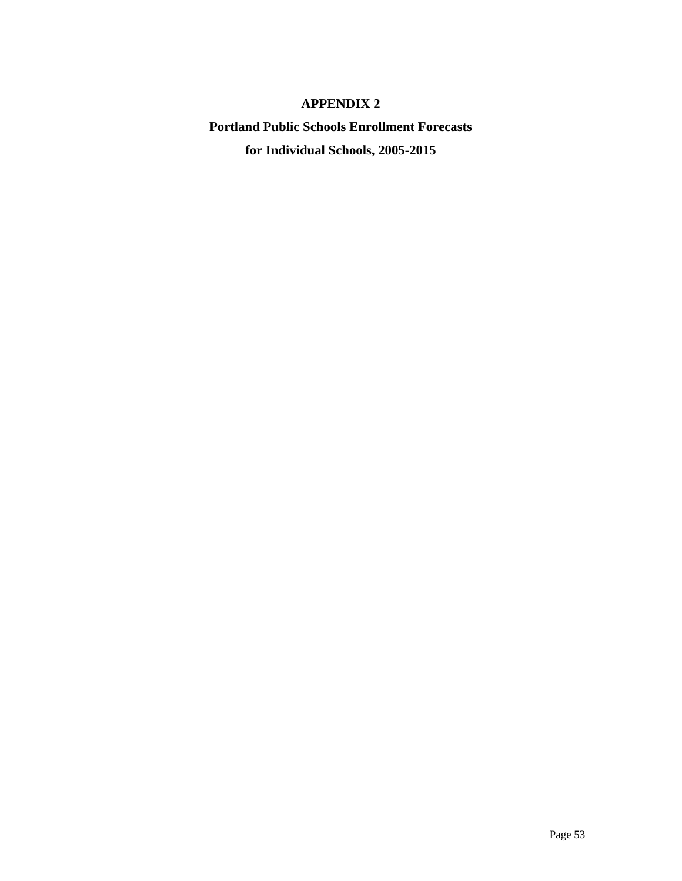## **APPENDIX 2**

**Portland Public Schools Enrollment Forecasts for Individual Schools, 2005-2015**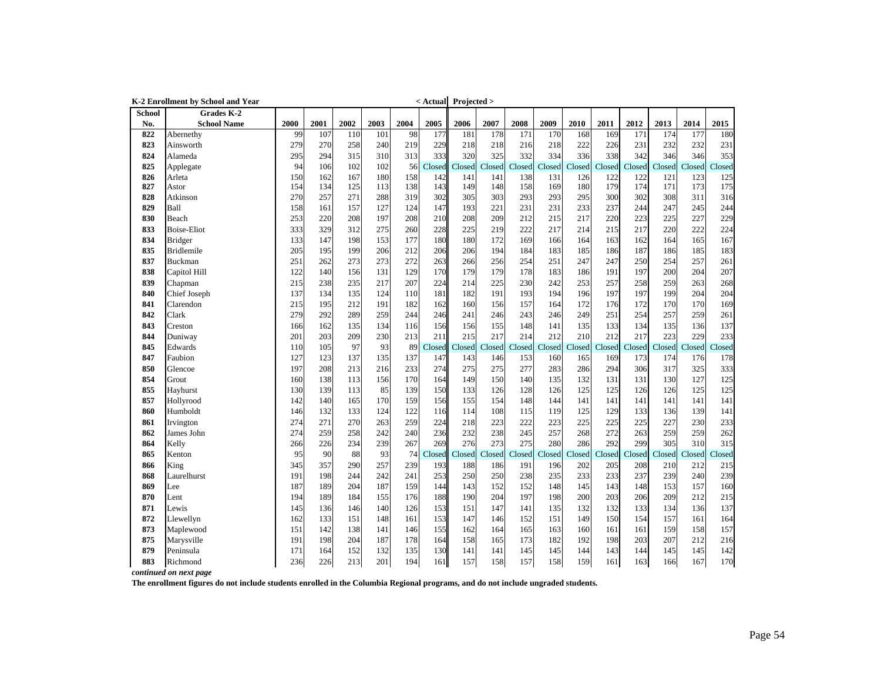|        | K-2 Enrollment by School and Year |      |      |      |      |      | $\leq$ Actual Projected > |        |        |        |        |        |        |        |        |        |        |
|--------|-----------------------------------|------|------|------|------|------|---------------------------|--------|--------|--------|--------|--------|--------|--------|--------|--------|--------|
| School | Grades K-2                        |      |      |      |      |      |                           |        |        |        |        |        |        |        |        |        |        |
| No.    | <b>School Name</b>                | 2000 | 2001 | 2002 | 2003 | 2004 | 2005                      | 2006   | 2007   | 2008   | 2009   | 2010   | 2011   | 2012   | 2013   | 2014   | 2015   |
| 822    | Abernethy                         | 99   | 107  | 110  | 101  | 98   | 177                       | 181    | 178    | 171    | 170    | 168    | 169    | 171    | 174    | 177    | 180    |
| 823    | Ainsworth                         | 279  | 270  | 258  | 240  | 219  | 229                       | 218    | 218    | 216    | 218    | 222    | 226    | 231    | 232    | 232    | 231    |
| 824    | Alameda                           | 295  | 294  | 315  | 310  | 313  | 333                       | 320    | 325    | 332    | 334    | 336    | 338    | 342    | 346    | 346    | 353    |
| 825    | Applegate                         | 94   | 106  | 102  | 102  | 56   | Closed                    | Closed | Closed | Closed | Closed | Closed | Closed | Closed | Closed | Closed | Closed |
| 826    | Arleta                            | 150  | 162  | 167  | 180  | 158  | 142                       | 141    | 141    | 138    | 131    | 126    | 122    | 122    | 121    | 123    | 125    |
| 827    | Astor                             | 154  | 134  | 125  | 113  | 138  | 143                       | 149    | 148    | 158    | 169    | 180    | 179    | 174    | 171    | 173    | 175    |
| 828    | Atkinson                          | 270  | 257  | 271  | 288  | 319  | 302                       | 305    | 303    | 293    | 293    | 295    | 300    | 302    | 308    | 311    | 316    |
| 829    | Ball                              | 158  | 161  | 157  | 127  | 124  | 147                       | 193    | 221    | 231    | 231    | 233    | 237    | 244    | 247    | 245    | 244    |
| 830    | Beach                             | 253  | 220  | 208  | 197  | 208  | 210                       | 208    | 209    | 212    | 215    | 217    | 220    | 223    | 225    | 227    | 229    |
| 833    | <b>Boise-Eliot</b>                | 333  | 329  | 312  | 275  | 260  | 228                       | 225    | 219    | 222    | 217    | 214    | 215    | 217    | 220    | 222    | 224    |
| 834    | <b>Bridger</b>                    | 133  | 147  | 198  | 153  | 177  | 180                       | 180    | 172    | 169    | 166    | 164    | 163    | 162    | 164    | 165    | 167    |
| 835    | <b>Bridlemile</b>                 | 205  | 195  | 199  | 206  | 212  | 206                       | 206    | 194    | 184    | 183    | 185    | 186    | 187    | 186    | 185    | 183    |
| 837    | <b>Buckman</b>                    | 251  | 262  | 273  | 273  | 272  | 263                       | 266    | 256    | 254    | 251    | 247    | 247    | 250    | 254    | 257    | 261    |
| 838    | Capitol Hill                      | 122  | 140  | 156  | 131  | 129  | 170                       | 179    | 179    | 178    | 183    | 186    | 191    | 197    | 200    | 204    | 207    |
| 839    | Chapman                           | 215  | 238  | 235  | 217  | 207  | 224                       | 214    | 225    | 230    | 242    | 253    | 257    | 258    | 259    | 263    | 268    |
| 840    | Chief Joseph                      | 137  | 134  | 135  | 124  | 110  | 181                       | 182    | 191    | 193    | 194    | 196    | 197    | 197    | 199    | 204    | 204    |
| 841    | Clarendon                         | 215  | 195  | 212  | 191  | 182  | 162                       | 160    | 156    | 157    | 164    | 172    | 176    | 172    | 170    | 170    | 169    |
| 842    | Clark                             | 279  | 292  | 289  | 259  | 244  | 246                       | 241    | 246    | 243    | 246    | 249    | 251    | 254    | 257    | 259    | 261    |
| 843    | Creston                           | 166  | 162  | 135  | 134  | 116  | 156                       | 156    | 155    | 148    | 141    | 135    | 133    | 134    | 135    | 136    | 137    |
| 844    | Duniway                           | 201  | 203  | 209  | 230  | 213  | 211                       | 215    | 217    | 214    | 212    | 210    | 212    | 217    | 223    | 229    | 233    |
| 845    | Edwards                           | 110  | 105  | 97   | 93   | 89   | Closed                    | Closed | Closed | Closed | Closed | Closed | Closed | Closed | Closed | Closed | Closed |
| 847    | Faubion                           | 127  | 123  | 137  | 135  | 137  | 147                       | 143    | 146    | 153    | 160    | 165    | 169    | 173    | 174    | 176    | 178    |
| 850    | Glencoe                           | 197  | 208  | 213  | 216  | 233  | 274                       | 275    | 275    | 277    | 283    | 286    | 294    | 306    | 317    | 325    | 333    |
| 854    | Grout                             | 160  | 138  | 113  | 156  | 170  | 164                       | 149    | 150    | 140    | 135    | 132    | 131    | 131    | 130    | 127    | 125    |
| 855    | Hayhurst                          | 130  | 139  | 113  | 85   | 139  | 150                       | 133    | 126    | 128    | 126    | 125    | 125    | 126    | 126    | 125    | 125    |
| 857    | Hollyrood                         | 142  | 140  | 165  | 170  | 159  | 156                       | 155    | 154    | 148    | 144    | 141    | 141    | 141    | 141    | 141    | 141    |
| 860    | Humboldt                          | 146  | 132  | 133  | 124  | 122  | 116                       | 114    | 108    | 115    | 119    | 125    | 129    | 133    | 136    | 139    | 141    |
| 861    | Irvington                         | 274  | 271  | 270  | 263  | 259  | 224                       | 218    | 223    | 222    | 223    | 225    | 225    | 225    | 227    | 230    | 233    |
| 862    | James John                        | 274  | 259  | 258  | 242  | 240  | 236                       | 232    | 238    | 245    | 257    | 268    | 272    | 263    | 259    | 259    | 262    |
| 864    | Kelly                             | 266  | 226  | 234  | 239  | 267  | 269                       | 276    | 273    | 275    | 280    | 286    | 292    | 299    | 305    | 310    | 315    |
| 865    | Kenton                            | 95   | 90   | 88   | 93   | 74   | Closed                    | Closed | Closed | Closed | Closed | Closed | Closed | Closed | Closed | Closed | Closed |
| 866    | King                              | 345  | 357  | 290  | 257  | 239  | 193                       | 188    | 186    | 191    | 196    | 202    | 205    | 208    | 210    | 212    | 215    |
| 868    | Laurelhurst                       | 191  | 198  | 244  | 242  | 241  | 253                       | 250    | 250    | 238    | 235    | 233    | 233    | 237    | 239    | 240    | 239    |
| 869    | Lee                               | 187  | 189  | 204  | 187  | 159  | 144                       | 143    | 152    | 152    | 148    | 145    | 143    | 148    | 153    | 157    | 160    |
| 870    | Lent                              | 194  | 189  | 184  | 155  | 176  | 188                       | 190    | 204    | 197    | 198    | 200    | 203    | 206    | 209    | 212    | 215    |
| 871    | Lewis                             | 145  | 136  | 146  | 140  | 126  | 153                       | 151    | 147    | 141    | 135    | 132    | 132    | 133    | 134    | 136    | 137    |
| 872    | Llewellyn                         | 162  | 133  | 151  | 148  | 161  | 153                       | 147    | 146    | 152    | 151    | 149    | 150    | 154    | 157    | 161    | 164    |
| 873    | Maplewood                         | 151  | 142  | 138  | 141  | 146  | 155                       | 162    | 164    | 165    | 163    | 160    | 161    | 161    | 159    | 158    | 157    |
| 875    | Marysville                        | 191  | 198  | 204  | 187  | 178  | 164                       | 158    | 165    | 173    | 182    | 192    | 198    | 203    | 207    | 212    | 216    |
| 879    | Peninsula                         | 171  | 164  | 152  | 132  | 135  | 130                       | 141    | 141    | 145    | 145    | 144    | 143    | 144    | 145    | 145    | 142    |
| 883    | Richmond                          | 236  | 226  | 213  | 201  | 194  | 161                       | 157    | 158    | 157    | 158    | 159    | 161    | 163    | 166    | 167    | 170    |
|        | continued on next page            |      |      |      |      |      |                           |        |        |        |        |        |        |        |        |        |        |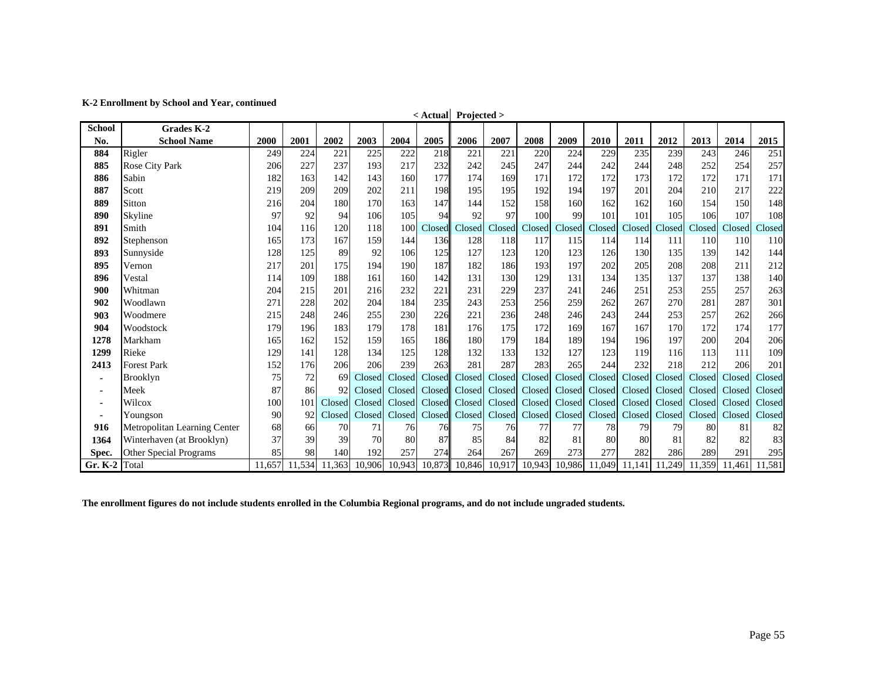|                 |                               |        |        |        |        |               | < Actual Projected > |        |        |        |        |               |                             |              |               |        |        |
|-----------------|-------------------------------|--------|--------|--------|--------|---------------|----------------------|--------|--------|--------|--------|---------------|-----------------------------|--------------|---------------|--------|--------|
| <b>School</b>   | <b>Grades K-2</b>             |        |        |        |        |               |                      |        |        |        |        |               |                             |              |               |        |        |
| No.             | <b>School Name</b>            | 2000   | 2001   | 2002   | 2003   | 2004          | 2005                 | 2006   | 2007   | 2008   | 2009   | 2010          | 2011                        | 2012         | 2013          | 2014   | 2015   |
| 884             | Rigler                        | 249    | 224    | 221    | 225    | 222           | 218                  | 221    | 221    | 220    | 224    | 229           | 235                         | 239          | 243           | 246    | 251    |
| 885             | <b>Rose City Park</b>         | 206    | 227    | 237    | 193    | 217           | 232                  | 242    | 245    | 247    | 244    | 242           | 244                         | 248          | 252           | 254    | 257    |
| 886             | Sabin                         | 182    | 163    | 142    | 143    | 160           | 177                  | 174    | 169    | 171    | 172    | 172           | 173                         | 172          | 172           | 171    | 171    |
| 887             | Scott                         | 219    | 209    | 209    | 202    | 211           | 198                  | 195    | 195    | 192    | 194    | 197           | 201                         | 204          | 210           | 217    | 222    |
| 889             | Sitton                        | 216    | 204    | 180    | 170    | 163           | 147                  | 144    | 152    | 158    | 160    | 162           | 162                         | 160          | 154           | 150    | 148    |
| 890             | Skyline                       | 97     | 92     | 94     | 106    | 105           | 94                   | 92     | 97     | 100    | 99     | 101           | 101                         | 105          | 106           | 107    | 108    |
| 891             | Smith                         | 104    | 116    | 120    | 118    | 100           | Closed               | Closed | Closed | Closed | Closed | Closed        | Closed                      | $\Box$ losed | <b>Closed</b> | Closed | Closed |
| 892             | Stephenson                    | 165    | 173    | 167    | 159    | 144           | 136                  | 128    | 118    | 117    | 115    | 114           | 114                         | 111          | 110           | 110    | 110    |
| 893             | Sunnyside                     | 128    | 125    | 89     | 92     | 106           | 125                  | 127    | 123    | 120    | 123    | 126           | 130                         | 135          | 139           | 142    | 144    |
| 895             | Vernon                        | 217    | 201    | 175    | 194    | 190           | 187                  | 182    | 186    | 193    | 197    | 202           | 205                         | 208          | 208           | 211    | 212    |
| 896             | Vestal                        | 114    | 109    | 188    | 161    | 160           | 142                  | 131    | 130    | 129    | 131    | 134           | 135                         | 137          | 137           | 138    | 140    |
| 900             | Whitman                       | 204    | 215    | 201    | 216    | 232           | 221                  | 231    | 229    | 237    | 241    | 246           | 251                         | 253          | 255           | 257    | 263    |
| 902             | Woodlawn                      | 271    | 228    | 202    | 204    | 184           | 235                  | 243    | 253    | 256    | 259    | 262           | 267                         | 270          | 281           | 287    | 301    |
| 903             | Woodmere                      | 215    | 248    | 246    | 255    | 230           | 226                  | 221    | 236    | 248    | 246    | 243           | 244                         | 253          | 257           | 262    | 266    |
| 904             | Woodstock                     | 179    | 196    | 183    | 179    | 178           | 181                  | 176    | 175    | 172    | 169    | 167           | 167                         | 170          | 172           | 174    | 177    |
| 1278            | Markham                       | 165    | 162    | 152    | 159    | 165           | 186                  | 180    | 179    | 184    | 189    | 194           | 196                         | 197          | 200           | 204    | 206    |
| 1299            | Rieke                         | 129    | 141    | 128    | 134    | 125           | 128                  | 132    | 133    | 132    | 127    | 123           | 119                         | 116          | 113           | 111    | 109    |
| 2413            | <b>Forest Park</b>            | 152    | 176    | 206    | 206    | 239           | 263                  | 281    | 287    | 283    | 265    | 244           | 232                         | 218          | 212           | 206    | 201    |
| ۰               | <b>Brooklyn</b>               | 75     | 72     | 69     | Closed | Closed        | Closed               | Closed | Closed | Closed | Closed | Closed        | Closed                      | Closed       | Closed        | Closed | Closed |
| ٠               | Meek                          | 87     | 86     | 92     | Closed | Closed        | Closed               | Closed | Closed | Closed | Closed | Closed        | Closed                      | Closed       | Closed        | Closed | Closed |
| ۰               | Wilcox                        | 100    | 101    | Closed | Closed | Closed        | Closed               | Closed | Closed | Closed |        | Closed Closed | Closed                      | Closed       | Closed        | Closed | Closed |
| $\blacksquare$  | Youngson                      | 90     | 92     | Closed |        |               | Closed Closed Closed | Closed | Closed |        |        |               | Closed Closed Closed Closed | Closed       | Closed        | Closed | Closed |
| 916             | Metropolitan Learning Center  | 68     | 66     | 70     | 71     | 76            | 76                   | 75     | 76     | 77     | 77     | 78            | 79                          | 79           | 80            | 81     | 82     |
| 1364            | Winterhaven (at Brooklyn)     | 37     | 39     | 39     | 70     | 80            | 87                   | 85     | 84     | 82     | 81     | 80            | 80                          | 81           | 82            | 82     | 83     |
| Spec.           | <b>Other Special Programs</b> | 85     | 98     | 140    | 192    | 257           | 274                  | 264    | 267    | 269    | 273    | 277           | 282                         | 286          | 289           | 291    | 295    |
| Gr. $K-2$ Total |                               | 11,657 | 11,534 | 11,363 |        | 10,906 10,943 | 10,873               | 10,846 | 10,917 | 10,943 |        | 10,986 11,049 | 11,141                      | .249<br>11   | 11,359        | 11,461 | 11,581 |

**< Actual Projected >**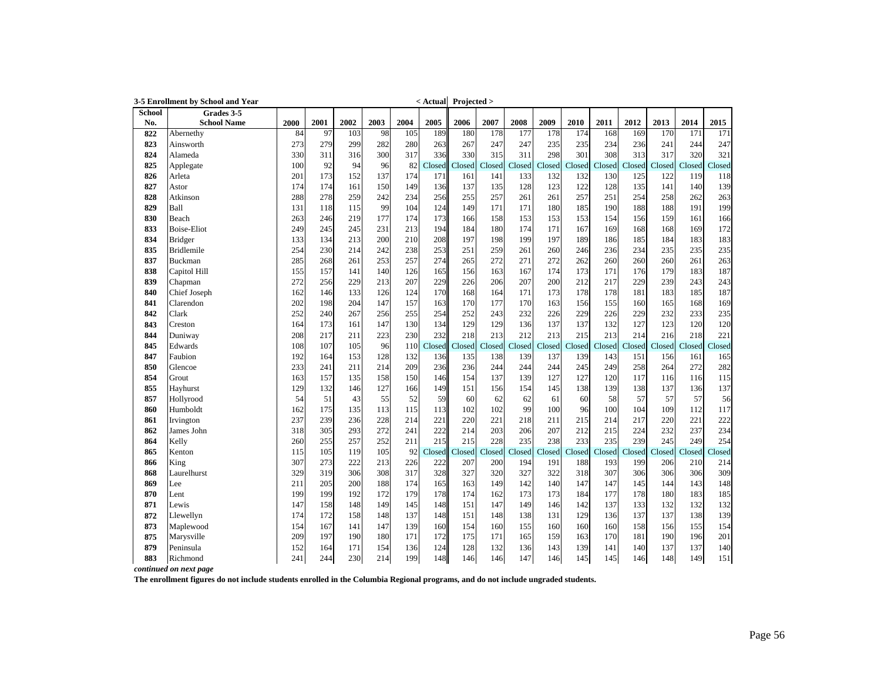|        | 3-5 Enrollment by School and Year |      |      |      |      |      |        | < Actual Projected > |        |        |        |        |        |        |        |        |         |
|--------|-----------------------------------|------|------|------|------|------|--------|----------------------|--------|--------|--------|--------|--------|--------|--------|--------|---------|
| School | Grades 3-5                        |      |      |      |      |      |        |                      |        |        |        |        |        |        |        |        |         |
| No.    | <b>School Name</b>                | 2000 | 2001 | 2002 | 2003 | 2004 | 2005   | 2006                 | 2007   | 2008   | 2009   | 2010   | 2011   | 2012   | 2013   | 2014   | 2015    |
| 822    | Abernethy                         | 84   | 97   | 103  | 98   | 105  | 189    | 180                  | 178    | 177    | 178    | 174    | 168    | 169    | 170    | 171    | 171     |
| 823    | Ainsworth                         | 273  | 279  | 299  | 282  | 280  | 263    | 267                  | 247    | 247    | 235    | 235    | 234    | 236    | 241    | 244    | 247     |
| 824    | Alameda                           | 330  | 311  | 316  | 300  | 317  | 336    | 330                  | 315    | 311    | 298    | 301    | 308    | 313    | 317    | 320    | 321     |
| 825    | Applegate                         | 100  | 92   | 94   | 96   | 82   | Closed | Closed               | Closed | Closed | Closed | Closed | Closed | Closed | Closed | Closed | Closed  |
| 826    | Arleta                            | 201  | 173  | 152  | 137  | 174  | 171    | 161                  | 141    | 133    | 132    | 132    | 130    | 125    | 122    | 119    | 118     |
| 827    | Astor                             | 174  | 174  | 161  | 150  | 149  | 136    | 137                  | 135    | 128    | 123    | 122    | 128    | 135    | 141    | 140    | 139     |
| 828    | Atkinson                          | 288  | 278  | 259  | 242  | 234  | 256    | 255                  | 257    | 261    | 261    | 257    | 251    | 254    | 258    | 262    | 263     |
| 829    | Ball                              | 131  | 118  | 115  | 99   | 104  | 124    | 149                  | 171    | 171    | 180    | 185    | 190    | 188    | 188    | 191    | 199     |
| 830    | Beach                             | 263  | 246  | 219  | 177  | 174  | 173    | 166                  | 158    | 153    | 153    | 153    | 154    | 156    | 159    | 161    | 166     |
| 833    | <b>Boise-Eliot</b>                | 249  | 245  | 245  | 231  | 213  | 194    | 184                  | 180    | 174    | 171    | 167    | 169    | 168    | 168    | 169    | 172     |
| 834    | <b>Bridger</b>                    | 133  | 134  | 213  | 200  | 210  | 208    | 197                  | 198    | 199    | 197    | 189    | 186    | 185    | 184    | 183    | 183     |
| 835    | <b>Bridlemile</b>                 | 254  | 230  | 214  | 242  | 238  | 253    | 251                  | 259    | 261    | 260    | 246    | 236    | 234    | 235    | 235    | 235     |
| 837    | Buckman                           | 285  | 268  | 261  | 253  | 257  | 274    | 265                  | 272    | 271    | 272    | 262    | 260    | 260    | 260    | 261    | 263     |
| 838    | Capitol Hill                      | 155  | 157  | 141  | 140  | 126  | 165    | 156                  | 163    | 167    | 174    | 173    | 171    | 176    | 179    | 183    | 187     |
| 839    | Chapman                           | 272  | 256  | 229  | 213  | 207  | 229    | 226                  | 206    | 207    | 200    | 212    | 217    | 229    | 239    | 243    | 243     |
| 840    | Chief Joseph                      | 162  | 146  | 133  | 126  | 124  | 170    | 168                  | 164    | 171    | 173    | 178    | 178    | 181    | 183    | 185    | 187     |
| 841    | Clarendon                         | 202  | 198  | 204  | 147  | 157  | 163    | 170                  | 177    | 170    | 163    | 156    | 155    | 160    | 165    | 168    | 169     |
| 842    | Clark                             | 252  | 240  | 267  | 256  | 255  | 254    | 252                  | 243    | 232    | 226    | 229    | 226    | 229    | 232    | 233    | 235     |
| 843    | Creston                           | 164  | 173  | 161  | 147  | 130  | 134    | 129                  | 129    | 136    | 137    | 137    | 132    | 127    | 123    | 120    | 120     |
| 844    | Duniway                           | 208  | 217  | 211  | 223  | 230  | 232    | 218                  | 213    | 212    | 213    | 215    | 213    | 214    | 216    | 218    | 221     |
| 845    | Edwards                           | 108  | 107  | 105  | 96   | 110  | Closed | Closed               | Closed | Closed | Closed | Closed | Closed | Closed | Closed | Closed | Closed  |
| 847    | Faubion                           | 192  | 164  | 153  | 128  | 132  | 136    | 135                  | 138    | 139    | 137    | 139    | 143    | 151    | 156    | 161    | 165     |
| 850    | Glencoe                           | 233  | 241  | 211  | 214  | 209  | 236    | 236                  | 244    | 244    | 244    | 245    | 249    | 258    | 264    | 272    | 282     |
| 854    | Grout                             | 163  | 157  | 135  | 158  | 150  | 146    | 154                  | 137    | 139    | 127    | 127    | 120    | 117    | 116    | 116    | 115     |
| 855    | Hayhurst                          | 129  | 132  | 146  | 127  | 166  | 149    | 151                  | 156    | 154    | 145    | 138    | 139    | 138    | 137    | 136    | 137     |
| 857    | Hollyrood                         | 54   | 51   | 43   | 55   | 52   | 59     | 60                   | 62     | 62     | 61     | 60     | 58     | 57     | 57     | 57     | 56      |
| 860    | Humboldt                          | 162  | 175  | 135  | 113  | 115  | 113    | 102                  | 102    | 99     | 100    | 96     | 100    | 104    | 109    | 112    | 117     |
| 861    | Irvington                         | 237  | 239  | 236  | 228  | 214  | 221    | 220                  | 221    | 218    | 211    | 215    | 214    | 217    | 220    | 221    | 222     |
| 862    | James John                        | 318  | 305  | 293  | 272  | 241  | 222    | 214                  | 203    | 206    | 207    | 212    | 215    | 224    | 232    | 237    | 234     |
| 864    | Kelly                             | 260  | 255  | 257  | 252  | 211  | 215    | 215                  | 228    | 235    | 238    | 233    | 235    | 239    | 245    | 249    | 254     |
| 865    | Kenton                            | 115  | 105  | 119  | 105  | 92   | Closed | Closed               | Closed | Closed | Closed | Closed | Closed | Closed | Closed | Closed | Closed  |
| 866    | King                              | 307  | 273  | 222  | 213  | 226  | 222    | 207                  | 200    | 194    | 191    | 188    | 193    | 199    | 206    | 210    | 214     |
| 868    | Laurelhurst                       | 329  | 319  | 306  | 308  | 317  | 328    | 327                  | 320    | 327    | 322    | 318    | 307    | 306    | 306    | 306    | 309     |
| 869    | Lee                               | 211  | 205  | 200  | 188  | 174  | 165    | 163                  | 149    | 142    | 140    | 147    | 147    | 145    | 144    | 143    | 148     |
| 870    | Lent                              | 199  | 199  | 192  | 172  | 179  | 178    | 174                  | 162    | 173    | 173    | 184    | 177    | 178    | 180    | 183    | 185     |
| 871    | Lewis                             | 147  | 158  | 148  | 149  | 145  | 148    | 151                  | 147    | 149    | 146    | 142    | 137    | 133    | 132    | 132    | 132     |
| 872    | Llewellyn                         | 174  | 172  | 158  | 148  | 137  | 148    | 151                  | 148    | 138    | 131    | 129    | 136    | 137    | 137    | 138    | 139     |
| 873    | Maplewood                         | 154  | 167  | 141  | 147  | 139  | 160    | 154                  | 160    | 155    | 160    | 160    | 160    | 158    | 156    | 155    | 154     |
| 875    | Marysville                        | 209  | 197  | 190  | 180  | 171  | 172    | 175                  | 171    | 165    | 159    | 163    | 170    | 181    | 190    | 196    | 201     |
| 879    | Peninsula                         | 152  | 164  | 171  | 154  | 136  | 124    | 128                  | 132    | 136    | 143    | 139    | 141    | 140    | 137    | 137    | 140     |
| 883    | Richmond                          | 241  | 244  | 230  | 214  | 199  | 148    | 146                  | 146    | 147    | 146    | 145    | 145    | 146    | 148    | 149    | $151\,$ |
|        | $J_{\text{out}}$ mant $\sim$      |      |      |      |      |      |        |                      |        |        |        |        |        |        |        |        |         |

*continued on next page*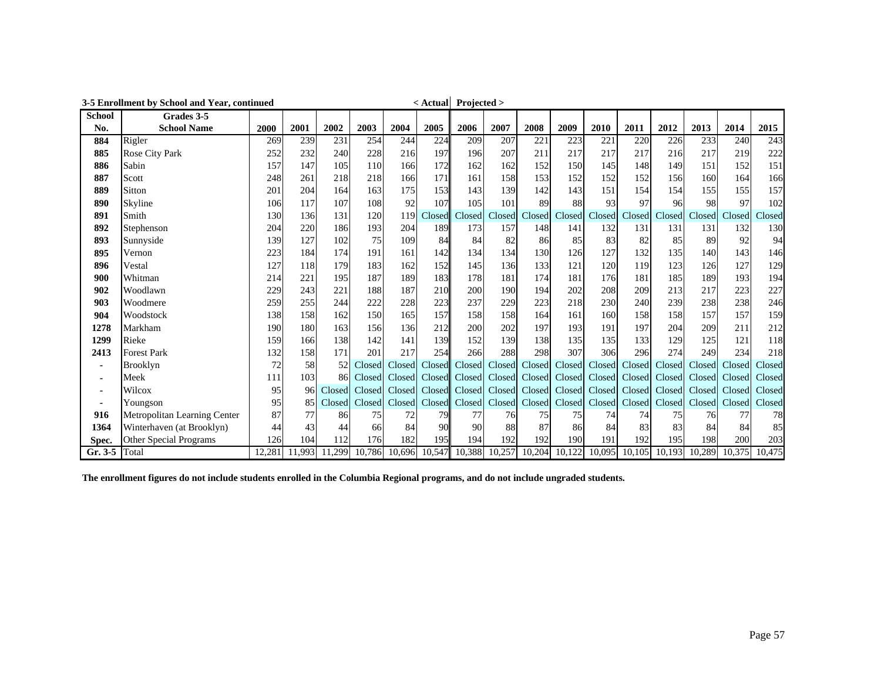|               | 3-5 Enrollment by School and Year, continued |        |        |        |        |                  | $\leq$ Actual Projected $>$ |        |        |        |               |        |        |               |        |        |        |
|---------------|----------------------------------------------|--------|--------|--------|--------|------------------|-----------------------------|--------|--------|--------|---------------|--------|--------|---------------|--------|--------|--------|
| <b>School</b> | Grades 3-5                                   |        |        |        |        |                  |                             |        |        |        |               |        |        |               |        |        |        |
| No.           | <b>School Name</b>                           | 2000   | 2001   | 2002   | 2003   | 2004             | 2005                        | 2006   | 2007   | 2008   | 2009          | 2010   | 2011   | 2012          | 2013   | 2014   | 2015   |
| 884           | Rigler                                       | 269    | 239    | 231    | 254    | 244              | 224                         | 209    | 207    | 221    | 223           | 221    | 220    | 226           | 233    | 240    | 243    |
| 885           | Rose City Park                               | 252    | 232    | 240    | 228    | 216              | 197                         | 196    | 207    | 211    | 217           | 217    | 217    | 216           | 217    | 219    | 222    |
| 886           | Sabin                                        | 157    | 147    | 105    | 110    | 166              | 172                         | 162    | 162    | 152    | 150           | 145    | 148    | 149           | 151    | 152    | 151    |
| 887           | Scott                                        | 248    | 261    | 218    | 218    | 166              | 171                         | 161    | 158    | 153    | 152           | 152    | 152    | 156           | 160    | 164    | 166    |
| 889           | Sitton                                       | 201    | 204    | 164    | 163    | 175              | 153                         | 143    | 139    | 142    | 143           | 151    | 154    | 154           | 155    | 155    | 157    |
| 890           | Skyline                                      | 106    | 117    | 107    | 108    | 92               | 107                         | 105    | 101    | 89     | 88            | 93     | 97     | 96            | 98     | 97     | 102    |
| 891           | Smith                                        | 130    | 136    | 131    | 120    | 119 <sup> </sup> | Closed                      | Closed | Closed | Closed | Closed        | Closed | Closed | Closed        | Closed | Closed | Closed |
| 892           | Stephenson                                   | 204    | 220    | 186    | 193    | 204              | 189                         | 173    | 157    | 148    | 141           | 132    | 131    | 131           | 131    | 132    | 130    |
| 893           | Sunnyside                                    | 139    | 127    | 102    | 75     | 109              | 84                          | 84     | 82     | 86     | 85            | 83     | 82     | 85            | 89     | 92     | 94     |
| 895           | Vernon                                       | 223    | 184    | 174    | 191    | 161              | 142                         | 134    | 134    | 130    | 126           | 127    | 132    | 135           | 140    | 143    | 146    |
| 896           | Vestal                                       | 127    | 118    | 179    | 183    | 162              | 152                         | 145    | 136    | 133    | 121           | 120    | 119    | 123           | 126    | 127    | 129    |
| 900           | Whitman                                      | 214    | 221    | 195    | 187    | 189              | 183                         | 178    | 181    | 174    | 181           | 176    | 181    | 185           | 189    | 193    | 194    |
| 902           | Woodlawn                                     | 229    | 243    | 221    | 188    | 187              | 210                         | 200    | 190    | 194    | 202           | 208    | 209    | 213           | 217    | 223    | 227    |
| 903           | Woodmere                                     | 259    | 255    | 244    | 222    | 228              | 223                         | 237    | 229    | 223    | 218           | 230    | 240    | 239           | 238    | 238    | 246    |
| 904           | Woodstock                                    | 138    | 158    | 162    | 150    | 165              | 157                         | 158    | 158    | 164    | 161           | 160    | 158    | 158           | 157    | 157    | 159    |
| 1278          | Markham                                      | 190    | 180    | 163    | 156    | 136              | 212                         | 200    | 202    | 197    | 193           | 191    | 197    | 204           | 209    | 211    | 212    |
| 1299          | Rieke                                        | 159    | 166    | 138    | 142    | 141              | 139                         | 152    | 139    | 138    | 135           | 135    | 133    | 129           | 125    | 121    | 118    |
| 2413          | <b>Forest Park</b>                           | 132    | 158    | 171    | 201    | 217              | 254                         | 266    | 288    | 298    | 307           | 306    | 296    | 274           | 249    | 234    | 218    |
| ۰             | <b>Brooklyn</b>                              | 72     | 58     | 52     | Closed |                  | Closed Closed               | Closed | Closed |        | Closed Closed | Closed | Closed | Closed        | Closed | Closed | Closed |
|               | Meek                                         | 111    | 103    | 86     | Closed |                  | Closed Closed               | Closed | Closed | Closed | Closed        | Closed | Closed | Closed        | Closed | Closed | Closed |
| ۰             | Wilcox                                       | 95     | 96     | Closed | Closed | Closed           | Closed                      | Closed | Closed |        | Closed Closed | Closed | Closed | Closed        | Closed | Closed | Closed |
|               | Youngson                                     | 95     | 85     | Closed | Closed |                  | Closed Closed               | Closed | Closed |        | Closed Closed | Closed | Closed | Closed        | Closed | Closed | Closed |
| 916           | Metropolitan Learning Center                 | 87     | 77     | 86     | 75     | 72               | 79                          | 77     | 76     | 75     | 75            | 74     | 74     | 75            | 76     | 77     | 78     |
| 1364          | Winterhaven (at Brooklyn)                    | 44     | 43     | 44     | 66     | 84               | 90                          | 90     | 88     | 87     | 86            | 84     | 83     | 83            | 84     | 84     | 85     |
| Spec.         | <b>Other Special Programs</b>                | 126    | 104    | 112    | 176    | 182              | 195                         | 194    | 192    | 192    | 190           | 191    | 192    | 195           | 198    | 200    | 203    |
| $Gr.3-5$      | Total                                        | 12,281 | 11,993 | 11,299 | 10,786 |                  | 10,696 10,547               | 10,388 | 10,257 | 10,204 | 10,122        | 10,095 |        | 10,105 10,193 | 10,289 | 10,375 | 10,475 |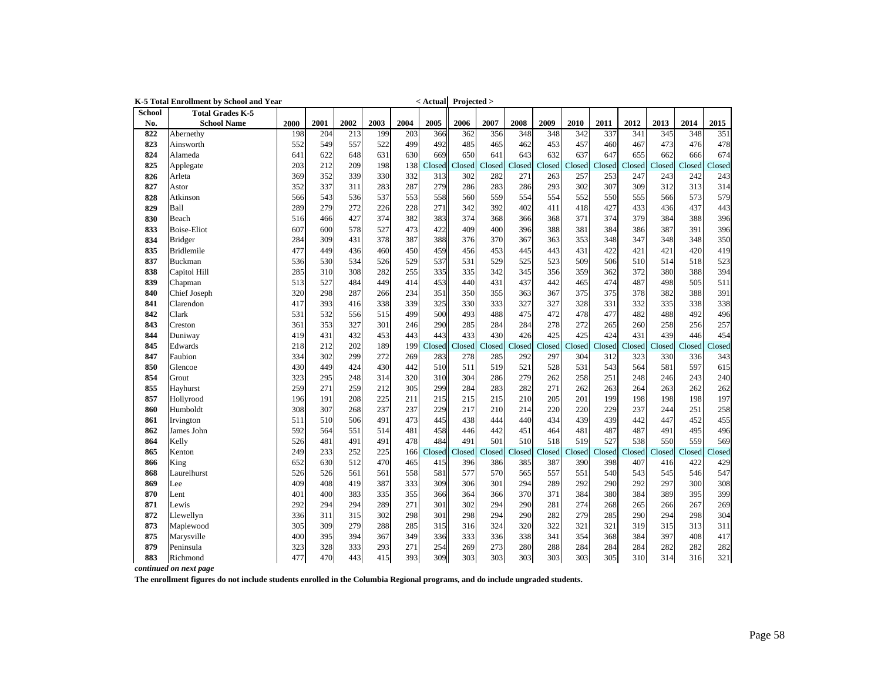|               | K-5 Total Enrollment by School and Year |      |      |      |      |      |        | $\leq$ Actual Projected > |        |        |        |        |        |        |        |        |        |
|---------------|-----------------------------------------|------|------|------|------|------|--------|---------------------------|--------|--------|--------|--------|--------|--------|--------|--------|--------|
| <b>School</b> | <b>Total Grades K-5</b>                 |      |      |      |      |      |        |                           |        |        |        |        |        |        |        |        |        |
| No.           | <b>School Name</b>                      | 2000 | 2001 | 2002 | 2003 | 2004 | 2005   | 2006                      | 2007   | 2008   | 2009   | 2010   | 2011   | 2012   | 2013   | 2014   | 2015   |
| 822           | Abernethy                               | 198  | 204  | 213  | 199  | 203  | 366    | 362                       | 356    | 348    | 348    | 342    | 337    | 341    | 345    | 348    | 351    |
| 823           | Ainsworth                               | 552  | 549  | 557  | 522  | 499  | 492    | 485                       | 465    | 462    | 453    | 457    | 460    | 467    | 473    | 476    | 478    |
| 824           | Alameda                                 | 641  | 622  | 648  | 631  | 630  | 669    | 650                       | 641    | 643    | 632    | 637    | 647    | 655    | 662    | 666    | 674    |
| 825           | Applegate                               | 203  | 212  | 209  | 198  | 138  | Closed | Closed                    | Closed | Closed | Closed | Closed | Closed | Closed | Closed | Closed | Closed |
| 826           | Arleta                                  | 369  | 352  | 339  | 330  | 332  | 313    | 302                       | 282    | 271    | 263    | 257    | 253    | 247    | 243    | 242    | 243    |
| 827           | Astor                                   | 352  | 337  | 311  | 283  | 287  | 279    | 286                       | 283    | 286    | 293    | 302    | 307    | 309    | 312    | 313    | 314    |
| 828           | Atkinson                                | 566  | 543  | 536  | 537  | 553  | 558    | 560                       | 559    | 554    | 554    | 552    | 550    | 555    | 566    | 573    | 579    |
| 829           | Ball                                    | 289  | 279  | 272  | 226  | 228  | 271    | 342                       | 392    | 402    | 411    | 418    | 427    | 433    | 436    | 437    | 443    |
| 830           | Beach                                   | 516  | 466  | 427  | 374  | 382  | 383    | 374                       | 368    | 366    | 368    | 371    | 374    | 379    | 384    | 388    | 396    |
| 833           | <b>Boise-Eliot</b>                      | 607  | 600  | 578  | 527  | 473  | 422    | 409                       | 400    | 396    | 388    | 381    | 384    | 386    | 387    | 391    | 396    |
| 834           | <b>Bridger</b>                          | 284  | 309  | 431  | 378  | 387  | 388    | 376                       | 370    | 367    | 363    | 353    | 348    | 347    | 348    | 348    | 350    |
| 835           | <b>Bridlemile</b>                       | 477  | 449  | 436  | 460  | 450  | 459    | 456                       | 453    | 445    | 443    | 431    | 422    | 421    | 421    | 420    | 419    |
| 837           | Buckman                                 | 536  | 530  | 534  | 526  | 529  | 537    | 531                       | 529    | 525    | 523    | 509    | 506    | 510    | 514    | 518    | 523    |
| 838           | Capitol Hill                            | 285  | 310  | 308  | 282  | 255  | 335    | 335                       | 342    | 345    | 356    | 359    | 362    | 372    | 380    | 388    | 394    |
| 839           | Chapman                                 | 513  | 527  | 484  | 449  | 414  | 453    | 440                       | 431    | 437    | 442    | 465    | 474    | 487    | 498    | 505    | 511    |
| 840           | Chief Joseph                            | 320  | 298  | 287  | 266  | 234  | 351    | 350                       | 355    | 363    | 367    | 375    | 375    | 378    | 382    | 388    | 391    |
| 841           | Clarendon                               | 417  | 393  | 416  | 338  | 339  | 325    | 330                       | 333    | 327    | 327    | 328    | 331    | 332    | 335    | 338    | 338    |
| 842           | Clark                                   | 531  | 532  | 556  | 515  | 499  | 500    | 493                       | 488    | 475    | 472    | 478    | 477    | 482    | 488    | 492    | 496    |
| 843           | Creston                                 | 361  | 353  | 327  | 301  | 246  | 290    | 285                       | 284    | 284    | 278    | 272    | 265    | 260    | 258    | 256    | 257    |
| 844           | Duniway                                 | 419  | 431  | 432  | 453  | 443  | 443    | 433                       | 430    | 426    | 425    | 425    | 424    | 431    | 439    | 446    | 454    |
| 845           | Edwards                                 | 218  | 212  | 202  | 189  | 199  | Closed | Closed                    | Closed | Closed | Closed | Closed | Closed | Closed | Closed | Closed | Closed |
| 847           | Faubion                                 | 334  | 302  | 299  | 272  | 269  | 283    | 278                       | 285    | 292    | 297    | 304    | 312    | 323    | 330    | 336    | 343    |
| 850           | Glencoe                                 | 430  | 449  | 424  | 430  | 442  | 510    | 511                       | 519    | 521    | 528    | 531    | 543    | 564    | 581    | 597    | 615    |
| 854           | Grout                                   | 323  | 295  | 248  | 314  | 320  | 310    | 304                       | 286    | 279    | 262    | 258    | 251    | 248    | 246    | 243    | 240    |
| 855           | Hayhurst                                | 259  | 271  | 259  | 212  | 305  | 299    | 284                       | 283    | 282    | 271    | 262    | 263    | 264    | 263    | 262    | 262    |
| 857           | Hollyrood                               | 196  | 191  | 208  | 225  | 211  | 215    | 215                       | 215    | 210    | 205    | 201    | 199    | 198    | 198    | 198    | 197    |
| 860           | Humboldt                                | 308  | 307  | 268  | 237  | 237  | 229    | 217                       | 210    | 214    | 220    | 220    | 229    | 237    | 244    | 251    | 258    |
| 861           | Irvington                               | 511  | 510  | 506  | 491  | 473  | 445    | 438                       | 444    | 440    | 434    | 439    | 439    | 442    | 447    | 452    | 455    |
| 862           | James John                              | 592  | 564  | 551  | 514  | 481  | 458    | 446                       | 442    | 451    | 464    | 481    | 487    | 487    | 491    | 495    | 496    |
| 864           | Kelly                                   | 526  | 481  | 491  | 491  | 478  | 484    | 491                       | 501    | 510    | 518    | 519    | 527    | 538    | 550    | 559    | 569    |
| 865           | Kenton                                  | 249  | 233  | 252  | 225  | 166  | Closed | Closed                    | Closed | Closed | Closed | Closed | Closed | Closed | Closed | Closed | Closed |
| 866           | King                                    | 652  | 630  | 512  | 470  | 465  | 415    | 396                       | 386    | 385    | 387    | 390    | 398    | 407    | 416    | 422    | 429    |
| 868           | Laurelhurst                             | 526  | 526  | 561  | 561  | 558  | 581    | 577                       | 570    | 565    | 557    | 551    | 540    | 543    | 545    | 546    | 547    |
| 869           | Lee                                     | 409  | 408  | 419  | 387  | 333  | 309    | 306                       | 301    | 294    | 289    | 292    | 290    | 292    | 297    | 300    | 308    |
| 870           | Lent                                    | 401  | 400  | 383  | 335  | 355  | 366    | 364                       | 366    | 370    | 371    | 384    | 380    | 384    | 389    | 395    | 399    |
| 871           | Lewis                                   | 292  | 294  | 294  | 289  | 271  | 301    | 302                       | 294    | 290    | 281    | 274    | 268    | 265    | 266    | 267    | 269    |
| 872           | Llewellyn                               | 336  | 311  | 315  | 302  | 298  | 301    | 298                       | 294    | 290    | 282    | 279    | 285    | 290    | 294    | 298    | 304    |
| 873           | Maplewood                               | 305  | 309  | 279  | 288  | 285  | 315    | 316                       | 324    | 320    | 322    | 321    | 321    | 319    | 315    | 313    | 311    |
| 875           | Marysville                              | 400  | 395  | 394  | 367  | 349  | 336    | 333                       | 336    | 338    | 341    | 354    | 368    | 384    | 397    | 408    | 417    |
| 879           | Peninsula                               | 323  | 328  | 333  | 293  | 271  | 254    | 269                       | 273    | 280    | 288    | 284    | 284    | 284    | 282    | 282    | 282    |
| 883           | Richmond                                | 477  | 470  | 443  | 415  | 393  | 309    | 303                       | 303    | 303    | 303    | 303    | 305    | 310    | 314    | 316    | 321    |

*continued on next page*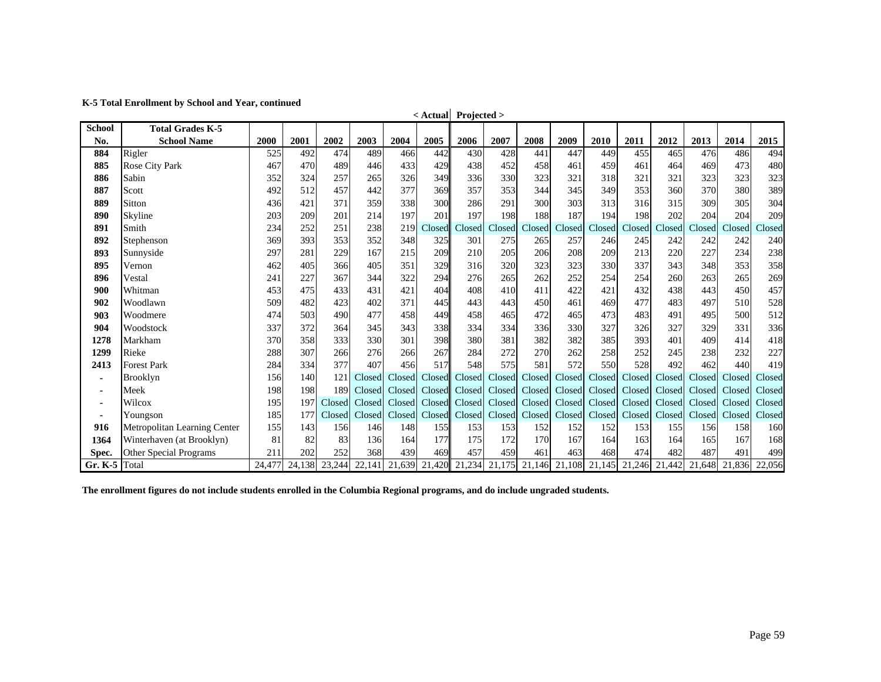**K-5 Total Enrollment by School and Year, continued**

| <b>School</b>  | <b>Total Grades K-5</b>       |        |        |        |               |        | $\sim$ $\sim$ $\sim$ $\sim$ $\sim$ | $11$ years $\lambda$ |        |        |               |        |               |        |        |        |        |
|----------------|-------------------------------|--------|--------|--------|---------------|--------|------------------------------------|----------------------|--------|--------|---------------|--------|---------------|--------|--------|--------|--------|
| No.            | <b>School Name</b>            | 2000   | 2001   | 2002   | 2003          | 2004   | 2005                               | 2006                 | 2007   | 2008   | 2009          | 2010   | 2011          | 2012   | 2013   | 2014   | 2015   |
| 884            | Rigler                        | 525    | 492    | 474    | 489           | 466    | 442                                | 430                  | 428    | 441    | 447           | 449    | 455           | 465    | 476    | 486    | 494    |
| 885            | <b>Rose City Park</b>         | 467    | 470    | 489    | 446           | 433    | 429                                | 438                  | 452    | 458    | 461           | 459    | 461           | 464    | 469    | 473    | 480    |
| 886            | Sabin                         | 352    | 324    | 257    | 265           | 326    | 349                                | 336                  | 330    | 323    | 321           | 318    | 321           | 321    | 323    | 323    | 323    |
| 887            | Scott                         | 492    | 512    | 457    | 442           | 377    | 369                                | 357                  | 353    | 344    | 345           | 349    | 353           | 360    | 370    | 380    | 389    |
| 889            | Sitton                        | 436    | 421    | 371    | 359           | 338    | 300                                | 286                  | 291    | 300    | 303           | 313    | 316           | 315    | 309    | 305    | 304    |
| 890            | Skyline                       | 203    | 209    | 201    | 214           | 197    | 201                                | 197                  | 198    | 188    | 187           | 194    | 198           | 202    | 204    | 204    | 209    |
| 891            | Smith                         | 234    | 252    | 251    | 238           | 219    | Closed                             | Closed               | Closed | Closed | Closed        | Closed | Closed        | Closed | Closed | Closed | Closed |
| 892            | Stephenson                    | 369    | 393    | 353    | 352           | 348    | 325                                | 301                  | 275    | 265    | 257           | 246    | 245           | 242    | 242    | 242    | 240    |
| 893            | Sunnyside                     | 297    | 281    | 229    | 167           | 215    | 209                                | 210                  | 205    | 206    | 208           | 209    | 213           | 220    | 227    | 234    | 238    |
| 895            | Vernon                        | 462    | 405    | 366    | 405           | 351    | 329                                | 316                  | 320    | 323    | 323           | 330    | 337           | 343    | 348    | 353    | 358    |
| 896            | Vestal                        | 241    | 227    | 367    | 344           | 322    | 294                                | 276                  | 265    | 262    | 252           | 254    | 254           | 260    | 263    | 265    | 269    |
| 900            | Whitman                       | 453    | 475    | 433    | 431           | 421    | 404                                | 408                  | 410    | 411    | 422           | 421    | 432           | 438    | 443    | 450    | 457    |
| 902            | Woodlawn                      | 509    | 482    | 423    | 402           | 371    | 445                                | 443                  | 443    | 450    | 461           | 469    | 477           | 483    | 497    | 510    | 528    |
| 903            | Woodmere                      | 474    | 503    | 490    | 477           | 458    | 449                                | 458                  | 465    | 472    | 465           | 473    | 483           | 491    | 495    | 500    | 512    |
| 904            | Woodstock                     | 337    | 372    | 364    | 345           | 343    | 338                                | 334                  | 334    | 336    | 330           | 327    | 326           | 327    | 329    | 331    | 336    |
| 1278           | Markham                       | 370    | 358    | 333    | 330           | 301    | 398                                | 380                  | 381    | 382    | 382           | 385    | 393           | 401    | 409    | 414    | 418    |
| 1299           | Rieke                         | 288    | 307    | 266    | 276           | 266    | 267                                | 284                  | 272    | 270    | 262           | 258    | 252           | 245    | 238    | 232    | 227    |
| 2413           | <b>Forest Park</b>            | 284    | 334    | 377    | 407           | 456    | 517                                | 548                  | 575    | 581    | 572           | 550    | 528           | 492    | 462    | 440    | 419    |
| $\blacksquare$ | <b>Brooklyn</b>               | 156    | 140    | 121    | Closed        | Closed | Closed                             | Closed               | Closed | Closed | Closed        | Closed | Closed        | Closed | Closed | Closed | Closed |
| ۰              | Meek                          | 198    | 198    | 189    | Closed        | Closed |                                    | Closed Closed        | Closed | Closed | Closed        | Closed | Closed        | Closed | Closed | Closed | Closed |
| ٠              | Wilcox                        | 195    | 197    |        | Closed Closed | Closed |                                    | Closed Closed        | Closed | Closed | Closed        |        | Closed Closed | Closed | Closed | Closed | Closed |
| ۰              | Youngson                      | 185    | 177    |        | Closed Closed | Closed |                                    | Closed Closed        | Closed |        | Closed Closed |        | Closed Closed | Closed | Closed | Closed | Closed |
| 916            | Metropolitan Learning Center  | 155    | 143    | 156    | 146           | 148    | 155                                | 153                  | 153    | 152    | 152           | 152    | 153           | 155    | 156    | 158    | 160    |
| 1364           | Winterhaven (at Brooklyn)     | 81     | 82     | 83     | 136           | 164    | 177                                | 175                  | 172    | 170    | 167           | 164    | 163           | 164    | 165    | 167    | 168    |
| Spec.          | <b>Other Special Programs</b> | 211    | 202    | 252    | 368           | 439    | 469                                | 457                  | 459    | 461    | 463           | 468    | 474           | 482    | 487    | 491    | 499    |
| Gr. K-5 Total  |                               | 24,477 | 24,138 | 23,244 | 22,141        | 21,639 | 21,420                             | 21,234               | 21,175 |        | 21,146 21,108 | 21,145 | 21,246        | 21,442 | 21,648 | 21.836 | 22,056 |

**< Actual Projected >**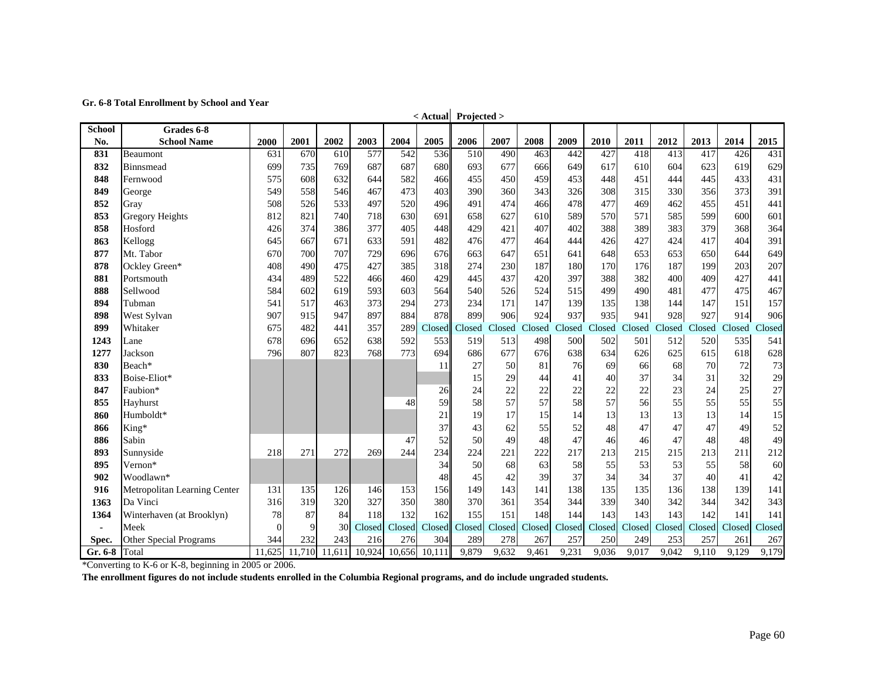**Gr. 6-8 Total Enrollment by School and Year**

| <b>School</b>  | Grades 6-8                   |          |        |        |        |        | $\sim$ Actual | $110$ jecteu $\geq$ |        |        |        |        |        |        |        |        |        |
|----------------|------------------------------|----------|--------|--------|--------|--------|---------------|---------------------|--------|--------|--------|--------|--------|--------|--------|--------|--------|
| No.            | <b>School Name</b>           | 2000     | 2001   | 2002   | 2003   | 2004   | 2005          | 2006                | 2007   | 2008   | 2009   | 2010   | 2011   | 2012   | 2013   | 2014   | 2015   |
| 831            | Beaumont                     | 631      | 670    | 610    | 577    | 542    | 536           | 510                 | 490    | 463    | 442    | 427    | 418    | 413    | 417    | 426    | 431    |
| 832            | Binnsmead                    | 699      | 735    | 769    | 687    | 687    | 680           | 693                 | 677    | 666    | 649    | 617    | 610    | 604    | 623    | 619    | 629    |
| 848            | Fernwood                     | 575      | 608    | 632    | 644    | 582    | 466           | 455                 | 450    | 459    | 453    | 448    | 451    | 444    | 445    | 433    | 431    |
| 849            | George                       | 549      | 558    | 546    | 467    | 473    | 403           | 390                 | 360    | 343    | 326    | 308    | 315    | 330    | 356    | 373    | 391    |
| 852            | Gray                         | 508      | 526    | 533    | 497    | 520    | 496           | 491                 | 474    | 466    | 478    | 477    | 469    | 462    | 455    | 451    | 441    |
| 853            | <b>Gregory Heights</b>       | 812      | 821    | 740    | 718    | 630    | 691           | 658                 | 627    | 610    | 589    | 570    | 571    | 585    | 599    | 600    | 601    |
| 858            | Hosford                      | 426      | 374    | 386    | 377    | 405    | 448           | 429                 | 421    | 407    | 402    | 388    | 389    | 383    | 379    | 368    | 364    |
| 863            | Kellogg                      | 645      | 667    | 671    | 633    | 591    | 482           | 476                 | 477    | 464    | 444    | 426    | 427    | 424    | 417    | 404    | 391    |
| 877            | Mt. Tabor                    | 670      | 700    | 707    | 729    | 696    | 676           | 663                 | 647    | 651    | 641    | 648    | 653    | 653    | 650    | 644    | 649    |
| 878            | Ockley Green*                | 408      | 490    | 475    | 427    | 385    | 318           | 274                 | 230    | 187    | 180    | 170    | 176    | 187    | 199    | 203    | 207    |
| 881            | Portsmouth                   | 434      | 489    | 522    | 466    | 460    | 429           | 445                 | 437    | 420    | 397    | 388    | 382    | 400    | 409    | 427    | 441    |
| 888            | Sellwood                     | 584      | 602    | 619    | 593    | 603    | 564           | 540                 | 526    | 524    | 515    | 499    | 490    | 481    | 477    | 475    | 467    |
| 894            | Tubman                       | 541      | 517    | 463    | 373    | 294    | 273           | 234                 | 171    | 147    | 139    | 135    | 138    | 144    | 147    | 151    | 157    |
| 898            | West Sylvan                  | 907      | 915    | 947    | 897    | 884    | 878           | 899                 | 906    | 924    | 937    | 935    | 941    | 928    | 927    | 914    | 906    |
| 899            | Whitaker                     | 675      | 482    | 441    | 357    | 289    | Closed        | Closed              | Closed | Closed | Closed | Closed | Closed | Closed | Closed | Closed | Closed |
| 1243           | Lane                         | 678      | 696    | 652    | 638    | 592    | 553           | 519                 | 513    | 498    | 500    | 502    | 501    | 512    | 520    | 535    | 541    |
| 1277           | Jackson                      | 796      | 807    | 823    | 768    | 773    | 694           | 686                 | 677    | 676    | 638    | 634    | 626    | 625    | 615    | 618    | 628    |
| 830            | Beach*                       |          |        |        |        |        | 11            | 27                  | 50     | 81     | 76     | 69     | 66     | 68     | 70     | 72     | 73     |
| 833            | Boise-Eliot*                 |          |        |        |        |        |               | 15                  | 29     | 44     | 41     | 40     | 37     | 34     | 31     | 32     | 29     |
| 847            | Faubion*                     |          |        |        |        |        | 26            | 24                  | 22     | 22     | 22     | 22     | 22     | 23     | 24     | 25     | 27     |
| 855            | Hayhurst                     |          |        |        |        | 48     | 59            | 58                  | 57     | 57     | 58     | 57     | 56     | 55     | 55     | 55     | 55     |
| 860            | Humboldt*                    |          |        |        |        |        | 21            | 19                  | 17     | 15     | 14     | 13     | 13     | 13     | 13     | 14     | 15     |
| 866            | King*                        |          |        |        |        |        | 37            | 43                  | 62     | 55     | 52     | 48     | 47     | 47     | 47     | 49     | 52     |
| 886            | Sabin                        |          |        |        |        | 47     | 52            | 50                  | 49     | 48     | 47     | 46     | 46     | 47     | 48     | 48     | 49     |
| 893            | Sunnyside                    | 218      | 271    | 272    | 269    | 244    | 234           | 224                 | 221    | 222    | 217    | 213    | 215    | 215    | 213    | 211    | 212    |
| 895            | Vernon*                      |          |        |        |        |        | 34            | 50                  | 68     | 63     | 58     | 55     | 53     | 53     | 55     | 58     | 60     |
| 902            | Woodlawn*                    |          |        |        |        |        | 48            | 45                  | 42     | 39     | 37     | 34     | 34     | 37     | 40     | 41     | 42     |
| 916            | Metropolitan Learning Center | 131      | 135    | 126    | 146    | 153    | 156           | 149                 | 143    | 141    | 138    | 135    | 135    | 136    | 138    | 139    | 141    |
| 1363           | Da Vinci                     | 316      | 319    | 320    | 327    | 350    | 380           | 370                 | 361    | 354    | 344    | 339    | 340    | 342    | 344    | 342    | 343    |
| 1364           | Winterhaven (at Brooklyn)    | 78       | 87     | 84     | 118    | 132    | 162           | 155                 | 151    | 148    | 144    | 143    | 143    | 143    | 142    | 141    | 141    |
| $\blacksquare$ | Meek                         | $\Omega$ | 9      | 30     | Closed | Closed | Closed        | Closed              | Closed | Closed | Closed | Closed | Closed | Closed | Closed | Closed | Closed |
| Spec.          | Other Special Programs       | 344      | 232    | 243    | 216    | 276    | 304           | 289                 | 278    | 267    | 257    | 250    | 249    | 253    | 257    | 261    | 267    |
| Gr. 6-8        | Total                        | 11,625   | 11,710 | 11,611 | 10,924 | 10,656 | 10,111        | 9,879               | 9,632  | 9,461  | 9,231  | 9,036  | 9,017  | 9,042  | 9,110  | 9,129  | 9,179  |

**< Actual Projected >**

\*Converting to K-6 or K-8, beginning in 2005 or 2006.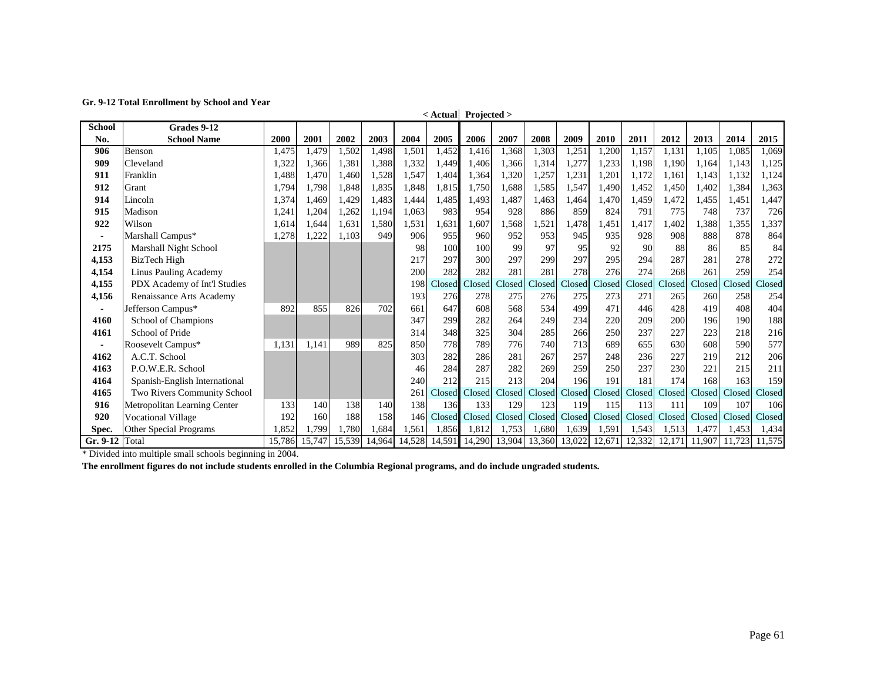|               | <b>Total Employment</b> by    |        |        |        |        |                  |        | $\leq$ Actual Projected $>$ |        |        |        |        |        |        |        |        |        |
|---------------|-------------------------------|--------|--------|--------|--------|------------------|--------|-----------------------------|--------|--------|--------|--------|--------|--------|--------|--------|--------|
| <b>School</b> | Grades 9-12                   |        |        |        |        |                  |        |                             |        |        |        |        |        |        |        |        |        |
| No.           | <b>School Name</b>            | 2000   | 2001   | 2002   | 2003   | 2004             | 2005   | 2006                        | 2007   | 2008   | 2009   | 2010   | 2011   | 2012   | 2013   | 2014   | 2015   |
| 906           | Benson                        | 1,475  | 1,479  | 1,502  | 1,498  | 1,501            | 1,452  | 1,416                       | 1,368  | 1,303  | 1,251  | 1,200  | 1,157  | 1,131  | 1,105  | 1.085  | 1.069  |
| 909           | Cleveland                     | 1,322  | 1.366  | 1,381  | 1,388  | 1,332            | 1.449  | 1,406                       | 1,366  | 1,314  | 1,277  | 1,233  | 1,198  | 1.190  | 1.164  | 1,143  | 1,125  |
| 911           | Franklin                      | 1,488  | 1.470  | 1.460  | 1,528  | 1,547            | 1.404  | 1,364                       | 1,320  | 1,257  | 1,231  | 1,201  | 1,172  | 1.161  | 1.143  | 1,132  | 1,124  |
| 912           | Grant                         | 1,794  | 1,798  | 1,848  | 1,835  | 1,848            | 1,815  | 1,750                       | 1,688  | 1,585  | 1,547  | 1,490  | 1,452  | 1,450  | 1,402  | 1,384  | 1,363  |
| 914           | Lincoln                       | 1,374  | 1,469  | 1,429  | 1,483  | 1,444            | 1,485  | 1,493                       | 1,487  | 1,463  | 1,464  | 1,470  | 1,459  | 1,472  | 1,455  | 1,451  | 1,447  |
| 915           | Madison                       | 1,241  | 1,204  | 1,262  | 1,194  | 1,063            | 983    | 954                         | 928    | 886    | 859    | 824    | 791    | 775    | 748    | 737    | 726    |
| 922           | Wilson                        | 1,614  | 1.644  | 1,631  | 1,580  | 1,531            | 1,631  | .607                        | 1,568  | 1,521  | 1,478  | 1,451  | 1,417  | ,402   | 1,388  | 1,355  | 1,337  |
| ٠             | Marshall Campus*              | 1,278  | 1,222  | 1.103  | 949    | 906              | 955    | 960                         | 952    | 953    | 945    | 935    | 928    | 908    | 888    | 878    | 864    |
| 2175          | Marshall Night School         |        |        |        |        | 98               | 100    | 100                         | 99     | 97     | 95     | 92     | 90     | 88     | 86     | 85     | 84     |
| 4,153         | BizTech High                  |        |        |        |        | 217              | 297    | 300                         | 297    | 299    | 297    | 295    | 294    | 287    | 281    | 278    | 272    |
| 4,154         | Linus Pauling Academy         |        |        |        |        | 200              | 282    | 282                         | 281    | 281    | 278    | 276    | 274    | 268    | 261    | 259    | 254    |
| 4,155         | PDX Academy of Int'l Studies  |        |        |        |        | 198              | Closed | Closed                      | Closed | Closed | Closed | Closed | Closed | Closed | Closed | Closed | Closed |
| 4,156         | Renaissance Arts Academy      |        |        |        |        | 193              | 276    | 278                         | 275    | 276    | 275    | 273    | 271    | 265    | 260    | 258    | 254    |
|               | Jefferson Campus*             | 892    | 855    | 826    | 702    | 661              | 647    | 608                         | 568    | 534    | 499    | 471    | 446    | 428    | 419    | 408    | 404    |
| 4160          | School of Champions           |        |        |        |        | 347              | 299    | 282                         | 264    | 249    | 234    | 220    | 209    | 200    | 196    | 190    | 188    |
| 4161          | School of Pride               |        |        |        |        | 314              | 348    | 325                         | 304    | 285    | 266    | 250    | 237    | 227    | 223    | 218    | 216    |
|               | Roosevelt Campus*             | 1.131  | 1,141  | 989    | 825    | 850              | 778    | 789                         | 776    | 740    | 713    | 689    | 655    | 630    | 608    | 590    | 577    |
| 4162          | A.C.T. School                 |        |        |        |        | 303              | 282    | 286                         | 281    | 267    | 257    | 248    | 236    | 227    | 219    | 212    | 206    |
| 4163          | P.O.W.E.R. School             |        |        |        |        | 46               | 284    | 287                         | 282    | 269    | 259    | 250    | 237    | 230    | 221    | 215    | 211    |
| 4164          | Spanish-English International |        |        |        |        | 240              | 212    | 215                         | 213    | 204    | 196    | 191    | 181    | 174    | 168    | 163    | 159    |
| 4165          | Two Rivers Community School   |        |        |        |        | 26 <sup>2</sup>  | Closed | Closed                      | Closed | Closed | Closed | Closed | Closed | Closed | Closed | Closed | Closed |
| 916           | Metropolitan Learning Center  | 133    | 140    | 138    | 140    | 138              | 136    | 133                         | 129    | 123    | 119    | 115    | 113    | 111    | 109    | 107    | 106    |
| 920           | <b>Vocational Village</b>     | 192    | 160    | 188    | 158    | 146 <sup> </sup> | Closed | Closed                      | Closed | Closed | Closed | Closed | Closed | Closed | Closed | Closed | Closed |
| Spec.         | Other Special Programs        | 1,852  | 1,799  | 1.780  | .684   | 1,561            | 1,856  | 1,812                       | 1,753  | 1,680  | 1,639  | 1,591  | .543   | 1,513  | 1,477  | 1,453  | 1,434  |
| $Gr. 9-12$    | Total                         | 15,786 | 15,747 | 15,539 | 14,964 | 14,528           | 14,591 | 14,290                      | 13,904 | 13,360 | 13,022 | 12,671 | 12,332 | 12,171 | 11,907 | 11.723 | 11,575 |

\* Divided into multiple small schools beginning in 2004.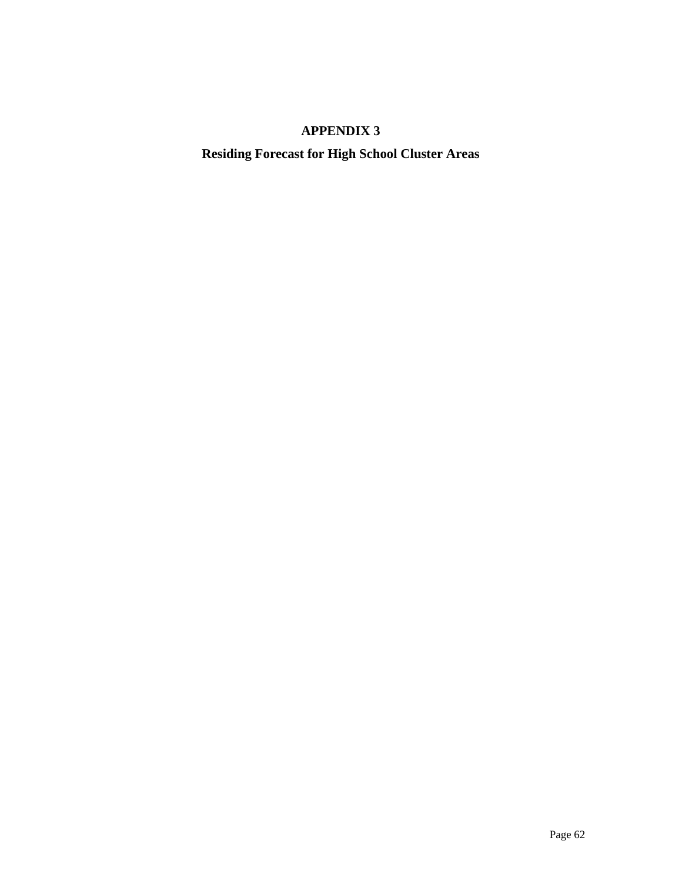## **APPENDIX 3**

**Residing Forecast for High School Cluster Areas**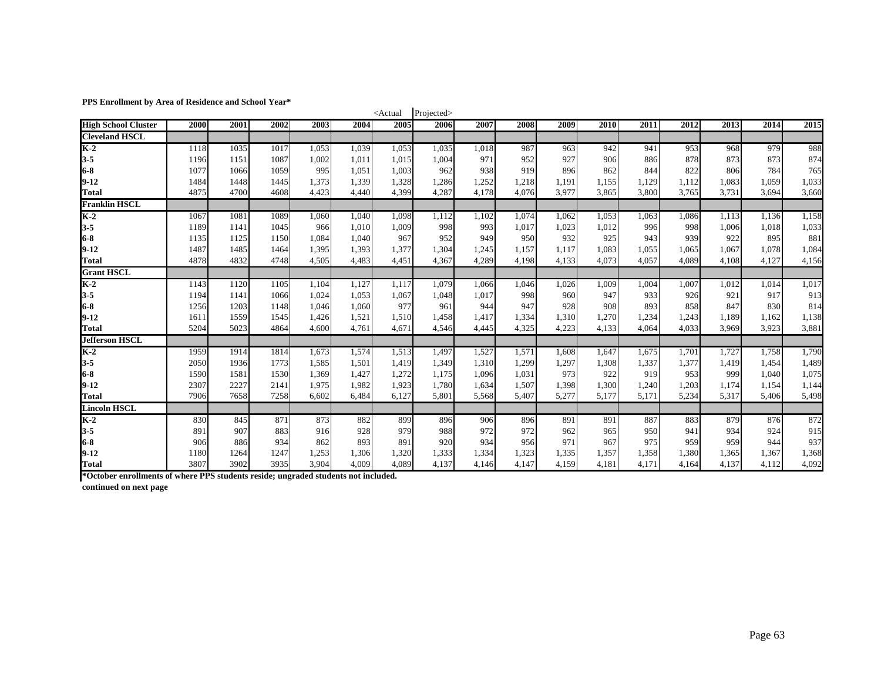**PPS Enrollment by Area of Residence and School Year\***

| 115 Em omnem by Area of Residence and School Tear |      |      |      |       |       | $<$ Actual | Projected> |       |       |       |       |       |       |       |       |       |
|---------------------------------------------------|------|------|------|-------|-------|------------|------------|-------|-------|-------|-------|-------|-------|-------|-------|-------|
| <b>High School Cluster</b>                        | 2000 | 2001 | 2002 | 2003  | 2004  | 2005       | 2006       | 2007  | 2008  | 2009  | 2010  | 2011  | 2012  | 2013  | 2014  | 2015  |
| <b>Cleveland HSCL</b>                             |      |      |      |       |       |            |            |       |       |       |       |       |       |       |       |       |
| $K-2$                                             | 1118 | 1035 | 1017 | 1,053 | 1,039 | 1,053      | 1,035      | 1,018 | 987   | 963   | 942   | 941   | 953   | 968   | 979   | 988   |
| $3 - 5$                                           | 1196 | 1151 | 1087 | 1,002 | 1,011 | 1,015      | 1,004      | 971   | 952   | 927   | 906   | 886   | 878   | 873   | 873   | 874   |
| $6-8$                                             | 1077 | 1066 | 1059 | 995   | 1,051 | 1,003      | 962        | 938   | 919   | 896   | 862   | 844   | 822   | 806   | 784   | 765   |
| $9 - 12$                                          | 1484 | 1448 | 1445 | 1,373 | 1,339 | 1,328      | 1,286      | 1,252 | 1,218 | 1,191 | 1,155 | 1,129 | 1,112 | 1,083 | 1,059 | 1,033 |
| <b>Total</b>                                      | 4875 | 4700 | 4608 | 4,423 | 4,440 | 4,399      | 4,287      | 4.178 | 4.076 | 3.977 | 3,865 | 3,800 | 3.765 | 3.731 | 3.694 | 3,660 |
| <b>Franklin HSCL</b>                              |      |      |      |       |       |            |            |       |       |       |       |       |       |       |       |       |
| $K-2$                                             | 1067 | 1081 | 1089 | 1,060 | 1,040 | 1,098      | 1,112      | 1,102 | 1,074 | 1,062 | 1,053 | 1,063 | 1,086 | 1,113 | 1,136 | 1,158 |
| $3 - 5$                                           | 1189 | 1141 | 1045 | 966   | 1,010 | 1,009      | 998        | 993   | 1,017 | 1,023 | 1.012 | 996   | 998   | 1,006 | 1,018 | 1,033 |
| $6-8$                                             | 1135 | 1125 | 1150 | 1,084 | 1,040 | 967        | 952        | 949   | 950   | 932   | 925   | 943   | 939   | 922   | 895   | 881   |
| $9-12$                                            | 1487 | 1485 | 1464 | 1,395 | 1,393 | 1,377      | 1,304      | 1,245 | 1,157 | 1,117 | 1,083 | 1,055 | 1,065 | 1,067 | 1,078 | 1,084 |
| <b>Total</b>                                      | 4878 | 4832 | 4748 | 4,505 | 4,483 | 4,451      | 4,367      | 4,289 | 4,198 | 4,133 | 4,073 | 4,057 | 4,089 | 4,108 | 4,127 | 4,156 |
| <b>Grant HSCL</b>                                 |      |      |      |       |       |            |            |       |       |       |       |       |       |       |       |       |
| $K-2$                                             | 1143 | 1120 | 1105 | 1,104 | 1,127 | 1,117      | 1,079      | 1,066 | 1,046 | 1,026 | 1,009 | 1,004 | 1,007 | 1,012 | 1,014 | 1,017 |
| $3 - 5$                                           | 1194 | 1141 | 1066 | 1,024 | 1,053 | 1,067      | 1,048      | 1,017 | 998   | 960   | 947   | 933   | 926   | 921   | 917   | 913   |
| $6-8$                                             | 1256 | 1203 | 1148 | 1,046 | 1,060 | 977        | 961        | 944   | 947   | 928   | 908   | 893   | 858   | 847   | 830   | 814   |
| $9 - 12$                                          | 1611 | 1559 | 1545 | 1,426 | 1,521 | 1,510      | 1,458      | 1,417 | 1,334 | 1,310 | 1,270 | 1,234 | 1,243 | 1,189 | 1,162 | 1,138 |
| <b>Total</b>                                      | 5204 | 5023 | 4864 | 4,600 | 4,761 | 4,671      | 4,546      | 4,445 | 4,325 | 4,223 | 4,133 | 4.064 | 4.033 | 3.969 | 3,923 | 3,881 |
| <b>Jefferson HSCL</b>                             |      |      |      |       |       |            |            |       |       |       |       |       |       |       |       |       |
| $K-2$                                             | 1959 | 1914 | 1814 | 1,673 | 1,574 | 1,513      | 1,497      | 1,527 | 1,571 | 1,608 | 1,647 | 1,675 | 1,701 | 1,727 | 1,758 | 1,790 |
| $3 - 5$                                           | 2050 | 1936 | 1773 | 1,585 | 1,501 | 1,419      | 1,349      | 1,310 | 1,299 | 1,297 | 1,308 | 1,337 | 1,377 | 1,419 | 1,454 | 1,489 |
| $6-8$                                             | 1590 | 1581 | 1530 | 1,369 | 1,427 | 1,272      | 1,175      | 1,096 | 1,031 | 973   | 922   | 919   | 953   | 999   | 1,040 | 1,075 |
| $9-12$                                            | 2307 | 2227 | 2141 | 1,975 | 1,982 | 1,923      | 1,780      | 1,634 | 1.507 | 1,398 | 1,300 | 1,240 | 1,203 | 1,174 | 1,154 | 1,144 |
| Total                                             | 7906 | 7658 | 7258 | 6,602 | 6,484 | 6,127      | 5,801      | 5,568 | 5,407 | 5,277 | 5,177 | 5,171 | 5,234 | 5,317 | 5,406 | 5,498 |
| <b>Lincoln HSCL</b>                               |      |      |      |       |       |            |            |       |       |       |       |       |       |       |       |       |
| $K-2$                                             | 830  | 845  | 871  | 873   | 882   | 899        | 896        | 906   | 896   | 891   | 891   | 887   | 883   | 879   | 876   | 872   |
| $3 - 5$                                           | 891  | 907  | 883  | 916   | 928   | 979        | 988        | 972   | 972   | 962   | 965   | 950   | 941   | 934   | 924   | 915   |
| $6-8$                                             | 906  | 886  | 934  | 862   | 893   | 891        | 920        | 934   | 956   | 971   | 967   | 975   | 959   | 959   | 944   | 937   |
| $9 - 12$                                          | 1180 | 1264 | 1247 | 1,253 | 1,306 | 1,320      | 1,333      | 1,334 | 1,323 | 1,335 | 1,357 | 1,358 | 1,380 | 1,365 | 1,367 | 1,368 |
| <b>Total</b>                                      | 3807 | 3902 | 3935 | 3.904 | 4,009 | 4,089      | 4.137      | 4,146 | 4,147 | 4,159 | 4,181 | 4.171 | 4,164 | 4,137 | 4,112 | 4,092 |

**\*October enrollments of where PPS students reside; ungraded students not included.**

**continued on next page**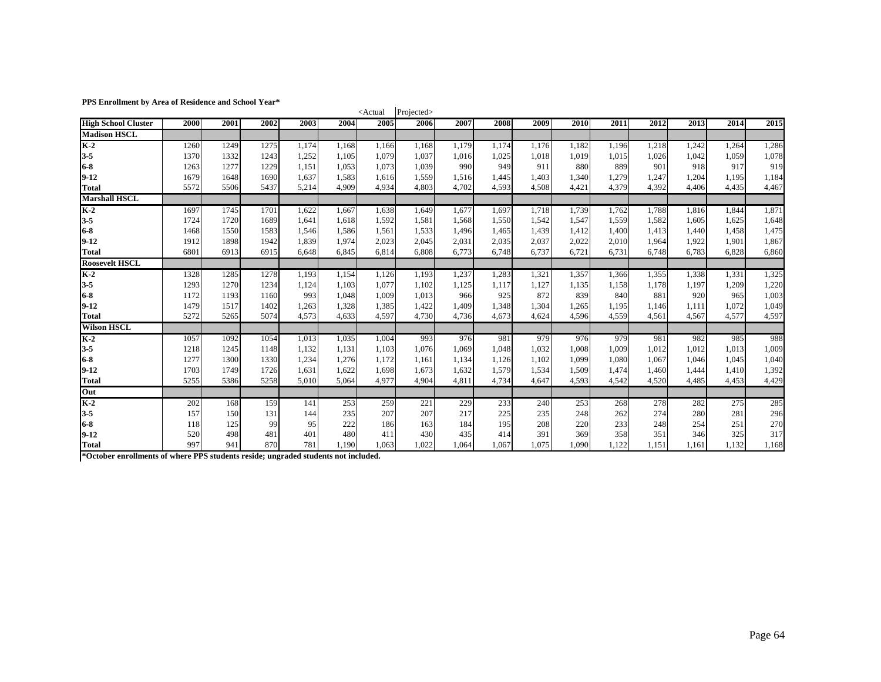#### **PPS Enrollment by Area of Residence and School Year\***

| FFS Enforment by Area of Residence and School Team |      |      |      |       |       | <actual< th=""><th>Projected&gt;</th><th></th><th></th><th></th><th></th><th></th><th></th><th></th><th></th><th></th></actual<> | Projected> |       |       |       |       |       |       |       |       |       |
|----------------------------------------------------|------|------|------|-------|-------|----------------------------------------------------------------------------------------------------------------------------------|------------|-------|-------|-------|-------|-------|-------|-------|-------|-------|
| <b>High School Cluster</b>                         | 2000 | 2001 | 2002 | 2003  | 2004  | 2005                                                                                                                             | 2006       | 2007  | 2008  | 2009  | 2010  | 2011  | 2012  | 2013  | 2014  | 2015  |
| <b>Madison HSCL</b>                                |      |      |      |       |       |                                                                                                                                  |            |       |       |       |       |       |       |       |       |       |
| $K-2$                                              | 1260 | 1249 | 1275 | 1,174 | 1,168 | 1,166                                                                                                                            | 1,168      | 1,179 | 1,174 | 1.176 | 1,182 | 1,196 | 1,218 | 1,242 | 1,264 | 1,286 |
| $3 - 5$                                            | 1370 | 1332 | 1243 | 1,252 | 1,105 | 1,079                                                                                                                            | 1,037      | 1,016 | 1,025 | 1,018 | 1,019 | 1,015 | 1,026 | 1,042 | 1,059 | 1,078 |
| $6-8$                                              | 1263 | 1277 | 1229 | 1,151 | 1,053 | 1,073                                                                                                                            | 1,039      | 990   | 949   | 911   | 880   | 889   | 901   | 918   | 917   | 919   |
| $9 - 12$                                           | 1679 | 1648 | 1690 | 1,637 | 1,583 | 1,616                                                                                                                            | 1,559      | 1,516 | 1,445 | 1,403 | 1.340 | 1,279 | 1,247 | 1,204 | 1,195 | 1,184 |
| <b>Total</b>                                       | 5572 | 5506 | 5437 | 5,214 | 4,909 | 4,934                                                                                                                            | 4,803      | 4,702 | 4.593 | 4.508 | 4,421 | 4.379 | 4.392 | 4.406 | 4,435 | 4,467 |
| <b>Marshall HSCL</b>                               |      |      |      |       |       |                                                                                                                                  |            |       |       |       |       |       |       |       |       |       |
| $K-2$                                              | 1697 | 1745 | 1701 | 1,622 | 1,667 | 1,638                                                                                                                            | 1,649      | 1,677 | 1,697 | 1,718 | 1,739 | 1,762 | 1,788 | 1,816 | 1,844 | 1,871 |
| $3 - 5$                                            | 1724 | 1720 | 1689 | 1,641 | 1,618 | 1,592                                                                                                                            | 1,581      | 1,568 | 1,550 | 1,542 | 1,547 | 1,559 | 1,582 | 1,605 | 1,625 | 1,648 |
| $6-8$                                              | 1468 | 1550 | 1583 | 1,546 | 1,586 | 1,561                                                                                                                            | 1,533      | 1,496 | 1,465 | 1,439 | 1,412 | 1,400 | 1,413 | 1,440 | 1,458 | 1,475 |
| $9 - 12$                                           | 1912 | 1898 | 1942 | 1,839 | 1,974 | 2,023                                                                                                                            | 2,045      | 2,031 | 2,035 | 2,037 | 2,022 | 2,010 | 1,964 | 1,922 | 1,901 | 1,867 |
| <b>Total</b>                                       | 6801 | 6913 | 6915 | 6,648 | 6,845 | 6,814                                                                                                                            | 6,808      | 6,773 | 6,748 | 6,737 | 6,721 | 6.731 | 6,748 | 6,783 | 6,828 | 6,860 |
| <b>Roosevelt HSCL</b>                              |      |      |      |       |       |                                                                                                                                  |            |       |       |       |       |       |       |       |       |       |
| $K-2$                                              | 1328 | 1285 | 1278 | 1,193 | 1,154 | 1,126                                                                                                                            | 1,193      | 1,237 | 1,283 | 1,321 | 1,357 | 1,366 | 1,355 | 1,338 | 1,331 | 1,325 |
| $3 - 5$                                            | 1293 | 1270 | 1234 | 1,124 | 1,103 | 1,077                                                                                                                            | 1,102      | 1,125 | 1,117 | 1,127 | 1,135 | 1,158 | 1,178 | 1,197 | 1,209 | 1,220 |
| $6-8$                                              | 1172 | 1193 | 1160 | 993   | 1,048 | 1,009                                                                                                                            | 1,013      | 966   | 925   | 872   | 839   | 840   | 881   | 920   | 965   | 1,003 |
| $9 - 12$                                           | 1479 | 1517 | 1402 | 1,263 | 1,328 | 1,385                                                                                                                            | 1,422      | 1,409 | 1,348 | 1,304 | 1,265 | 1,195 | 1,146 | 1,111 | 1,072 | 1,049 |
| <b>Total</b>                                       | 5272 | 5265 | 5074 | 4,573 | 4,633 | 4,597                                                                                                                            | 4,730      | 4,736 | 4,673 | 4.624 | 4.596 | 4,559 | 4,561 | 4,567 | 4,577 | 4,597 |
| <b>Wilson HSCL</b>                                 |      |      |      |       |       |                                                                                                                                  |            |       |       |       |       |       |       |       |       |       |
| $K-2$                                              | 1057 | 1092 | 1054 | 1,013 | 1,035 | 1,004                                                                                                                            | 993        | 976   | 981   | 979   | 976   | 979   | 981   | 982   | 985   | 988   |
| $3 - 5$                                            | 1218 | 1245 | 1148 | 1,132 | 1,131 | 1,103                                                                                                                            | 1,076      | 1,069 | 1.048 | 1,032 | 1,008 | 1,009 | 1,012 | 1,012 | 1,013 | 1,009 |
| $6-8$                                              | 1277 | 1300 | 1330 | 1,234 | 1,276 | 1,172                                                                                                                            | 1,161      | 1,134 | 1,126 | 1,102 | 1,099 | 1,080 | 1,067 | 1,046 | 1,045 | 1,040 |
| $9 - 12$                                           | 1703 | 1749 | 1726 | 1,631 | 1,622 | 1,698                                                                                                                            | 1,673      | 1,632 | 1,579 | 1,534 | 1,509 | 1,474 | 1,460 | 1,444 | 1,410 | 1,392 |
| <b>Total</b>                                       | 5255 | 5386 | 5258 | 5,010 | 5,064 | 4.977                                                                                                                            | 4.904      | 4,811 | 4.734 | 4.647 | 4.593 | 4.542 | 4.520 | 4,485 | 4,453 | 4,429 |
| Out                                                |      |      |      |       |       |                                                                                                                                  |            |       |       |       |       |       |       |       |       |       |
| $K-2$                                              | 202  | 168  | 159  | 141   | 253   | 259                                                                                                                              | 221        | 229   | 233   | 240   | 253   | 268   | 278   | 282   | 275   | 285   |
| $3 - 5$                                            | 157  | 150  | 131  | 144   | 235   | 207                                                                                                                              | 207        | 217   | 225   | 235   | 248   | 262   | 274   | 280   | 281   | 296   |
| $6-8$                                              | 118  | 125  | 99   | 95    | 222   | 186                                                                                                                              | 163        | 184   | 195   | 208   | 220   | 233   | 248   | 254   | 251   | 270   |
| $9 - 12$                                           | 520  | 498  | 481  | 401   | 480   | 411                                                                                                                              | 430        | 435   | 414   | 391   | 369   | 358   | 351   | 346   | 325   | 317   |
| <b>Total</b>                                       | 997  | 941  | 870  | 781   | 1,190 | 1.063                                                                                                                            | 1,022      | 1.064 | 1.067 | 1.075 | 1.090 | 1,122 | 1.151 | 1,161 | 1,132 | 1,168 |

**\*October enrollments of where PPS students reside; ungraded students not included.**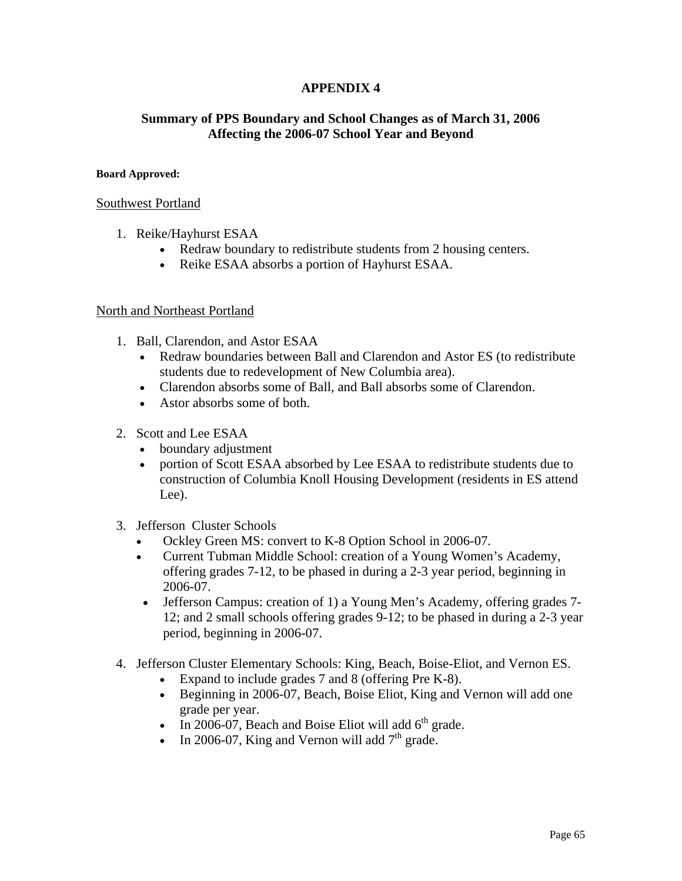## **APPENDIX 4**

## **Summary of PPS Boundary and School Changes as of March 31, 2006 Affecting the 2006-07 School Year and Beyond**

### **Board Approved:**

### Southwest Portland

- 1. Reike/Hayhurst ESAA
	- Redraw boundary to redistribute students from 2 housing centers.
	- Reike ESAA absorbs a portion of Hayhurst ESAA.

### North and Northeast Portland

- 1. Ball, Clarendon, and Astor ESAA
	- Redraw boundaries between Ball and Clarendon and Astor ES (to redistribute students due to redevelopment of New Columbia area).
	- Clarendon absorbs some of Ball, and Ball absorbs some of Clarendon.
	- Astor absorbs some of both.
- 2. Scott and Lee ESAA
	- boundary adjustment
	- portion of Scott ESAA absorbed by Lee ESAA to redistribute students due to construction of Columbia Knoll Housing Development (residents in ES attend Lee).
- 3. Jefferson Cluster Schools
	- Ockley Green MS: convert to K-8 Option School in 2006-07.
	- Current Tubman Middle School: creation of a Young Women's Academy, offering grades 7-12, to be phased in during a 2-3 year period, beginning in 2006-07.
	- Jefferson Campus: creation of 1) a Young Men's Academy, offering grades 7-12; and 2 small schools offering grades 9-12; to be phased in during a 2-3 year period, beginning in 2006-07.
- 4. Jefferson Cluster Elementary Schools: King, Beach, Boise-Eliot, and Vernon ES.
	- Expand to include grades 7 and 8 (offering Pre K-8).
	- Beginning in 2006-07, Beach, Boise Eliot, King and Vernon will add one grade per year.
	- In 2006-07, Beach and Boise Eliot will add  $6<sup>th</sup>$  grade.
	- In 2006-07, King and Vernon will add  $7<sup>th</sup>$  grade.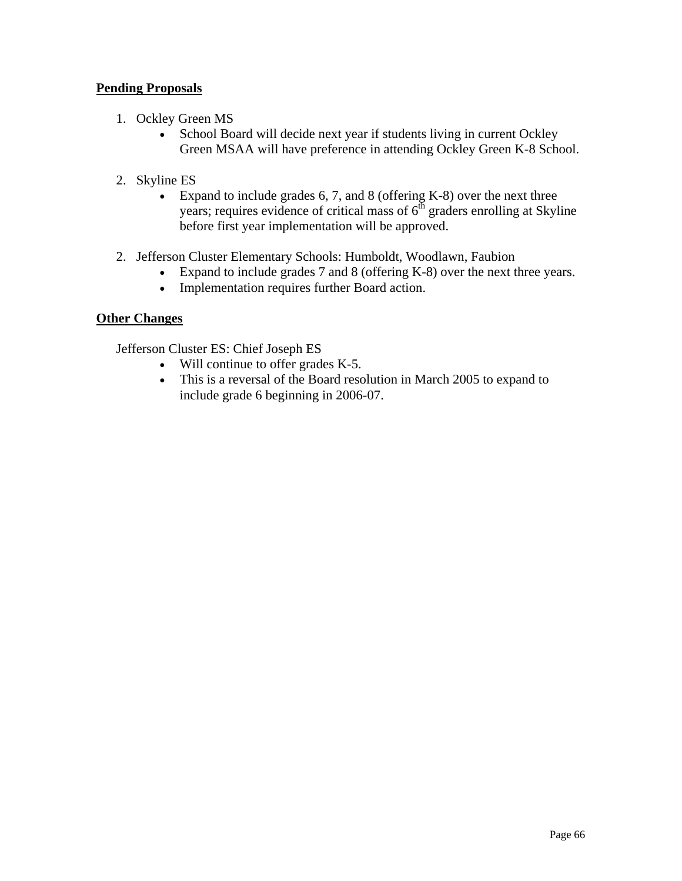## **Pending Proposals**

- 1. Ockley Green MS
	- School Board will decide next year if students living in current Ockley Green MSAA will have preference in attending Ockley Green K-8 School.
- 2. Skyline ES
	- Expand to include grades 6, 7, and 8 (offering K-8) over the next three years; requires evidence of critical mass of  $6<sup>th</sup>$  graders enrolling at Skyline before first year implementation will be approved.
- 2. Jefferson Cluster Elementary Schools: Humboldt, Woodlawn, Faubion
	- Expand to include grades 7 and 8 (offering K-8) over the next three years.
	- Implementation requires further Board action.

## **Other Changes**

Jefferson Cluster ES: Chief Joseph ES

- Will continue to offer grades K-5.
- This is a reversal of the Board resolution in March 2005 to expand to include grade 6 beginning in 2006-07.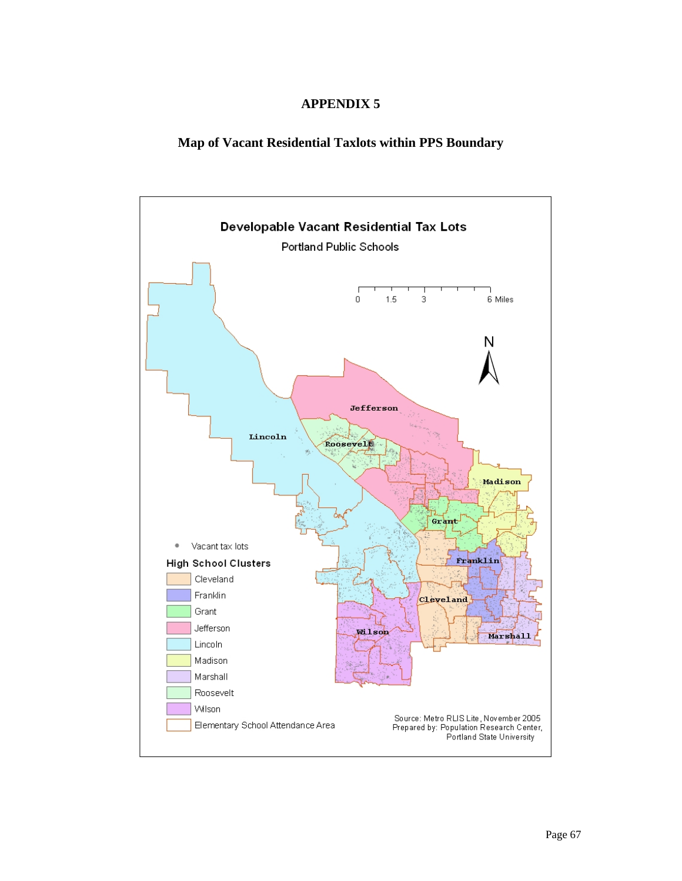## **APPENDIX 5**

## **Map of Vacant Residential Taxlots within PPS Boundary**

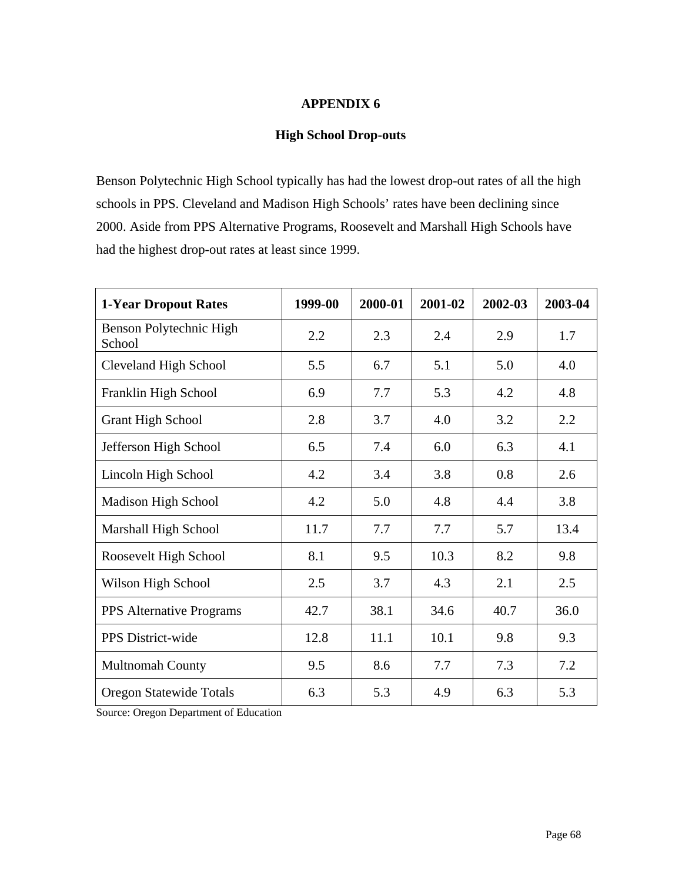## **APPENDIX 6**

## **High School Drop-outs**

Benson Polytechnic High School typically has had the lowest drop-out rates of all the high schools in PPS. Cleveland and Madison High Schools' rates have been declining since 2000. Aside from PPS Alternative Programs, Roosevelt and Marshall High Schools have had the highest drop-out rates at least since 1999.

| <b>1-Year Dropout Rates</b>       | 1999-00 | 2000-01 | 2001-02 | 2002-03 | 2003-04 |
|-----------------------------------|---------|---------|---------|---------|---------|
| Benson Polytechnic High<br>School | 2.2     | 2.3     | 2.4     | 2.9     | 1.7     |
| <b>Cleveland High School</b>      | 5.5     | 6.7     | 5.1     | 5.0     | 4.0     |
| Franklin High School              | 6.9     | 7.7     | 5.3     | 4.2     | 4.8     |
| <b>Grant High School</b>          | 2.8     | 3.7     | 4.0     | 3.2     | 2.2     |
| Jefferson High School             | 6.5     | 7.4     | 6.0     | 6.3     | 4.1     |
| Lincoln High School               | 4.2     | 3.4     | 3.8     | 0.8     | 2.6     |
| Madison High School               | 4.2     | 5.0     | 4.8     | 4.4     | 3.8     |
| Marshall High School              | 11.7    | 7.7     | 7.7     | 5.7     | 13.4    |
| Roosevelt High School             | 8.1     | 9.5     | 10.3    | 8.2     | 9.8     |
| Wilson High School                | 2.5     | 3.7     | 4.3     | 2.1     | 2.5     |
| <b>PPS</b> Alternative Programs   | 42.7    | 38.1    | 34.6    | 40.7    | 36.0    |
| PPS District-wide                 | 12.8    | 11.1    | 10.1    | 9.8     | 9.3     |
| <b>Multnomah County</b>           | 9.5     | 8.6     | 7.7     | 7.3     | 7.2     |
| Oregon Statewide Totals           | 6.3     | 5.3     | 4.9     | 6.3     | 5.3     |

Source: Oregon Department of Education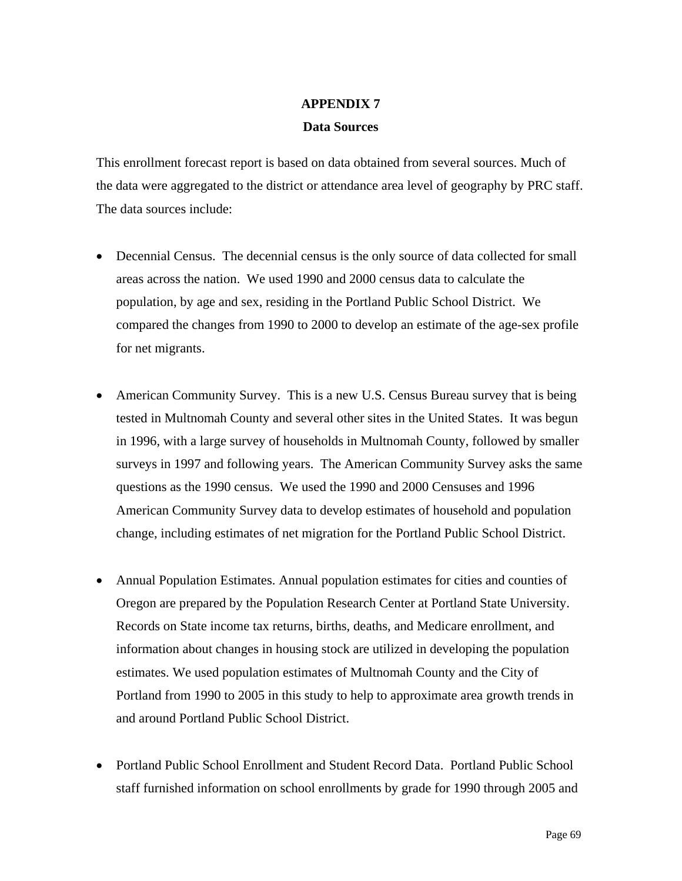## **APPENDIX 7**

## **Data Sources**

This enrollment forecast report is based on data obtained from several sources. Much of the data were aggregated to the district or attendance area level of geography by PRC staff. The data sources include:

- Decennial Census. The decennial census is the only source of data collected for small areas across the nation. We used 1990 and 2000 census data to calculate the population, by age and sex, residing in the Portland Public School District. We compared the changes from 1990 to 2000 to develop an estimate of the age-sex profile for net migrants.
- American Community Survey. This is a new U.S. Census Bureau survey that is being tested in Multnomah County and several other sites in the United States. It was begun in 1996, with a large survey of households in Multnomah County, followed by smaller surveys in 1997 and following years. The American Community Survey asks the same questions as the 1990 census. We used the 1990 and 2000 Censuses and 1996 American Community Survey data to develop estimates of household and population change, including estimates of net migration for the Portland Public School District.
- Annual Population Estimates. Annual population estimates for cities and counties of Oregon are prepared by the Population Research Center at Portland State University. Records on State income tax returns, births, deaths, and Medicare enrollment, and information about changes in housing stock are utilized in developing the population estimates. We used population estimates of Multnomah County and the City of Portland from 1990 to 2005 in this study to help to approximate area growth trends in and around Portland Public School District.
- Portland Public School Enrollment and Student Record Data. Portland Public School staff furnished information on school enrollments by grade for 1990 through 2005 and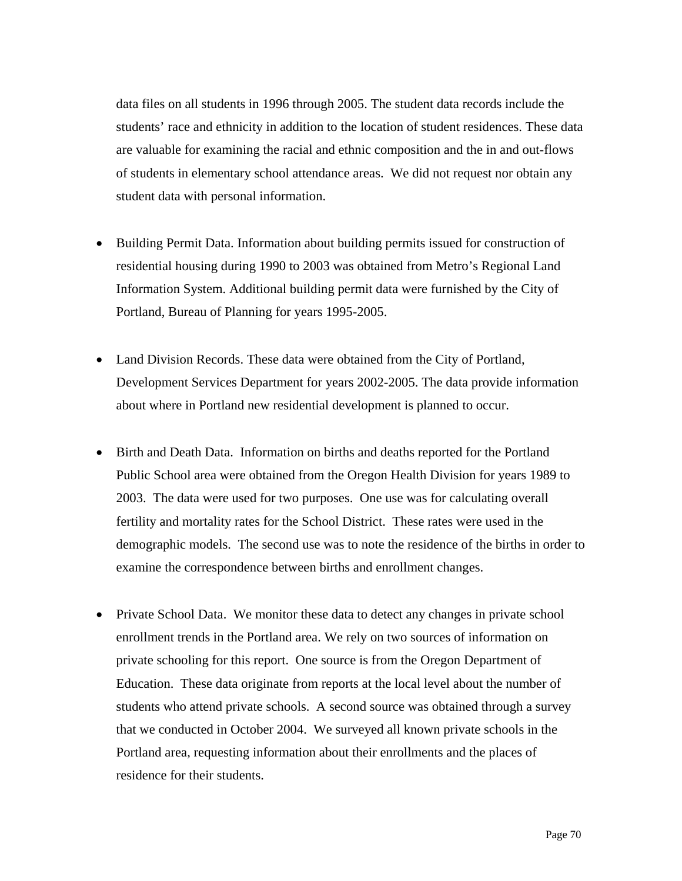data files on all students in 1996 through 2005. The student data records include the students' race and ethnicity in addition to the location of student residences. These data are valuable for examining the racial and ethnic composition and the in and out-flows of students in elementary school attendance areas. We did not request nor obtain any student data with personal information.

- Building Permit Data. Information about building permits issued for construction of residential housing during 1990 to 2003 was obtained from Metro's Regional Land Information System. Additional building permit data were furnished by the City of Portland, Bureau of Planning for years 1995-2005.
- Land Division Records. These data were obtained from the City of Portland, Development Services Department for years 2002-2005. The data provide information about where in Portland new residential development is planned to occur.
- Birth and Death Data. Information on births and deaths reported for the Portland Public School area were obtained from the Oregon Health Division for years 1989 to 2003. The data were used for two purposes. One use was for calculating overall fertility and mortality rates for the School District. These rates were used in the demographic models. The second use was to note the residence of the births in order to examine the correspondence between births and enrollment changes.
- Private School Data. We monitor these data to detect any changes in private school enrollment trends in the Portland area. We rely on two sources of information on private schooling for this report. One source is from the Oregon Department of Education. These data originate from reports at the local level about the number of students who attend private schools. A second source was obtained through a survey that we conducted in October 2004. We surveyed all known private schools in the Portland area, requesting information about their enrollments and the places of residence for their students.